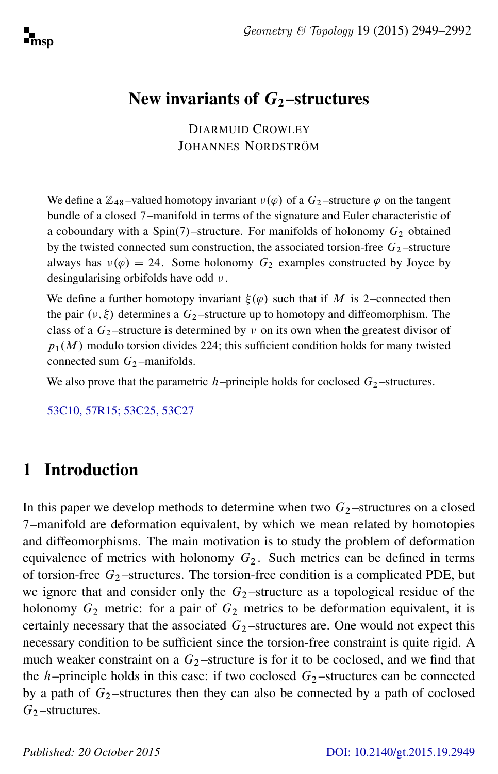# New invariants of  $G_2$ -structures

DIARMUID CROWLEY JOHANNES NORDSTRÖM

We define a  $\mathbb{Z}_{48}$ -valued homotopy invariant  $v(\varphi)$  of a  $G_2$ -structure  $\varphi$  on the tangent bundle of a closed 7–manifold in terms of the signature and Euler characteristic of a coboundary with a Spin(7)–structure. For manifolds of holonomy  $G_2$  obtained by the twisted connected sum construction, the associated torsion-free  $G_2$ -structure always has  $v(\varphi) = 24$ . Some holonomy  $G_2$  examples constructed by Joyce by desingularising orbifolds have odd  $\nu$ .

We define a further homotopy invariant  $\xi(\varphi)$  such that if M is 2–connected then the pair  $(\nu, \xi)$  determines a  $G_2$ -structure up to homotopy and diffeomorphism. The class of a  $G_2$ -structure is determined by v on its own when the greatest divisor of  $p_1(M)$  modulo torsion divides 224; this sufficient condition holds for many twisted connected sum  $G_2$ -manifolds.

We also prove that the parametric h–principle holds for coclosed  $G_2$ –structures.

[53C10, 57R15; 53C25, 53C27](http://www.ams.org/mathscinet/search/mscdoc.html?code=53C10, 57R15, 53C25, 53C27)

# <span id="page-0-0"></span>1 Introduction

In this paper we develop methods to determine when two  $G_2$ -structures on a closed 7–manifold are deformation equivalent, by which we mean related by homotopies and diffeomorphisms. The main motivation is to study the problem of deformation equivalence of metrics with holonomy  $G_2$ . Such metrics can be defined in terms of torsion-free  $G_2$ -structures. The torsion-free condition is a complicated PDE, but we ignore that and consider only the  $G_2$ -structure as a topological residue of the holonomy  $G_2$  metric: for a pair of  $G_2$  metrics to be deformation equivalent, it is certainly necessary that the associated  $G_2$ -structures are. One would not expect this necessary condition to be sufficient since the torsion-free constraint is quite rigid. A much weaker constraint on a  $G_2$ -structure is for it to be coclosed, and we find that the h–principle holds in this case: if two coclosed  $G_2$ –structures can be connected by a path of  $G_2$ -structures then they can also be connected by a path of coclosed  $G<sub>2</sub>$  –structures.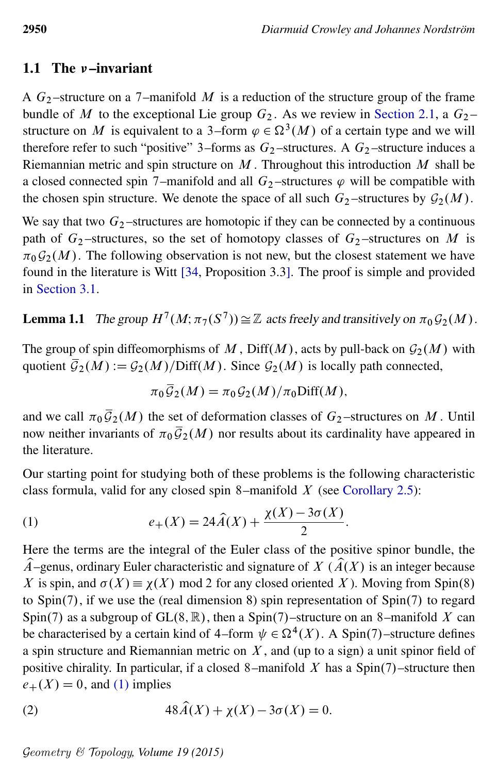### 1.1 The  $\nu$ -invariant

A  $G_2$ -structure on a 7-manifold M is a reduction of the structure group of the frame bundle of M to the exceptional Lie group  $G_2$ . As we review in [Section 2.1,](#page-11-0) a  $G_2$  – structure on M is equivalent to a 3–form  $\varphi \in \Omega^3(M)$  of a certain type and we will therefore refer to such "positive" 3–forms as  $G_2$ –structures. A  $G_2$ –structure induces a Riemannian metric and spin structure on  $M$ . Throughout this introduction  $M$  shall be a closed connected spin 7–manifold and all  $G_2$ –structures  $\varphi$  will be compatible with the chosen spin structure. We denote the space of all such  $G_2$ -structures by  $\mathcal{G}_2(M)$ .

We say that two  $G_2$ -structures are homotopic if they can be connected by a continuous path of  $G_2$ -structures, so the set of homotopy classes of  $G_2$ -structures on M is  $\pi_0 \mathcal{G}_2(M)$ . The following observation is not new, but the closest statement we have found in the literature is Witt [\[34,](#page-42-0) Proposition 3.3]. The proof is simple and provided in [Section 3.1.](#page-16-0)

# <span id="page-1-2"></span>**Lemma 1.1** The group  $H^7(M; \pi_7(S^7)) \cong \mathbb{Z}$  acts freely and transitively on  $\pi_0 \mathcal{G}_2(M)$ .

The group of spin diffeomorphisms of M, Diff(M), acts by pull-back on  $\mathcal{G}_2(M)$  with quotient  $\overline{\mathcal{G}}_2(M):=\mathcal{G}_2(M)/\text{Diff}(M)$ . Since  $\mathcal{G}_2(M)$  is locally path connected,

<span id="page-1-0"></span>
$$
\pi_0 \overline{\mathcal{G}}_2(M) = \pi_0 \mathcal{G}_2(M) / \pi_0 \text{Diff}(M),
$$

and we call  $\pi_0 \bar{G}_2(M)$  the set of deformation classes of  $G_2$ -structures on M. Until now neither invariants of  $\pi_0 \overline{\mathcal{G}}_2(M)$  nor results about its cardinality have appeared in the literature.

Our starting point for studying both of these problems is the following characteristic class formula, valid for any closed spin 8–manifold  $X$  (see [Corollary 2.5\)](#page-15-0):

(1) 
$$
e_{+}(X) = 24\hat{A}(X) + \frac{\chi(X) - 3\sigma(X)}{2}.
$$

Here the terms are the integral of the Euler class of the positive spinor bundle, the  $\hat{A}$ –genus, ordinary Euler characteristic and signature of  $X$  ( $\hat{A}(X)$ ) is an integer because X is spin, and  $\sigma(X) \equiv \chi(X)$  mod 2 for any closed oriented X). Moving from Spin(8) to  $Spin(7)$ , if we use the (real dimension 8) spin representation of  $Spin(7)$  to regard Spin(7) as a subgroup of GL $(8, \mathbb{R})$ , then a Spin(7)–structure on an 8–manifold X can be characterised by a certain kind of 4–form  $\psi \in \Omega^4(X)$ . A Spin(7)–structure defines a spin structure and Riemannian metric on  $X$ , and (up to a sign) a unit spinor field of positive chirality. In particular, if a closed 8–manifold X has a  $Spin(7)$ –structure then  $e_{+}(X) = 0$ , and [\(1\)](#page-1-0) implies

<span id="page-1-1"></span>(2) 
$$
48\widehat{A}(X) + \chi(X) - 3\sigma(X) = 0.
$$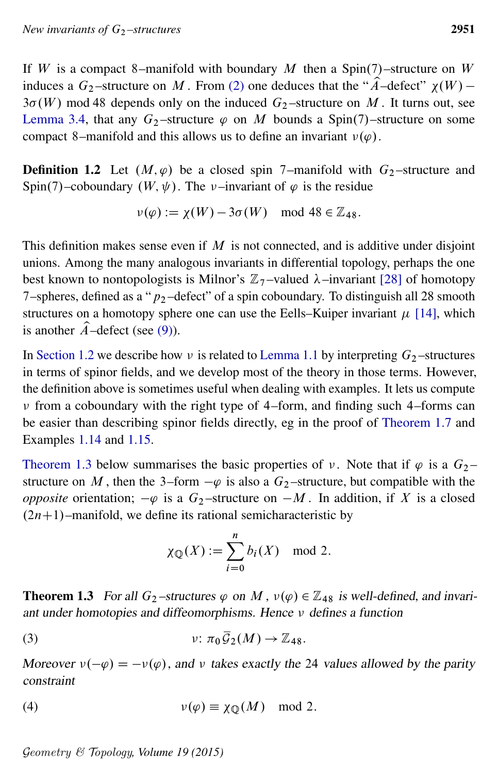If W is a compact 8–manifold with boundary M then a Spin(7)–structure on W induces a  $G_2$ -structure on M. From [\(2\)](#page-1-1) one deduces that the " $\hat{A}$ -defect"  $\chi(W)$  - $3\sigma(W)$  mod 48 depends only on the induced  $G_2$ -structure on M. It turns out, see [Lemma 3.4,](#page-19-0) that any  $G_2$ -structure  $\varphi$  on M bounds a Spin(7)-structure on some compact 8–manifold and this allows us to define an invariant  $v(\varphi)$ .

<span id="page-2-1"></span>**Definition 1.2** Let  $(M, \varphi)$  be a closed spin 7–manifold with  $G_2$ –structure and Spin(7)–coboundary  $(W, \psi)$ . The *v*–invariant of  $\varphi$  is the residue

$$
\nu(\varphi) := \chi(W) - 3\sigma(W) \mod 48 \in \mathbb{Z}_{48}.
$$

This definition makes sense even if  $M$  is not connected, and is additive under disjoint unions. Among the many analogous invariants in differential topology, perhaps the one best known to nontopologists is Milnor's  $\mathbb{Z}_7$ -valued  $\lambda$ -invariant [\[28\]](#page-42-1) of homotopy 7–spheres, defined as a " $p_2$ –defect" of a spin coboundary. To distinguish all 28 smooth structures on a homotopy sphere one can use the Eells–Kuiper invariant  $\mu$  [\[14\]](#page-41-0), which is another  $\hat{A}$ –defect (see [\(9\)\)](#page-7-0).

In [Section 1.2](#page-3-0) we describe how  $\nu$  is related to [Lemma 1.1](#page-1-2) by interpreting  $G_2$ -structures in terms of spinor fields, and we develop most of the theory in those terms. However, the definition above is sometimes useful when dealing with examples. It lets us compute  $\nu$  from a coboundary with the right type of 4–form, and finding such 4–forms can be easier than describing spinor fields directly, eg in the proof of [Theorem 1.7](#page-4-0) and Examples [1.14](#page-8-0) and [1.15.](#page-8-1)

[Theorem 1.3](#page-2-0) below summarises the basic properties of v. Note that if  $\varphi$  is a  $G_2$  – structure on M, then the 3–form  $-\varphi$  is also a  $G_2$ –structure, but compatible with the *opposite* orientation;  $-\varphi$  is a  $G_2$ -structure on  $-M$ . In addition, if X is a closed  $(2n+1)$ –manifold, we define its rational semicharacteristic by

$$
\chi_{\mathbb{Q}}(X) := \sum_{i=0}^{n} b_i(X) \mod 2.
$$

<span id="page-2-0"></span>**Theorem 1.3** For all  $G_2$ -structures  $\varphi$  on M,  $v(\varphi) \in \mathbb{Z}_{48}$  is well-defined, and invariant under homotopies and diffeomorphisms. Hence  $\nu$  defines a function

(3) 
$$
\nu: \pi_0 \overline{\mathcal{G}}_2(M) \to \mathbb{Z}_{48}.
$$

Moreover  $v(-\varphi) = -v(\varphi)$ , and v takes exactly the 24 values allowed by the parity constraint

(4) 
$$
\nu(\varphi) \equiv \chi_{\mathbb{Q}}(M) \mod 2.
$$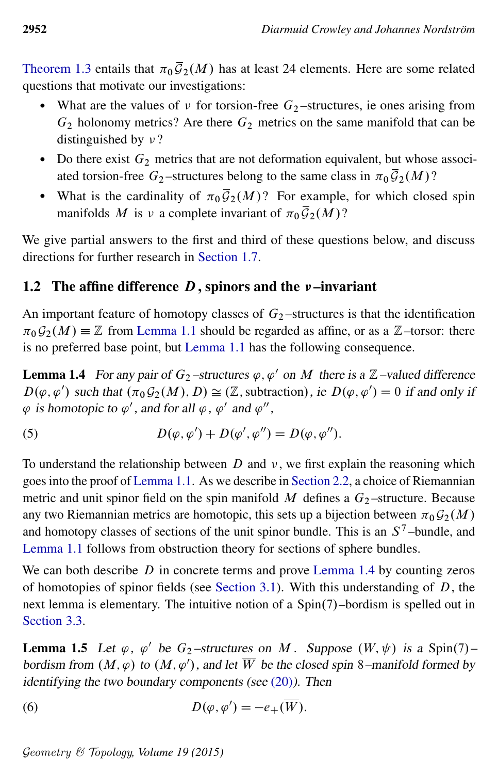[Theorem 1.3](#page-2-0) entails that  $\pi_0 \overline{\mathcal{G}}_2(M)$  has at least 24 elements. Here are some related questions that motivate our investigations:

- What are the values of  $\nu$  for torsion-free  $G_2$ -structures, ie ones arising from  $G_2$  holonomy metrics? Are there  $G_2$  metrics on the same manifold that can be distinguished by  $\nu$ ?
- Do there exist  $G_2$  metrics that are not deformation equivalent, but whose associated torsion-free  $G_2$ -structures belong to the same class in  $\pi_0 \overline{\mathcal{G}}_2(M)$ ?
- What is the cardinality of  $\pi_0 \overline{\mathcal{G}}_2(M)$ ? For example, for which closed spin manifolds M is v a complete invariant of  $\pi_0 \overline{\mathcal{G}}_2(M)$ ?

We give partial answers to the first and third of these questions below, and discuss directions for further research in [Section 1.7.](#page-10-0)

## <span id="page-3-0"></span>1.2 The affine difference  $D$ , spinors and the  $\nu$ -invariant

An important feature of homotopy classes of  $G_2$ -structures is that the identification  $\pi_0 \mathcal{G}_2(M) \equiv \mathbb{Z}$  from [Lemma 1.1](#page-1-2) should be regarded as affine, or as a  $\mathbb{Z}$ -torsor: there is no preferred base point, but [Lemma 1.1](#page-1-2) has the following consequence.

<span id="page-3-1"></span>**Lemma 1.4** For any pair of  $G_2$ -structures  $\varphi$ ,  $\varphi'$  on M there is a Z-valued difference  $D(\varphi, \varphi')$  such that  $(\pi_0 G_2(M), D) \cong (\mathbb{Z}$ , subtraction), ie  $D(\varphi, \varphi') = 0$  if and only if  $\varphi$  is homotopic to  $\varphi'$  , and for all  $\varphi$  ,  $\varphi'$  and  $\varphi'',$ 

<span id="page-3-3"></span>(5) 
$$
D(\varphi, \varphi') + D(\varphi', \varphi'') = D(\varphi, \varphi'').
$$

To understand the relationship between  $D$  and  $\nu$ , we first explain the reasoning which goes into the proof of [Lemma 1.1.](#page-1-2) As we describe in [Section 2.2,](#page-12-0) a choice of Riemannian metric and unit spinor field on the spin manifold  $M$  defines a  $G_2$ -structure. Because any two Riemannian metrics are homotopic, this sets up a bijection between  $\pi_0 \mathcal{G}_2(M)$ and homotopy classes of sections of the unit spinor bundle. This is an  $S^7$ -bundle, and [Lemma 1.1](#page-1-2) follows from obstruction theory for sections of sphere bundles.

We can both describe  $D$  in concrete terms and prove [Lemma 1.4](#page-3-1) by counting zeros of homotopies of spinor fields (see [Section 3.1\)](#page-16-0). With this understanding of  $D$ , the next lemma is elementary. The intuitive notion of a  $Spin(7)$ -bordism is spelled out in [Section 3.3.](#page-18-0)

<span id="page-3-4"></span><span id="page-3-2"></span>**Lemma 1.5** Let  $\varphi$ ,  $\varphi'$  be  $G_2$ -structures on M. Suppose  $(W, \psi)$  is a Spin(7)bordism from  $(M, \varphi)$  to  $(M, \varphi')$ , and let W be the closed spin 8–manifold formed by identifying the two boundary components (see  $(20)$ ). Then

(6) 
$$
D(\varphi, \varphi') = -e_+(\overline{W}).
$$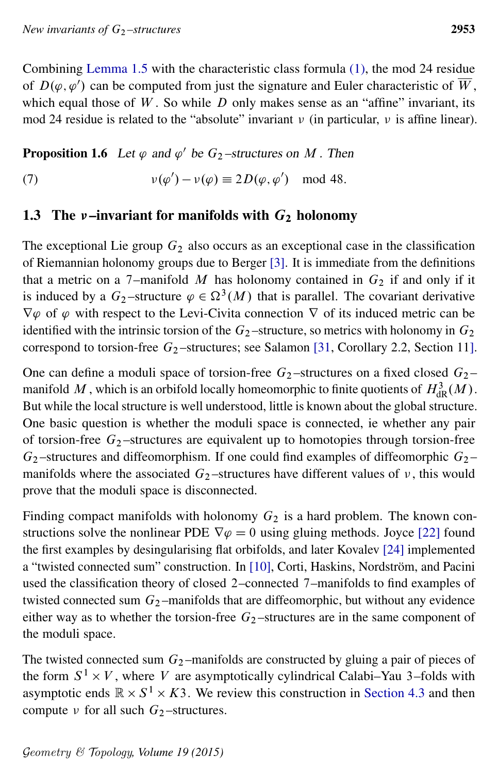Combining [Lemma 1.5](#page-3-2) with the characteristic class formula [\(1\),](#page-1-0) the mod 24 residue of  $D(\varphi, \varphi')$  can be computed from just the signature and Euler characteristic of W, which equal those of  $W$ . So while  $D$  only makes sense as an "affine" invariant, its mod 24 residue is related to the "absolute" invariant  $\nu$  (in particular,  $\nu$  is affine linear).

# <span id="page-4-1"></span>**Proposition 1.6** Let  $\varphi$  and  $\varphi'$  be  $G_2$ -structures on M. Then

(7) 
$$
\nu(\varphi') - \nu(\varphi) \equiv 2D(\varphi, \varphi') \mod 48.
$$

## 1.3 The  $\nu$ -invariant for manifolds with  $G_2$  holonomy

The exceptional Lie group  $G_2$  also occurs as an exceptional case in the classification of Riemannian holonomy groups due to Berger [\[3\]](#page-41-1). It is immediate from the definitions that a metric on a 7–manifold M has holonomy contained in  $G_2$  if and only if it is induced by a  $G_2$ -structure  $\varphi \in \Omega^3(M)$  that is parallel. The covariant derivative  $\nabla \varphi$  of  $\varphi$  with respect to the Levi-Civita connection  $\nabla$  of its induced metric can be identified with the intrinsic torsion of the  $G_2$ -structure, so metrics with holonomy in  $G_2$ correspond to torsion-free  $G_2$ -structures; see Salamon [\[31,](#page-42-2) Corollary 2.2, Section 11].

One can define a moduli space of torsion-free  $G_2$ -structures on a fixed closed  $G_2$ manifold  $M$  , which is an orbifold locally homeomorphic to finite quotients of  $H^3_{\mathrm{dR}}(M)$ . But while the local structure is well understood, little is known about the global structure. One basic question is whether the moduli space is connected, ie whether any pair of torsion-free  $G_2$ -structures are equivalent up to homotopies through torsion-free  $G_2$ -structures and diffeomorphism. If one could find examples of diffeomorphic  $G_2$ manifolds where the associated  $G_2$ -structures have different values of  $\nu$ , this would prove that the moduli space is disconnected.

Finding compact manifolds with holonomy  $G_2$  is a hard problem. The known constructions solve the nonlinear PDE  $\nabla \varphi = 0$  using gluing methods. Joyce [\[22\]](#page-42-3) found the first examples by desingularising flat orbifolds, and later Kovalev [\[24\]](#page-42-4) implemented a "twisted connected sum" construction. In [\[10\]](#page-41-2), Corti, Haskins, Nordström, and Pacini used the classification theory of closed 2–connected 7–manifolds to find examples of twisted connected sum  $G_2$ -manifolds that are diffeomorphic, but without any evidence either way as to whether the torsion-free  $G_2$ -structures are in the same component of the moduli space.

<span id="page-4-0"></span>The twisted connected sum  $G_2$ -manifolds are constructed by gluing a pair of pieces of the form  $S^1 \times V$ , where V are asymptotically cylindrical Calabi–Yau 3–folds with asymptotic ends  $\mathbb{R} \times S^1 \times K3$ . We review this construction in [Section 4.3](#page-25-0) and then compute  $\nu$  for all such  $G_2$ -structures.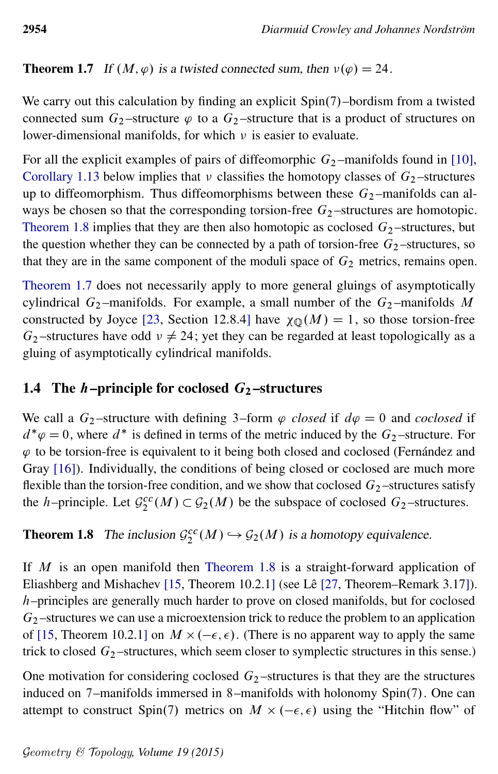**Theorem 1.7** If  $(M, \varphi)$  is a twisted connected sum, then  $v(\varphi) = 24$ .

We carry out this calculation by finding an explicit Spin(7)-bordism from a twisted connected sum  $G_2$ -structure  $\varphi$  to a  $G_2$ -structure that is a product of structures on lower-dimensional manifolds, for which  $\nu$  is easier to evaluate.

For all the explicit examples of pairs of diffeomorphic  $G_2$  –manifolds found in [\[10\]](#page-41-2), [Corollary 1.13](#page-7-1) below implies that  $\nu$  classifies the homotopy classes of  $G_2$ -structures up to diffeomorphism. Thus diffeomorphisms between these  $G_2$ -manifolds can always be chosen so that the corresponding torsion-free  $G_2$ -structures are homotopic. [Theorem 1.8](#page-5-0) implies that they are then also homotopic as coclosed  $G_2$ -structures, but the question whether they can be connected by a path of torsion-free  $G_2$ -structures, so that they are in the same component of the moduli space of  $G_2$  metrics, remains open.

[Theorem 1.7](#page-4-0) does not necessarily apply to more general gluings of asymptotically cylindrical  $G_2$ -manifolds. For example, a small number of the  $G_2$ -manifolds M constructed by Joyce [\[23,](#page-42-5) Section 12.8.4] have  $\chi_{\mathbb{O}}(M) = 1$ , so those torsion-free  $G_2$ -structures have odd  $v \neq 24$ ; yet they can be regarded at least topologically as a gluing of asymptotically cylindrical manifolds.

# 1.4 The *h*–principle for coclosed  $G_2$ –structures

We call a  $G_2$ -structure with defining 3-form  $\varphi$  *closed* if  $d\varphi = 0$  and *coclosed* if  $d^*\varphi = 0$ , where  $d^*$  is defined in terms of the metric induced by the  $G_2$ -structure. For  $\varphi$  to be torsion-free is equivalent to it being both closed and coclosed (Fernández and Gray [\[16\]](#page-41-3)). Individually, the conditions of being closed or coclosed are much more flexible than the torsion-free condition, and we show that coclosed  $G_2$ -structures satisfy the *h*–principle. Let  $\mathcal{G}_2^{cc}(M) \subset \mathcal{G}_2(M)$  be the subspace of coclosed  $G_2$ –structures.

<span id="page-5-0"></span>**Theorem 1.8** The inclusion  $\mathcal{G}_2^{cc}(M) \hookrightarrow \mathcal{G}_2(M)$  is a homotopy equivalence.

If M is an open manifold then [Theorem 1.8](#page-5-0) is a straight-forward application of Eliashberg and Mishachev [\[15,](#page-41-4) Theorem 10.2.1] (see Lê [\[27,](#page-42-6) Theorem–Remark 3.17]). h–principles are generally much harder to prove on closed manifolds, but for coclosed  $G_2$ -structures we can use a microextension trick to reduce the problem to an application of [\[15,](#page-41-4) Theorem 10.2.1] on  $M \times (-\epsilon, \epsilon)$ . (There is no apparent way to apply the same trick to closed  $G_2$ -structures, which seem closer to symplectic structures in this sense.)

One motivation for considering coclosed  $G_2$ -structures is that they are the structures induced on  $7$ –manifolds immersed in 8–manifolds with holonomy Spin $(7)$ . One can attempt to construct Spin(7) metrics on  $M \times (-\epsilon, \epsilon)$  using the "Hitchin flow" of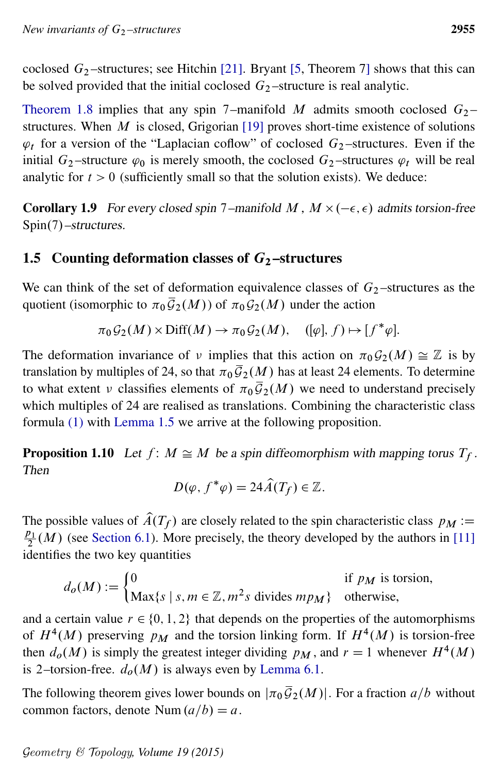coclosed  $G_2$ -structures; see Hitchin [\[21\]](#page-42-7). Bryant [\[5,](#page-41-5) Theorem 7] shows that this can be solved provided that the initial coclosed  $G<sub>2</sub>$  –structure is real analytic.

[Theorem 1.8](#page-5-0) implies that any spin 7–manifold M admits smooth coclosed  $G_2$ – structures. When  $M$  is closed, Grigorian [\[19\]](#page-42-8) proves short-time existence of solutions  $\varphi_t$  for a version of the "Laplacian coflow" of coclosed  $G_2$ -structures. Even if the initial  $G_2$ -structure  $\varphi_0$  is merely smooth, the coclosed  $G_2$ -structures  $\varphi_t$  will be real analytic for  $t > 0$  (sufficiently small so that the solution exists). We deduce:

**Corollary 1.9** For every closed spin 7–manifold M,  $M \times (-\epsilon, \epsilon)$  admits torsion-free Spin(7)–structures.

## <span id="page-6-1"></span>1.5 Counting deformation classes of  $G_2$ -structures

We can think of the set of deformation equivalence classes of  $G_2$ -structures as the quotient (isomorphic to  $\pi_0\overline{\mathcal{G}}_2(M)$ ) of  $\pi_0\mathcal{G}_2(M)$  under the action

$$
\pi_0 G_2(M) \times \text{Diff}(M) \to \pi_0 G_2(M), \quad ([\varphi], f) \mapsto [f^*\varphi].
$$

The deformation invariance of v implies that this action on  $\pi_0 \mathcal{G}_2(M) \cong \mathbb{Z}$  is by translation by multiples of 24, so that  $\pi_0 \overline{\mathcal{G}}_2(M)$  has at least 24 elements. To determine to what extent v classifies elements of  $\pi_0 \bar{\mathcal{G}}_2(M)$  we need to understand precisely which multiples of 24 are realised as translations. Combining the characteristic class formula [\(1\)](#page-1-0) with [Lemma 1.5](#page-3-2) we arrive at the following proposition.

<span id="page-6-2"></span>**Proposition 1.10** Let  $f: M \cong M$  be a spin diffeomorphism with mapping torus  $T_f$ . Then

$$
D(\varphi, f^*\varphi) = 24\widehat{A}(T_f) \in \mathbb{Z}.
$$

The possible values of  $\hat{A}(T_f)$  are closely related to the spin characteristic class  $p_M :=$  $p_1$  $\frac{p_1}{2}(M)$  (see [Section 6.1\)](#page-34-0). More precisely, the theory developed by the authors in [\[11\]](#page-41-6) identifies the two key quantities

$$
d_o(M) := \begin{cases} 0 & \text{if } p_M \text{ is torsion,} \\ \text{Max}\{s \mid s, m \in \mathbb{Z}, m^2 s \text{ divides } mp_M\} & \text{otherwise,} \end{cases}
$$

and a certain value  $r \in \{0, 1, 2\}$  that depends on the properties of the automorphisms of  $H^4(M)$  preserving  $p_M$  and the torsion linking form. If  $H^4(M)$  is torsion-free then  $d_o(M)$  is simply the greatest integer dividing  $p_M$ , and  $r = 1$  whenever  $H^4(M)$ is 2–torsion-free.  $d_o(M)$  is always even by [Lemma 6.1.](#page-34-1)

<span id="page-6-0"></span>The following theorem gives lower bounds on  $|\pi_0 \overline{\mathcal{G}}_2(M)|$ . For a fraction  $a/b$  without common factors, denote Num  $\left(\frac{a}{b}\right)=a$ .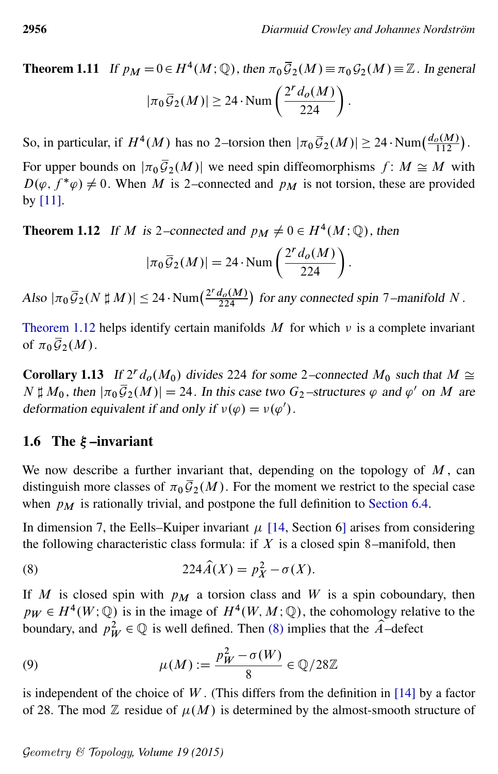**Theorem 1.11** If  $p_M = 0 \in H^4(M; \mathbb{Q})$ , then  $\pi_0 \overline{G}_2(M) \equiv \pi_0 \mathcal{G}_2(M) \equiv \mathbb{Z}$ . In general  $|\pi_0 \overline{\mathcal{G}}_2(M)| \geq 24 \cdot \text{Num}\left(\frac{2^r d_o(M)}{224}\right).$ 

So, in particular, if  $H^4(M)$  has no 2-torsion then  $|\pi_0 \bar{G}_2(M)| \ge 24 \cdot \text{Num}(\frac{d_o(M)}{112})$  $\frac{\rho(M)}{112}\big).$ 

For upper bounds on  $|\pi_0 \bar{G}_2(M)|$  we need spin diffeomorphisms  $f: M \cong M$  with  $D(\varphi, f^*\varphi) \neq 0$ . When M is 2–connected and  $p_M$  is not torsion, these are provided by [\[11\]](#page-41-6).

<span id="page-7-2"></span>**Theorem 1.12** If M is 2–connected and  $p_M \neq 0 \in H^4(M; \mathbb{Q})$ , then

<span id="page-7-3"></span>
$$
|\pi_0 \overline{\mathcal{G}}_2(M)| = 24 \cdot \text{Num}\left(\frac{2^r d_o(M)}{224}\right).
$$

Also  $|\pi_0 \overline{\mathcal{G}}_2(N \sharp M)| \leq 24 \cdot \text{Num} \left( \frac{2^r d_o(M)}{224} \right)$  $\frac{d_0(M)}{224}$ ) for any connected spin 7–manifold N.

[Theorem 1.12](#page-7-2) helps identify certain manifolds  $M$  for which  $\nu$  is a complete invariant of  $\pi_0 \overline{\mathcal{G}}_2(M)$ .

<span id="page-7-1"></span>**Corollary 1.13** If  $2^r d_o(M_0)$  divides 224 for some 2–connected  $M_0$  such that  $M \cong$  $N \sharp M_0$ , then  $|\pi_0 \bar{G}_2(M)| = 24$ . In this case two  $G_2$ -structures  $\varphi$  and  $\varphi'$  on M are deformation equivalent if and only if  $v(\varphi) = v(\varphi')$ .

#### <span id="page-7-4"></span>1.6 The  $\xi$ -invariant

We now describe a further invariant that, depending on the topology of  $M$ , can distinguish more classes of  $\pi_0 \bar{G}_2(M)$ . For the moment we restrict to the special case when  $p_M$  is rationally trivial, and postpone the full definition to [Section 6.4.](#page-39-0)

In dimension 7, the Eells–Kuiper invariant  $\mu$  [\[14,](#page-41-0) Section 6] arises from considering the following characteristic class formula: if  $X$  is a closed spin 8–manifold, then

(8) 
$$
224\widehat{A}(X) = p_X^2 - \sigma(X).
$$

If M is closed spin with  $p_M$  a torsion class and W is a spin coboundary, then  $p_W \in H^4(W; \mathbb{Q})$  is in the image of  $H^4(W, M; \mathbb{Q})$ , the cohomology relative to the boundary, and  $p_W^2 \in \mathbb{Q}$  is well defined. Then [\(8\)](#page-7-3) implies that the  $\hat{A}$ -defect

<span id="page-7-0"></span>(9) 
$$
\mu(M) := \frac{p_W^2 - \sigma(W)}{8} \in \mathbb{Q}/28\mathbb{Z}
$$

is independent of the choice of  $W$ . (This differs from the definition in [\[14\]](#page-41-0) by a factor of 28. The mod  $\mathbb Z$  residue of  $\mu(M)$  is determined by the almost-smooth structure of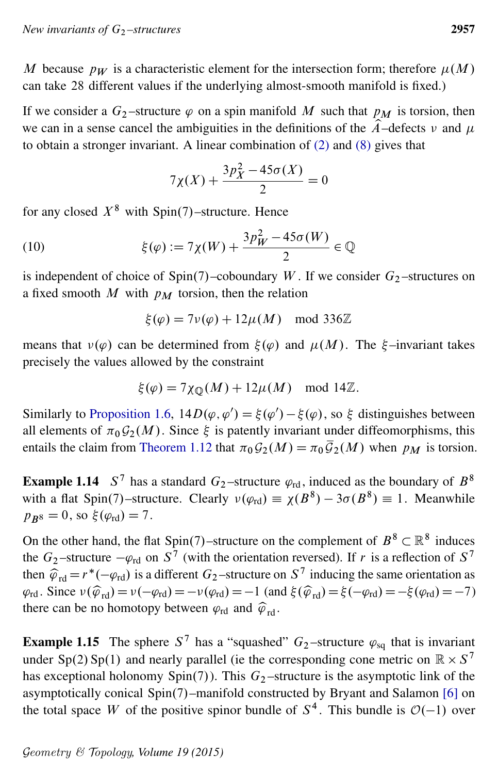M because  $p_W$  is a characteristic element for the intersection form; therefore  $\mu(M)$ can take 28 different values if the underlying almost-smooth manifold is fixed.)

If we consider a  $G_2$ -structure  $\varphi$  on a spin manifold M such that  $p_M$  is torsion, then we can in a sense cancel the ambiguities in the definitions of the  $\hat{A}$ –defects  $\nu$  and  $\mu$ to obtain a stronger invariant. A linear combination of [\(2\)](#page-1-1) and [\(8\)](#page-7-3) gives that

<span id="page-8-2"></span>
$$
7\chi(X) + \frac{3p_X^2 - 45\sigma(X)}{2} = 0
$$

for any closed  $X^8$  with Spin(7)–structure. Hence

(10) 
$$
\xi(\varphi) := 7\chi(W) + \frac{3p_W^2 - 45\sigma(W)}{2} \in \mathbb{Q}
$$

is independent of choice of  $Spin(7)$ –coboundary W. If we consider  $G_2$ –structures on a fixed smooth M with  $p_M$  torsion, then the relation

$$
\xi(\varphi) = 7\nu(\varphi) + 12\mu(M) \mod 336\mathbb{Z}
$$

means that  $v(\varphi)$  can be determined from  $\xi(\varphi)$  and  $\mu(M)$ . The  $\xi$ -invariant takes precisely the values allowed by the constraint

$$
\xi(\varphi) = 7\chi_{\mathbb{Q}}(M) + 12\mu(M) \mod 14\mathbb{Z}.
$$

Similarly to [Proposition 1.6,](#page-4-1)  $14D(\varphi, \varphi') = \xi(\varphi') - \xi(\varphi)$ , so  $\xi$  distinguishes between all elements of  $\pi_0 \mathcal{G}_2(M)$ . Since  $\xi$  is patently invariant under diffeomorphisms, this entails the claim from [Theorem 1.12](#page-7-2) that  $\pi_0 G_2(M) = \pi_0 \overline{G}_2(M)$  when  $p_M$  is torsion.

<span id="page-8-0"></span>**Example 1.14** S<sup>7</sup> has a standard G<sub>2</sub>-structure  $\varphi_{rd}$ , induced as the boundary of B<sup>8</sup> with a flat Spin(7)-structure. Clearly  $v(\varphi_{rd}) \equiv \chi(B^8) - 3\sigma(B^8) \equiv 1$ . Meanwhile  $p_{B8} = 0$ , so  $\xi(\varphi_{\rm rd}) = 7$ .

On the other hand, the flat Spin(7)–structure on the complement of  $B^8 \subset \mathbb{R}^8$  induces the  $G_2$ -structure  $-\varphi_{\rm rd}$  on  $S^7$  (with the orientation reversed). If r is a reflection of  $S^7$ then  $\hat{\varphi}_{rd} = r^*(-\varphi_{rd})$  is a different  $G_2$ -structure on  $S^7$  inducing the same orientation as  $\varphi_{\rm rd}$ . Since  $v(\hat{\varphi}_{\rm rd}) = v(-\varphi_{\rm rd}) = -v(\varphi_{\rm rd}) = -1$  (and  $\xi(\hat{\varphi}_{\rm rd}) = \xi(-\varphi_{\rm rd}) = -\xi(\varphi_{\rm rd}) = -7$ ) there can be no homotopy between  $\varphi_{\text{rd}}$  and  $\widehat{\varphi}_{\text{rd}}$ .

<span id="page-8-1"></span>**Example 1.15** The sphere  $S^7$  has a "squashed"  $G_2$ -structure  $\varphi_{sq}$  that is invariant under Sp(2) Sp(1) and nearly parallel (ie the corresponding cone metric on  $\mathbb{R} \times S^7$ has exceptional holonomy Spin(7)). This  $G_2$ -structure is the asymptotic link of the asymptotically conical  $Spin(7)$ –manifold constructed by Bryant and Salamon [\[6\]](#page-41-7) on the total space W of the positive spinor bundle of  $S<sup>4</sup>$ . This bundle is  $\mathcal{O}(-1)$  over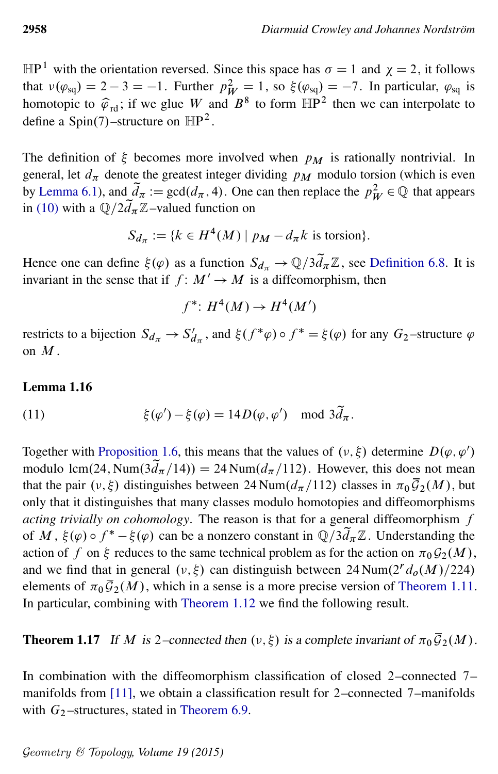$\mathbb{HP}^1$  with the orientation reversed. Since this space has  $\sigma = 1$  and  $\chi = 2$ , it follows that  $v(\varphi_{sq}) = 2 - 3 = -1$ . Further  $p_W^2 = 1$ , so  $\xi(\varphi_{sq}) = -7$ . In particular,  $\varphi_{sq}$  is homotopic to  $\hat{\varphi}_{\text{rd}}$ ; if we glue W and  $B^8$  to form  $\mathbb{HP}^2$  then we can interpolate to define a Spin(7)–structure on  $\mathbb{HP}^2$ .

The definition of  $\xi$  becomes more involved when  $p_M$  is rationally nontrivial. In general, let  $d_{\pi}$  denote the greatest integer dividing  $p_M$  modulo torsion (which is even by [Lemma 6.1\)](#page-34-1), and  $\tilde{d}_\pi := \gcd(d_\pi, 4)$ . One can then replace the  $p_W^2 \in \mathbb{Q}$  that appears in [\(10\)](#page-8-2) with a  $\mathbb{Q}/2d_{\pi}\mathbb{Z}$ -valued function on

$$
S_{d_{\pi}} := \{ k \in H^4(M) \mid p_M - d_{\pi} k \text{ is torsion} \}.
$$

Hence one can define  $\xi(\varphi)$  as a function  $S_{d_{\pi}} \to \mathbb{Q}/3d_{\pi}\mathbb{Z}$ , see [Definition 6.8.](#page-39-1) It is invariant in the sense that if  $f: M' \to M$  is a diffeomorphism, then

 $f^*: H^4(M) \to H^4(M')$ 

restricts to a bijection  $S_{d_{\pi}} \to S'_{d_{\pi}}$ , and  $\xi(f^*\varphi) \circ f^* = \xi(\varphi)$  for any  $G_2$ -structure  $\varphi$ on  $M$ .

#### Lemma 1.16

(11) 
$$
\xi(\varphi') - \xi(\varphi) = 14D(\varphi, \varphi') \mod 3\tilde{d}_{\pi}.
$$

Together with [Proposition 1.6,](#page-4-1) this means that the values of  $(\nu, \xi)$  determine  $D(\varphi, \varphi')$ modulo lcm(24, Num( $3d_{\pi}/14$ )) = 24 Num( $d_{\pi}/112$ ). However, this does not mean that the pair  $(v, \xi)$  distinguishes between 24 Num $(d_\pi/112)$  classes in  $\pi_0 \overline{\mathcal{G}}_2(M)$ , but only that it distinguishes that many classes modulo homotopies and diffeomorphisms *acting trivially on cohomology*. The reason is that for a general diffeomorphism f of M,  $\xi(\varphi) \circ f^* - \xi(\varphi)$  can be a nonzero constant in  $\mathbb{Q}/3d_{\pi}\mathbb{Z}$ . Understanding the action of f on  $\xi$  reduces to the same technical problem as for the action on  $\pi_0\mathcal{G}_2(M)$ , and we find that in general  $(\nu, \xi)$  can distinguish between 24 Num $(2^r d_o(M)/224)$ elements of  $\pi_0 \overline{\mathcal{G}}_2(M)$ , which in a sense is a more precise version of [Theorem 1.11.](#page-6-0) In particular, combining with [Theorem 1.12](#page-7-2) we find the following result.

<span id="page-9-0"></span>**Theorem 1.17** If M is 2–connected then  $(v, \xi)$  is a complete invariant of  $\pi_0 \overline{\mathcal{G}}_2(M)$ .

In combination with the diffeomorphism classification of closed 2–connected 7– manifolds from [\[11\]](#page-41-6), we obtain a classification result for 2–connected 7–manifolds with  $G_2$ -structures, stated in [Theorem 6.9.](#page-40-0)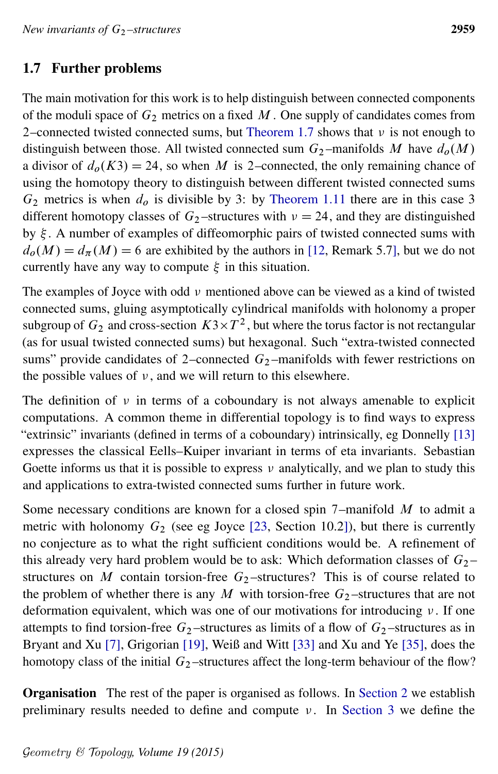# <span id="page-10-0"></span>1.7 Further problems

The main motivation for this work is to help distinguish between connected components of the moduli space of  $G_2$  metrics on a fixed M. One supply of candidates comes from 2–connected twisted connected sums, but [Theorem 1.7](#page-4-0) shows that  $\nu$  is not enough to distinguish between those. All twisted connected sum  $G_2$ -manifolds M have  $d_0(M)$ a divisor of  $d_o(K3) = 24$ , so when M is 2–connected, the only remaining chance of using the homotopy theory to distinguish between different twisted connected sums  $G_2$  metrics is when  $d_0$  is divisible by 3: by [Theorem 1.11](#page-6-0) there are in this case 3 different homotopy classes of  $G_2$ -structures with  $\nu = 24$ , and they are distinguished by  $\xi$ . A number of examples of diffeomorphic pairs of twisted connected sums with  $d_{\rho}(M) = d_{\pi}(M) = 6$  are exhibited by the authors in [\[12,](#page-41-8) Remark 5.7], but we do not currently have any way to compute  $\xi$  in this situation.

The examples of Joyce with odd  $\nu$  mentioned above can be viewed as a kind of twisted connected sums, gluing asymptotically cylindrical manifolds with holonomy a proper subgroup of  $G_2$  and cross-section  $K3 \times T^2$ , but where the torus factor is not rectangular (as for usual twisted connected sums) but hexagonal. Such "extra-twisted connected sums" provide candidates of 2–connected  $G_2$ –manifolds with fewer restrictions on the possible values of  $\nu$ , and we will return to this elsewhere.

The definition of  $\nu$  in terms of a coboundary is not always amenable to explicit computations. A common theme in differential topology is to find ways to express "extrinsic" invariants (defined in terms of a coboundary) intrinsically, eg Donnelly [\[13\]](#page-41-9) expresses the classical Eells–Kuiper invariant in terms of eta invariants. Sebastian Goette informs us that it is possible to express  $\nu$  analytically, and we plan to study this and applications to extra-twisted connected sums further in future work.

Some necessary conditions are known for a closed spin  $7$ –manifold  $M$  to admit a metric with holonomy  $G_2$  (see eg Joyce [\[23,](#page-42-5) Section 10.2]), but there is currently no conjecture as to what the right sufficient conditions would be. A refinement of this already very hard problem would be to ask: Which deformation classes of  $G_2$  – structures on M contain torsion-free  $G_2$ -structures? This is of course related to the problem of whether there is any M with torsion-free  $G_2$ -structures that are not deformation equivalent, which was one of our motivations for introducing  $\nu$ . If one attempts to find torsion-free  $G_2$ -structures as limits of a flow of  $G_2$ -structures as in Bryant and Xu [\[7\]](#page-41-10), Grigorian [\[19\]](#page-42-8), Weiß and Witt [\[33\]](#page-42-9) and Xu and Ye [\[35\]](#page-43-0), does the homotopy class of the initial  $G_2$ -structures affect the long-term behaviour of the flow?

Organisation The rest of the paper is organised as follows. In [Section 2](#page-11-1) we establish preliminary results needed to define and compute  $\nu$ . In [Section 3](#page-15-1) we define the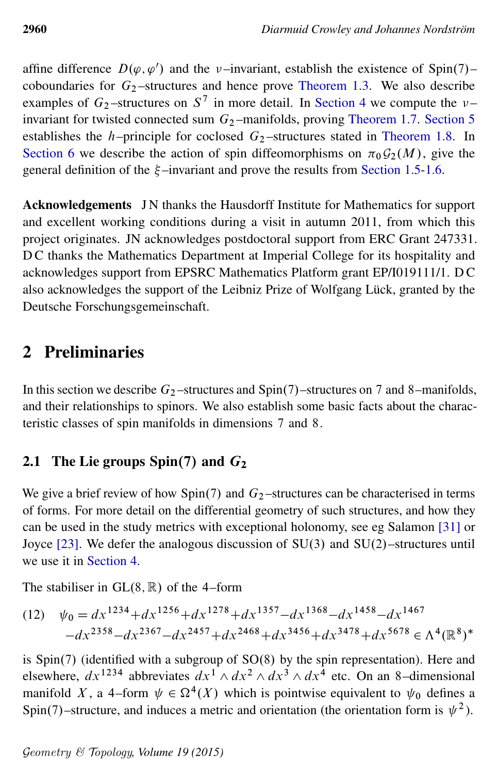affine difference  $D(\varphi, \varphi')$  and the v-invariant, establish the existence of Spin(7)– coboundaries for  $G_2$ -structures and hence prove [Theorem 1.3.](#page-2-0) We also describe examples of  $G_2$ -structures on  $S^7$  in more detail. In [Section 4](#page-21-0) we compute the  $\nu$ invariant for twisted connected sum  $G_2$ -manifolds, proving [Theorem 1.7.](#page-4-0) [Section 5](#page-31-0) establishes the h–principle for coclosed  $G_2$ –structures stated in [Theorem 1.8.](#page-5-0) In [Section 6](#page-33-0) we describe the action of spin diffeomorphisms on  $\pi_0 \mathcal{G}_2(M)$ , give the general definition of the  $\xi$ -invariant and prove the results from [Section 1.5](#page-6-1)[-1.6.](#page-7-4)

Acknowledgements JN thanks the Hausdorff Institute for Mathematics for support and excellent working conditions during a visit in autumn 2011, from which this project originates. JN acknowledges postdoctoral support from ERC Grant 247331. D C thanks the Mathematics Department at Imperial College for its hospitality and acknowledges support from EPSRC Mathematics Platform grant EP/I019111/1. D C also acknowledges the support of the Leibniz Prize of Wolfgang Lück, granted by the Deutsche Forschungsgemeinschaft.

# <span id="page-11-1"></span>2 Preliminaries

In this section we describe  $G_2$ -structures and Spin $(7)$ -structures on 7 and 8-manifolds, and their relationships to spinors. We also establish some basic facts about the characteristic classes of spin manifolds in dimensions 7 and 8.

# <span id="page-11-0"></span>2.1 The Lie groups Spin(7) and  $G_2$

We give a brief review of how Spin(7) and  $G_2$ -structures can be characterised in terms of forms. For more detail on the differential geometry of such structures, and how they can be used in the study metrics with exceptional holonomy, see eg Salamon [\[31\]](#page-42-2) or Joyce  $[23]$ . We defer the analogous discussion of SU(3) and SU(2)-structures until we use it in [Section 4.](#page-21-0)

The stabiliser in  $GL(8, \mathbb{R})$  of the 4–form

(12) 
$$
\psi_0 = dx^{1234} + dx^{1256} + dx^{1278} + dx^{1357} - dx^{1368} - dx^{1458} - dx^{1467} - dx^{2358} - dx^{2367} - dx^{2457} + dx^{2468} + dx^{3456} + dx^{3478} + dx^{5678} \in \Lambda^4(\mathbb{R}^8)^*
$$

is  $Spin(7)$  (identified with a subgroup of  $SO(8)$  by the spin representation). Here and elsewhere,  $dx^{1234}$  abbreviates  $dx^{1} \wedge dx^{2} \wedge dx^{3} \wedge dx^{4}$  etc. On an 8-dimensional manifold X, a 4–form  $\psi \in \Omega^4(X)$  which is pointwise equivalent to  $\psi_0$  defines a Spin(7)–structure, and induces a metric and orientation (the orientation form is  $\psi^2$ ).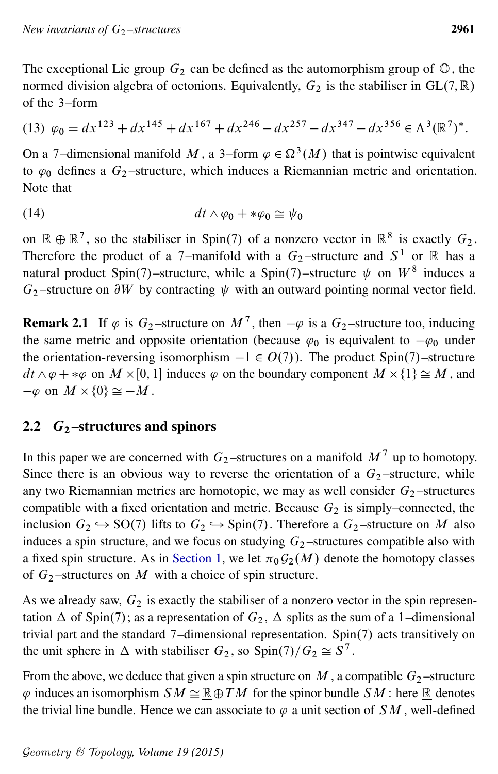The exceptional Lie group  $G_2$  can be defined as the automorphism group of  $\mathbb{O}$ , the normed division algebra of octonions. Equivalently,  $G_2$  is the stabiliser in GL $(7, \mathbb{R})$ of the 3–form

<span id="page-12-1"></span>
$$
(13) \ \varphi_0 = dx^{123} + dx^{145} + dx^{167} + dx^{246} - dx^{257} - dx^{347} - dx^{356} \in \Lambda^3(\mathbb{R}^7)^*.
$$

<span id="page-12-2"></span>On a 7-dimensional manifold M, a 3-form  $\varphi \in \Omega^3(M)$  that is pointwise equivalent to  $\varphi_0$  defines a  $G_2$ -structure, which induces a Riemannian metric and orientation. Note that

$$
(14) \t\t dt \wedge \varphi_0 + *\varphi_0 \cong \psi_0
$$

on  $\mathbb{R} \oplus \mathbb{R}^7$ , so the stabiliser in Spin(7) of a nonzero vector in  $\mathbb{R}^8$  is exactly  $G_2$ . Therefore the product of a 7-manifold with a  $G_2$ -structure and  $S^1$  or  $\mathbb R$  has a natural product Spin(7)–structure, while a Spin(7)–structure  $\psi$  on  $W^8$  induces a  $G_2$ -structure on  $\partial W$  by contracting  $\psi$  with an outward pointing normal vector field.

**Remark 2.1** If  $\varphi$  is  $G_2$ -structure on  $M^7$ , then  $-\varphi$  is a  $G_2$ -structure too, inducing the same metric and opposite orientation (because  $\varphi_0$  is equivalent to  $-\varphi_0$  under the orientation-reversing isomorphism  $-1 \in O(7)$ ). The product Spin(7)–structure  $dt \wedge \varphi + \ast \varphi$  on  $M \times [0, 1]$  induces  $\varphi$  on the boundary component  $M \times \{1\} \cong M$ , and  $-\varphi$  on  $M \times \{0\} \cong -M$ .

## <span id="page-12-0"></span>2.2  $G_2$ -structures and spinors

In this paper we are concerned with  $G_2$ -structures on a manifold  $M<sup>7</sup>$  up to homotopy. Since there is an obvious way to reverse the orientation of a  $G_2$ -structure, while any two Riemannian metrics are homotopic, we may as well consider  $G_2$ -structures compatible with a fixed orientation and metric. Because  $G_2$  is simply–connected, the inclusion  $G_2 \hookrightarrow SO(7)$  lifts to  $G_2 \hookrightarrow Spin(7)$ . Therefore a  $G_2$ -structure on M also induces a spin structure, and we focus on studying  $G_2$ -structures compatible also with a fixed spin structure. As in [Section 1,](#page-0-0) we let  $\pi_0 \mathcal{G}_2(M)$  denote the homotopy classes of  $G_2$ -structures on M with a choice of spin structure.

As we already saw,  $G_2$  is exactly the stabiliser of a nonzero vector in the spin representation  $\Delta$  of Spin(7); as a representation of  $G_2$ ,  $\Delta$  splits as the sum of a 1–dimensional trivial part and the standard  $7$ –dimensional representation. Spin $(7)$  acts transitively on the unit sphere in  $\Delta$  with stabiliser  $G_2$ , so  $\text{Spin}(7)/G_2 \cong S^7$ .

From the above, we deduce that given a spin structure on  $M$ , a compatible  $G_2$ -structure  $\varphi$  induces an isomorphism  $SM \cong \mathbb{R} \oplus TM$  for the spinor bundle  $SM$ : here  $\mathbb R$  denotes the trivial line bundle. Hence we can associate to  $\varphi$  a unit section of SM, well-defined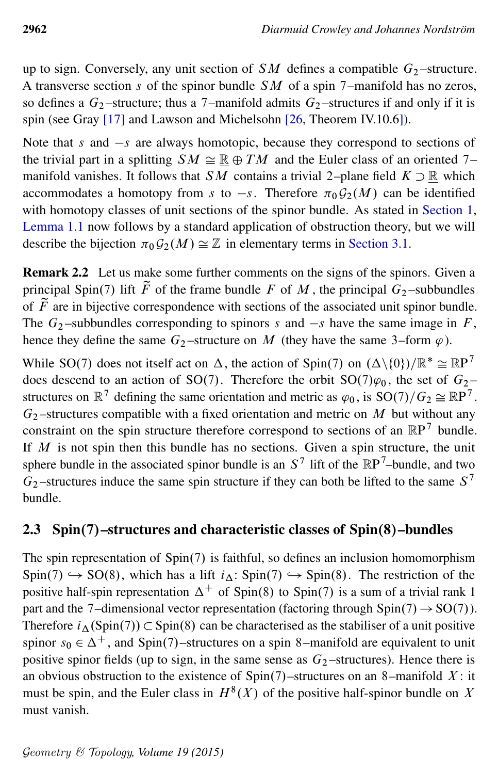up to sign. Conversely, any unit section of  $SM$  defines a compatible  $G_2$ -structure. A transverse section s of the spinor bundle  $SM$  of a spin 7–manifold has no zeros, so defines a  $G_2$ -structure; thus a 7-manifold admits  $G_2$ -structures if and only if it is spin (see Gray [\[17\]](#page-41-11) and Lawson and Michelsohn [\[26,](#page-42-10) Theorem IV.10.6]).

Note that s and  $-s$  are always homotopic, because they correspond to sections of the trivial part in a splitting  $SM \cong \mathbb{R} \oplus TM$  and the Euler class of an oriented 7– manifold vanishes. It follows that SM contains a trivial 2–plane field  $K \supset \mathbb{R}$  which accommodates a homotopy from s to  $-s$ . Therefore  $\pi_0 \mathcal{G}_2(M)$  can be identified with homotopy classes of unit sections of the spinor bundle. As stated in [Section 1,](#page-0-0) [Lemma 1.1](#page-1-2) now follows by a standard application of obstruction theory, but we will describe the bijection  $\pi_0 \mathcal{G}_2(M) \cong \mathbb{Z}$  in elementary terms in [Section 3.1.](#page-16-0)

Remark 2.2 Let us make some further comments on the signs of the spinors. Given a principal Spin(7) lift  $\tilde{F}$  of the frame bundle F of M, the principal  $G_2$ -subbundles of  $\tilde{F}$  are in bijective correspondence with sections of the associated unit spinor bundle. The  $G_2$ -subbundles corresponding to spinors s and  $-s$  have the same image in F, hence they define the same  $G_2$ -structure on M (they have the same 3–form  $\varphi$ ).

While SO(7) does not itself act on  $\Delta$ , the action of Spin(7) on  $(\Delta \setminus \{0\})/\mathbb{R}^* \cong \mathbb{R}P^7$ does descend to an action of SO(7). Therefore the orbit  $SO(7)\varphi_0$ , the set of  $G_2$  – structures on  $\mathbb{R}^7$  defining the same orientation and metric as  $\varphi_0$ , is  $SO(7)/G_2 \cong \mathbb{R}P^7$ .  $G_2$ -structures compatible with a fixed orientation and metric on M but without any constraint on the spin structure therefore correspond to sections of an  $\mathbb{R}P^7$  bundle. If  $M$  is not spin then this bundle has no sections. Given a spin structure, the unit sphere bundle in the associated spinor bundle is an  $S^7$  lift of the  $\mathbb{R}P^7$ -bundle, and two  $G_2$ -structures induce the same spin structure if they can both be lifted to the same  $S^7$ bundle.

## 2.3 Spin $(7)$ –structures and characteristic classes of Spin $(8)$ –bundles

<span id="page-13-0"></span>The spin representation of  $Spin(7)$  is faithful, so defines an inclusion homomorphism  $Spin(7) \hookrightarrow SO(8)$ , which has a lift  $i_{\Delta}$ : Spin $(7) \hookrightarrow Spin(8)$ . The restriction of the positive half-spin representation  $\Delta^+$  of Spin(8) to Spin(7) is a sum of a trivial rank 1 part and the 7–dimensional vector representation (factoring through Spin(7)  $\rightarrow$  SO(7)). Therefore  $i_{\Delta}$ (Spin(7))  $\subset$  Spin(8) can be characterised as the stabiliser of a unit positive spinor  $s_0 \in \Delta^+$ , and Spin(7)–structures on a spin 8–manifold are equivalent to unit positive spinor fields (up to sign, in the same sense as  $G_2$ -structures). Hence there is an obvious obstruction to the existence of  $Spin(7)$ –structures on an 8–manifold X: it must be spin, and the Euler class in  $H^{8}(X)$  of the positive half-spinor bundle on X must vanish.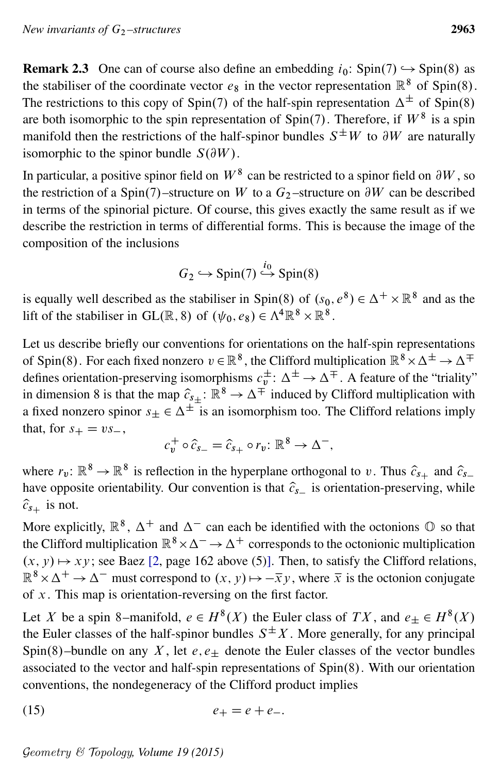**Remark 2.3** One can of course also define an embedding  $i_0$ : Spin $(7) \rightarrow$  Spin $(8)$  as the stabiliser of the coordinate vector  $e_8$  in the vector representation  $\mathbb{R}^8$  of Spin(8). The restrictions to this copy of Spin(7) of the half-spin representation  $\Delta^{\pm}$  of Spin(8) are both isomorphic to the spin representation of Spin(7). Therefore, if  $W^8$  is a spin manifold then the restrictions of the half-spinor bundles  $S^{\pm}W$  to  $\partial W$  are naturally isomorphic to the spinor bundle  $S(\partial W)$ .

In particular, a positive spinor field on  $W^8$  can be restricted to a spinor field on  $\partial W$ , so the restriction of a Spin(7)–structure on W to a  $G_2$ –structure on  $\partial W$  can be described in terms of the spinorial picture. Of course, this gives exactly the same result as if we describe the restriction in terms of differential forms. This is because the image of the composition of the inclusions

$$
G_2 \hookrightarrow \text{Spin}(7) \stackrel{i_0}{\hookrightarrow} \text{Spin}(8)
$$

is equally well described as the stabiliser in Spin(8) of  $(s_0, e^8) \in \Delta^+ \times \mathbb{R}^8$  and as the lift of the stabiliser in GL( $\mathbb{R}, 8$ ) of  $(\psi_0, e_8) \in \Lambda^4 \mathbb{R}^8 \times \mathbb{R}^8$ .

Let us describe briefly our conventions for orientations on the half-spin representations of Spin(8). For each fixed nonzero  $v \in \mathbb{R}^8$ , the Clifford multiplication  $\mathbb{R}^8 \times \Delta^{\pm} \to \Delta^{\mp}$ defines orientation-preserving isomorphisms  $c_v^{\pm}$ :  $\Delta^{\pm} \to \Delta^{\mp}$ . A feature of the "triality" in dimension 8 is that the map  $\hat{c}_{s\pm}$ :  $\mathbb{R}^8 \to \Delta^{\mp}$  induced by Clifford multiplication with a fixed nonzero spinor  $s_{\pm} \in \Delta^{\pm}$  is an isomorphism too. The Clifford relations imply that, for  $s_+ = v s_-,$ 

<span id="page-14-0"></span>
$$
c_v^+ \circ \widehat{c}_{s_-} = \widehat{c}_{s_+} \circ r_v \colon \mathbb{R}^8 \to \Delta^-,
$$

where  $r_v: \mathbb{R}^8 \to \mathbb{R}^8$  is reflection in the hyperplane orthogonal to v. Thus  $\hat{c}_{s_+}$  and  $\hat{c}_{s_-}$ have opposite orientability. Our convention is that  $\hat{c}_{s-}$  is orientation-preserving, while  $\widehat{c}_{s+}$  is not.

More explicitly,  $\mathbb{R}^8$ ,  $\Delta^+$  and  $\Delta^-$  can each be identified with the octonions  $\mathbb O$  so that the Clifford multiplication  $\mathbb{R}^8 \times \Delta^- \to \Delta^+$  corresponds to the octonionic multiplication  $(x, y) \mapsto xy$ ; see Baez [\[2,](#page-41-12) page 162 above (5)]. Then, to satisfy the Clifford relations,  $\mathbb{R}^8 \times \Delta^+ \to \Delta^-$  must correspond to  $(x, y) \mapsto -\overline{x}y$ , where  $\overline{x}$  is the octonion conjugate of  $x$ . This map is orientation-reversing on the first factor.

Let X be a spin 8–manifold,  $e \in H^8(X)$  the Euler class of  $TX$ , and  $e_{\pm} \in H^8(X)$ the Euler classes of the half-spinor bundles  $S^{\pm}X$ . More generally, for any principal Spin(8)–bundle on any X, let  $e, e_{+}$  denote the Euler classes of the vector bundles associated to the vector and half-spin representations of  $Spin(8)$ . With our orientation conventions, the nondegeneracy of the Clifford product implies

(15) 
$$
e_+ = e + e_-.
$$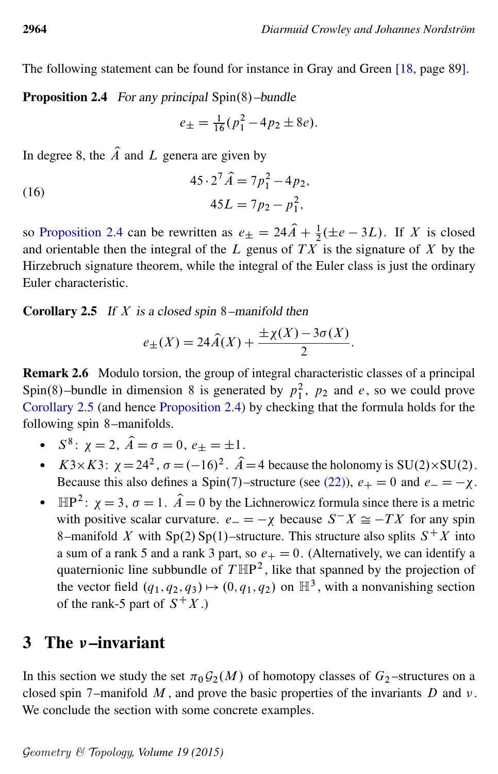<span id="page-15-2"></span>The following statement can be found for instance in Gray and Green [\[18,](#page-42-11) page 89].

**Proposition 2.4** For any principal  $Spin(8)$ -bundle

<span id="page-15-3"></span>
$$
e_{\pm} = \frac{1}{16}(p_1^2 - 4p_2 \pm 8e).
$$

In degree 8, the  $\hat{A}$  and L genera are given by

(16) 
$$
45 \cdot 2^7 \hat{A} = 7p_1^2 - 4p_2,
$$

$$
45L = 7p_2 - p_1^2,
$$

so [Proposition 2.4](#page-15-2) can be rewritten as  $e_{\pm} = 24\hat{A} + \frac{1}{2}(\pm e - 3L)$ . If X is closed and orientable then the integral of the L genus of  $TX$  is the signature of X by the Hirzebruch signature theorem, while the integral of the Euler class is just the ordinary Euler characteristic.

#### <span id="page-15-0"></span>**Corollary 2.5** If X is a closed spin 8–manifold then

$$
e_{\pm}(X) = 24\widehat{A}(X) + \frac{\pm \chi(X) - 3\sigma(X)}{2}.
$$

Remark 2.6 Modulo torsion, the group of integral characteristic classes of a principal Spin(8)–bundle in dimension 8 is generated by  $p_1^2$ ,  $p_2$  and e, so we could prove [Corollary 2.5](#page-15-0) (and hence [Proposition 2.4\)](#page-15-2) by checking that the formula holds for the following spin 8–manifolds.

- $S^8$ :  $\chi = 2$ ,  $\hat{A} = \sigma = 0$ ,  $e_{\pm} = \pm 1$ .
- $K3 \times K3$ :  $\chi = 24^2$ ,  $\sigma = (-16)^2$ .  $\hat{A} = 4$  because the holonomy is SU(2)×SU(2). Because this also defines a Spin(7)–structure (see [\(22\)\)](#page-22-0),  $e_+ = 0$  and  $e_- = -\chi$ .
- $\mathbb{HP}^2$ :  $\chi = 3$ ,  $\sigma = 1$ .  $\hat{A} = 0$  by the Lichnerowicz formula since there is a metric with positive scalar curvature.  $e_{-} = -\chi$  because  $S^{-}X \cong -TX$  for any spin 8–manifold X with Sp(2) Sp(1)–structure. This structure also splits  $S^+X$  into a sum of a rank 5 and a rank 3 part, so  $e_+ = 0$ . (Alternatively, we can identify a quaternionic line subbundle of  $T \mathbb{H}P^2$ , like that spanned by the projection of the vector field  $(q_1, q_2, q_3) \mapsto (0, q_1, q_2)$  on  $\mathbb{H}^3$ , with a nonvanishing section of the rank-5 part of  $S^+X$ .)

# <span id="page-15-1"></span>3 The *v*-invariant

In this section we study the set  $\pi_0 \mathcal{G}_2(M)$  of homotopy classes of  $G_2$ -structures on a closed spin 7–manifold  $M$ , and prove the basic properties of the invariants  $D$  and  $\nu$ . We conclude the section with some concrete examples.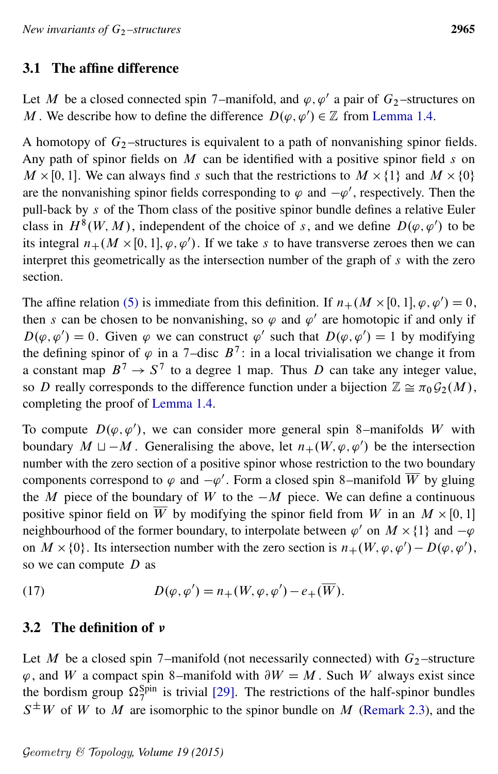## <span id="page-16-0"></span>3.1 The affine difference

Let M be a closed connected spin 7–manifold, and  $\varphi, \varphi'$  a pair of  $G_2$ –structures on M. We describe how to define the difference  $D(\varphi, \varphi') \in \mathbb{Z}$  from [Lemma 1.4.](#page-3-1)

A homotopy of  $G_2$ -structures is equivalent to a path of nonvanishing spinor fields. Any path of spinor fields on  $M$  can be identified with a positive spinor field  $s$  on  $M \times [0, 1]$ . We can always find s such that the restrictions to  $M \times \{1\}$  and  $M \times \{0\}$ are the nonvanishing spinor fields corresponding to  $\varphi$  and  $-\varphi'$ , respectively. Then the pull-back by s of the Thom class of the positive spinor bundle defines a relative Euler class in  $H^{8}(W, M)$ , independent of the choice of s, and we define  $D(\varphi, \varphi')$  to be its integral  $n_+(M\times[0,1], \varphi, \varphi')$ . If we take s to have transverse zeroes then we can interpret this geometrically as the intersection number of the graph of s with the zero section.

The affine relation [\(5\)](#page-3-3) is immediate from this definition. If  $n_+(M \times [0, 1], \varphi, \varphi') = 0$ , then s can be chosen to be nonvanishing, so  $\varphi$  and  $\varphi'$  are homotopic if and only if  $D(\varphi, \varphi') = 0$ . Given  $\varphi$  we can construct  $\varphi'$  such that  $D(\varphi, \varphi') = 1$  by modifying the defining spinor of  $\varphi$  in a 7-disc  $B^7$ : in a local trivialisation we change it from a constant map  $B^7 \rightarrow S^7$  to a degree 1 map. Thus D can take any integer value, so D really corresponds to the difference function under a bijection  $\mathbb{Z} \cong \pi_0 \mathcal{G}_2(M)$ , completing the proof of [Lemma 1.4.](#page-3-1)

To compute  $D(\varphi, \varphi')$ , we can consider more general spin 8–manifolds W with boundary  $M \sqcup -M$ . Generalising the above, let  $n_+(W, \varphi, \varphi')$  be the intersection number with the zero section of a positive spinor whose restriction to the two boundary components correspond to  $\varphi$  and  $-\varphi'$ . Form a closed spin 8–manifold W by gluing the M piece of the boundary of W to the  $-M$  piece. We can define a continuous positive spinor field on W by modifying the spinor field from W in an  $M \times [0, 1]$ neighbourhood of the former boundary, to interpolate between  $\varphi'$  on  $M \times \{1\}$  and  $-\varphi$ on  $M \times \{0\}$ . Its intersection number with the zero section is  $n_{+}(W, \varphi, \varphi') - D(\varphi, \varphi')$ , so we can compute  $D$  as

<span id="page-16-1"></span>(17) 
$$
D(\varphi, \varphi') = n_+(W, \varphi, \varphi') - e_+(\overline{W}).
$$

## 3.2 The definition of  $\nu$

Let M be a closed spin 7–manifold (not necessarily connected) with  $G_2$ –structure  $\varphi$ , and W a compact spin 8–manifold with  $\partial W = M$ . Such W always exist since the bordism group  $\Omega_7^{\text{Spin}}$  is trivial [\[29\]](#page-42-12). The restrictions of the half-spinor bundles  $S^{\pm}W$  of W to M are isomorphic to the spinor bundle on M [\(Remark 2.3\)](#page-13-0), and the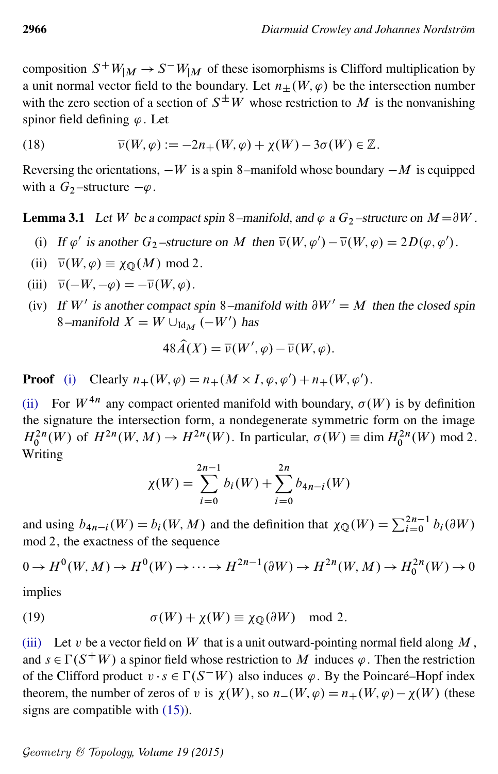composition  $S^+W_M \to S^-W_M$  of these isomorphisms is Clifford multiplication by a unit normal vector field to the boundary. Let  $n+(W, \varphi)$  be the intersection number with the zero section of a section of  $S^{\pm}W$  whose restriction to M is the nonvanishing spinor field defining  $\varphi$ . Let

(18) 
$$
\overline{\nu}(W,\varphi) := -2n_+(W,\varphi) + \chi(W) - 3\sigma(W) \in \mathbb{Z}.
$$

Reversing the orientations,  $-W$  is a spin 8–manifold whose boundary  $-M$  is equipped with a  $G_2$ -structure  $-\varphi$ .

<span id="page-17-4"></span>**Lemma 3.1** Let W be a compact spin 8–manifold, and  $\varphi$  a  $G_2$ –structure on  $M = \partial W$ .

- <span id="page-17-0"></span>(i) If  $\varphi'$  is another  $G_2$ -structure on M then  $\overline{\nu}(W, \varphi') - \overline{\nu}(W, \varphi) = 2D(\varphi, \varphi')$ .
- <span id="page-17-1"></span>(ii)  $\overline{\nu}(W, \varphi) \equiv \chi_{\mathbb{O}}(M) \text{ mod } 2.$
- <span id="page-17-2"></span>(iii)  $\overline{v}(-W, -\varphi) = -\overline{v}(W, \varphi)$ .
- <span id="page-17-3"></span>(iv) If W' is another compact spin 8–manifold with  $\partial W' = M$  then the closed spin 8–manifold  $X = W \cup_{\text{Id}_M} (-W')$  has

$$
48\widehat{A}(X) = \overline{\nu}(W', \varphi) - \overline{\nu}(W, \varphi).
$$

**Proof** [\(i\)](#page-17-0) Clearly  $n_+(W, \varphi) = n_+(M \times I, \varphi, \varphi') + n_+(W, \varphi').$ 

[\(ii\)](#page-17-1) For  $W^{4n}$  any compact oriented manifold with boundary,  $\sigma(W)$  is by definition the signature the intersection form, a nondegenerate symmetric form on the image  $H_0^{2n}(W)$  of  $H^{2n}(W, M) \to H^{2n}(W)$ . In particular,  $\sigma(W) \equiv \dim H_0^{2n}(W) \mod 2$ . Writing

$$
\chi(W) = \sum_{i=0}^{2n-1} b_i(W) + \sum_{i=0}^{2n} b_{4n-i}(W)
$$

and using  $b_{4n-i}(W) = b_i(W, M)$  and the definition that  $\chi_{\mathbb{Q}}(W) = \sum_{i=0}^{2n-1} b_i(\partial W)$ mod 2, the exactness of the sequence

$$
0 \to H^0(W, M) \to H^0(W) \to \cdots \to H^{2n-1}(\partial W) \to H^{2n}(W, M) \to H_0^{2n}(W) \to 0
$$

<span id="page-17-5"></span>implies

(19) 
$$
\sigma(W) + \chi(W) \equiv \chi_{\mathbb{Q}}(\partial W) \mod 2.
$$

[\(iii\)](#page-17-2) Let v be a vector field on W that is a unit outward-pointing normal field along  $M$ , and  $s \in \Gamma(S^+W)$  a spinor field whose restriction to M induces  $\varphi$ . Then the restriction of the Clifford product  $v \cdot s \in \Gamma(S^{-}W)$  also induces  $\varphi$ . By the Poincaré–Hopf index theorem, the number of zeros of v is  $\chi(W)$ , so  $n-(W, \varphi) = n+(W, \varphi) - \chi(W)$  (these signs are compatible with [\(15\)\)](#page-14-0).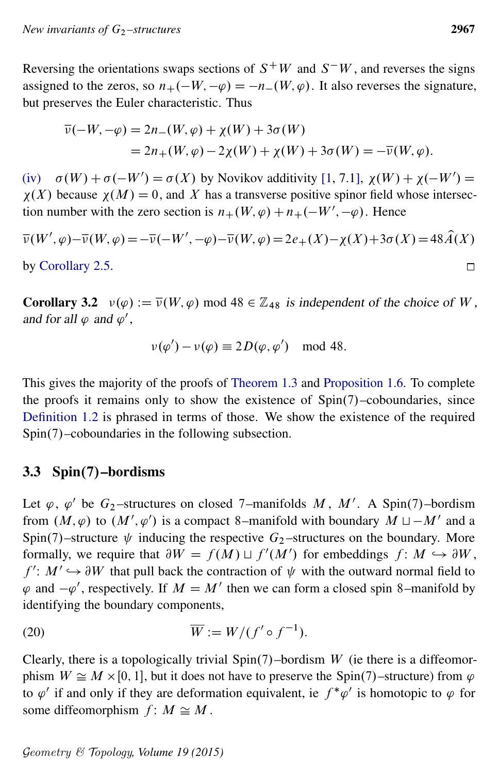Reversing the orientations swaps sections of  $S^+W$  and  $S^-W$ , and reverses the signs assigned to the zeros, so  $n_+(-W, -\varphi) = -n_-(W, \varphi)$ . It also reverses the signature, but preserves the Euler characteristic. Thus

$$
\overline{\nu}(-W, -\varphi) = 2n_{-}(W, \varphi) + \chi(W) + 3\sigma(W)
$$
  
= 2n\_{+}(W, \varphi) - 2\chi(W) + \chi(W) + 3\sigma(W) = -\overline{\nu}(W, \varphi).

[\(iv\)](#page-17-3)  $\sigma(W) + \sigma(-W') = \sigma(X)$  by Novikov additivity [\[1,](#page-41-13) 7.1],  $\chi(W) + \chi(-W') =$  $\chi(X)$  because  $\chi(M) = 0$ , and X has a transverse positive spinor field whose intersection number with the zero section is  $n_+(W, \varphi) + n_+(-W', -\varphi)$ . Hence

$$
\overline{\nu}(W', \varphi) - \overline{\nu}(W, \varphi) = -\overline{\nu}(-W', -\varphi) - \overline{\nu}(W, \varphi) = 2e_+(X) - \chi(X) + 3\sigma(X) = 48\widehat{A}(X)
$$
  
by Corollary 2.5.

by [Corollary 2.5.](#page-15-0)

<span id="page-18-2"></span>**Corollary 3.2**  $v(\varphi) := \overline{v}(W, \varphi)$  mod 48  $\in \mathbb{Z}_{48}$  is independent of the choice of W, and for all  $\varphi$  and  $\varphi'$ ,

$$
\nu(\varphi') - \nu(\varphi) \equiv 2D(\varphi, \varphi') \mod 48.
$$

This gives the majority of the proofs of [Theorem 1.3](#page-2-0) and [Proposition 1.6.](#page-4-1) To complete the proofs it remains only to show the existence of  $Spin(7)$ –coboundaries, since [Definition 1.2](#page-2-1) is phrased in terms of those. We show the existence of the required  $Spin(7)$ –coboundaries in the following subsection.

## <span id="page-18-0"></span>3.3 Spin $(7)$ –bordisms

Let  $\varphi$ ,  $\varphi'$  be  $G_2$ -structures on closed 7-manifolds M, M'. A Spin(7)-bordism from  $(M, \varphi)$  to  $(M', \varphi')$  is a compact 8–manifold with boundary  $M \sqcup -M'$  and a Spin(7)–structure  $\psi$  inducing the respective  $G_2$ –structures on the boundary. More formally, we require that  $\partial W = f(M) \sqcup f'(M')$  for embeddings  $f: M \hookrightarrow \partial W$ ,  $f' : M' \hookrightarrow \partial W$  that pull back the contraction of  $\psi$  with the outward normal field to  $\varphi$  and  $-\varphi'$ , respectively. If  $M = M'$  then we can form a closed spin 8–manifold by identifying the boundary components,

<span id="page-18-1"></span>(20) 
$$
\overline{W} := W/(f' \circ f^{-1}).
$$

Clearly, there is a topologically trivial  $Spin(7)$ –bordism W (ie there is a diffeomorphism  $W \cong M \times [0, 1]$ , but it does not have to preserve the Spin(7)-structure) from  $\varphi$ to  $\varphi'$  if and only if they are deformation equivalent, ie  $f^*\varphi'$  is homotopic to  $\varphi$  for some diffeomorphism  $f: M \cong M$ .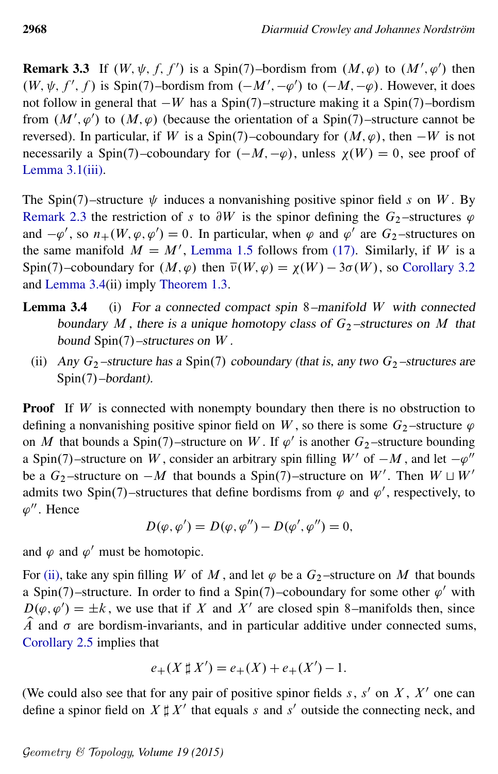**Remark 3.3** If  $(W, \psi, f, f')$  is a Spin(7)-bordism from  $(M, \varphi)$  to  $(M', \varphi')$  then  $(W, \psi, f', f)$  is Spin(7)–bordism from  $(-M', -\varphi')$  to  $(-M, -\varphi)$ . However, it does not follow in general that  $-W$  has a Spin(7)–structure making it a Spin(7)–bordism from  $(M', \varphi')$  to  $(M, \varphi)$  (because the orientation of a Spin(7)–structure cannot be reversed). In particular, if W is a Spin(7)–coboundary for  $(M, \varphi)$ , then  $-W$  is not necessarily a Spin(7)–coboundary for  $(-M, -\varphi)$ , unless  $\chi(W) = 0$ , see proof of [Lemma 3.1](#page-17-4)[\(iii\).](#page-17-2)

The Spin $(7)$ –structure  $\psi$  induces a nonvanishing positive spinor field s on W. By [Remark 2.3](#page-13-0) the restriction of s to  $\partial W$  is the spinor defining the  $G_2$ -structures  $\varphi$ and  $-\varphi'$ , so  $n_+(W, \varphi, \varphi') = 0$ . In particular, when  $\varphi$  and  $\varphi'$  are  $G_2$ -structures on the same manifold  $M = M'$ , [Lemma 1.5](#page-3-2) follows from [\(17\).](#page-16-1) Similarly, if W is a Spin(7)–coboundary for  $(M, \varphi)$  then  $\overline{\nu}(W, \varphi) = \chi(W) - 3\sigma(W)$ , so [Corollary 3.2](#page-18-2) and [Lemma 3.4\(](#page-19-0)ii) imply [Theorem 1.3.](#page-2-0)

- <span id="page-19-0"></span>**Lemma 3.4** (i) For a connected compact spin 8–manifold W with connected boundary M, there is a unique homotopy class of  $G_2$ -structures on M that bound  $Spin(7)$  –structures on W.
	- (ii) Any  $G_2$ -structure has a Spin(7) coboundary (that is, any two  $G_2$ -structures are  $Spin(7)$ –bordant).

<span id="page-19-1"></span>**Proof** If  $W$  is connected with nonempty boundary then there is no obstruction to defining a nonvanishing positive spinor field on W, so there is some  $G_2$ -structure  $\varphi$ on M that bounds a Spin(7)–structure on W. If  $\varphi'$  is another  $G_2$ –structure bounding a Spin(7)–structure on W, consider an arbitrary spin filling  $W'$  of  $-M$ , and let  $-\varphi''$ be a  $G_2$ -structure on  $-M$  that bounds a Spin(7)-structure on W'. Then  $W \sqcup W'$ admits two Spin(7)–structures that define bordisms from  $\varphi$  and  $\varphi'$ , respectively, to  $\varphi''$ . Hence

$$
D(\varphi, \varphi') = D(\varphi, \varphi'') - D(\varphi', \varphi'') = 0,
$$

and  $\varphi$  and  $\varphi'$  must be homotopic.

For [\(ii\),](#page-19-1) take any spin filling W of M, and let  $\varphi$  be a  $G_2$ -structure on M that bounds a Spin(7)–structure. In order to find a Spin(7)–coboundary for some other  $\varphi'$  with  $D(\varphi, \varphi') = \pm k$ , we use that if X and X' are closed spin 8–manifolds then, since  $\hat{A}$  and  $\sigma$  are bordism-invariants, and in particular additive under connected sums, [Corollary 2.5](#page-15-0) implies that

$$
e_{+}(X \sharp X') = e_{+}(X) + e_{+}(X') - 1.
$$

(We could also see that for any pair of positive spinor fields  $s, s'$  on  $X, X'$  one can define a spinor field on  $X \sharp X'$  that equals s and s' outside the connecting neck, and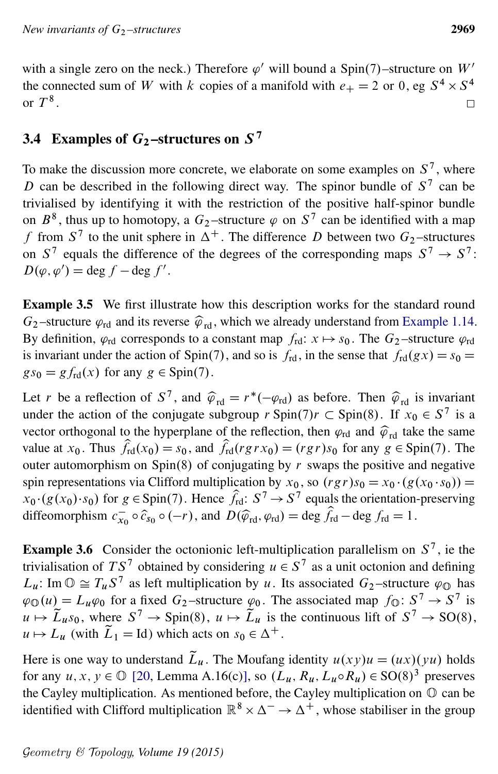with a single zero on the neck.) Therefore  $\varphi'$  will bound a Spin(7)-structure on W' the connected sum of W with k copies of a manifold with  $e_+ = 2$  or 0, eg  $S^4 \times S^4$ or  $T^8$ .  $\Box$ 

# 3.4 Examples of  $G_2$ -structures on  $S^7$

To make the discussion more concrete, we elaborate on some examples on  $S^7$ , where D can be described in the following direct way. The spinor bundle of  $S^7$  can be trivialised by identifying it with the restriction of the positive half-spinor bundle on  $B^8$ , thus up to homotopy, a  $G_2$ -structure  $\varphi$  on  $S^7$  can be identified with a map f from  $S^7$  to the unit sphere in  $\Delta^+$ . The difference D between two  $G_2$ -structures on  $S^7$  equals the difference of the degrees of the corresponding maps  $S^7 \rightarrow S^7$ :  $D(\varphi, \varphi') = \deg f - \deg f'.$ 

Example 3.5 We first illustrate how this description works for the standard round  $G_2$ -structure  $\varphi_{\rm rd}$  and its reverse  $\widehat{\varphi}_{\rm rd}$ , which we already understand from [Example 1.14.](#page-8-0) By definition,  $\varphi_{rd}$  corresponds to a constant map  $f_{rd}$ :  $x \mapsto s_0$ . The  $G_2$ -structure  $\varphi_{rd}$ is invariant under the action of Spin(7), and so is  $f_{rd}$ , in the sense that  $f_{rd}(gx) = s_0$  =  $gs_0 = gf_{\text{rd}}(x)$  for any  $g \in Spin(7)$ .

Let r be a reflection of  $S^7$ , and  $\hat{\varphi}_{\text{rd}} = r^*(-\varphi_{\text{rd}})$  as before. Then  $\hat{\varphi}_{\text{rd}}$  is invariant under the action of the conjugate subgroup  $r \text{Spin}(7)$  $r \subset \text{Spin}(8)$ . If  $x_0 \in S^7$  is a vector orthogonal to the hyperplane of the reflection, then  $\varphi_{rd}$  and  $\hat{\varphi}_{rd}$  take the same value at  $x_0$ . Thus  $f_{\text{rd}}(x_0) = s_0$ , and  $f_{\text{rd}}(rgrx_0) = (rgr)s_0$  for any  $g \in \text{Spin}(7)$ . The outer automorphism on Spin(8) of conjugating by  $r$  swaps the positive and negative spin representations via Clifford multiplication by  $x_0$ , so  $(rgr)s_0 = x_0 \cdot (g(x_0 \cdot s_0))$  $x_0$  ·  $(g(x_0)$  ·  $s_0)$  for  $g \in$  Spin(7). Hence  $\hat{f}_{rd}$ :  $S^7 \rightarrow S^7$  equals the orientation-preserving diffeomorphism  $c_{x_0} \circ \hat{c}_{s_0} \circ (-r)$ , and  $D(\hat{\varphi}_{rd}, \varphi_{rd}) = \deg f_{rd} - \deg f_{rd} = 1$ .

**Example 3.6** Consider the octonionic left-multiplication parallelism on  $S^7$ , ie the trivialisation of  $TS^7$  obtained by considering  $u \in S^7$  as a unit octonion and defining  $L_u$ : Im  $\mathbb{O} \cong T_u S^7$  as left multiplication by u. Its associated  $G_2$ -structure  $\varphi_{\mathbb{O}}$  has  $\varphi_{\mathbb{O}}(u) = L_u \varphi_0$  for a fixed  $G_2$ -structure  $\varphi_0$ . The associated map  $f_{\mathbb{O}}: S^7 \to S^7$  is  $u \mapsto \tilde{L}_u s_0$ , where  $S^7 \to \text{Spin}(8)$ ,  $u \mapsto \tilde{L}_u$  is the continuous lift of  $S^7 \to \text{SO}(8)$ ,  $u \mapsto L_u$  (with  $L_1 = \text{Id}$ ) which acts on  $s_0 \in \Delta^+$ .

Here is one way to understand  $\tilde{L}_u$ . The Moufang identity  $u(xy)u = (ux)(yu)$  holds for any  $u, x, y \in \mathbb{O}$  [\[20,](#page-42-13) Lemma A.16(c)], so  $(L_u, R_u, L_u \circ R_u) \in SO(8)^3$  preserves the Cayley multiplication. As mentioned before, the Cayley multiplication on O can be identified with Clifford multiplication  $\mathbb{R}^8 \times \Delta^- \to \Delta^+$ , whose stabiliser in the group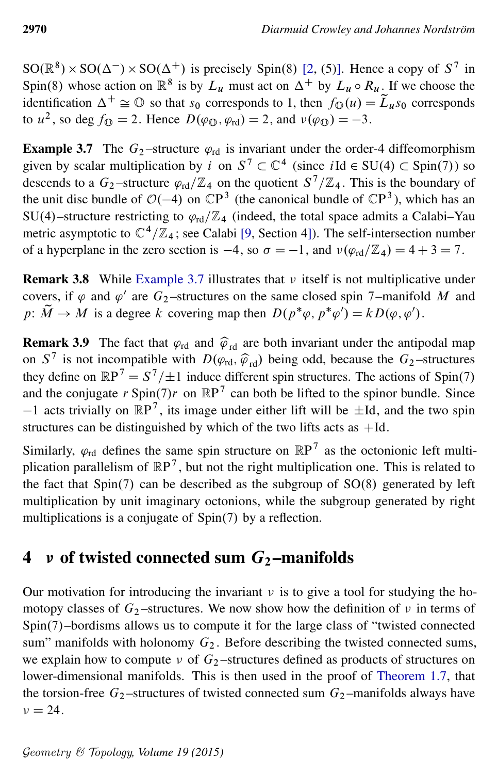$SO(\mathbb{R}^8) \times SO(\Delta^-) \times SO(\Delta^+)$  is precisely Spin(8) [\[2,](#page-41-12) (5)]. Hence a copy of  $S^7$  in Spin(8) whose action on  $\mathbb{R}^8$  is by  $L_u$  must act on  $\Delta^+$  by  $L_u \circ R_u$ . If we choose the identification  $\Delta^+ \cong \mathbb{O}$  so that  $s_0$  corresponds to 1, then  $f_{\mathbb{O}}(u) = \widetilde{L}_u s_0$  corresponds to  $u^2$ , so deg  $f_{\mathbb{Q}} = 2$ . Hence  $D(\varphi_{\mathbb{Q}}, \varphi_{\text{rd}}) = 2$ , and  $v(\varphi_{\mathbb{Q}}) = -3$ .

<span id="page-21-1"></span>**Example 3.7** The  $G_2$ -structure  $\varphi_{\text{rd}}$  is invariant under the order-4 diffeomorphism given by scalar multiplication by i on  $S^7 \subset \mathbb{C}^4$  (since  $i \text{Id} \in SU(4) \subset Spin(7)$ ) so descends to a  $G_2$ -structure  $\varphi_{\text{rd}}/\mathbb{Z}_4$  on the quotient  $S^7/\mathbb{Z}_4$ . This is the boundary of the unit disc bundle of  $O(-4)$  on  $\mathbb{C}P^3$  (the canonical bundle of  $\mathbb{C}P^3$ ), which has an SU(4)–structure restricting to  $\varphi_{rd}/\mathbb{Z}_4$  (indeed, the total space admits a Calabi–Yau metric asymptotic to  $\mathbb{C}^4/\mathbb{Z}_4$ ; see Calabi [\[9,](#page-41-14) Section 4]). The self-intersection number of a hyperplane in the zero section is  $-4$ , so  $\sigma = -1$ , and  $\nu(\varphi_{\text{rd}}/\mathbb{Z}_4) = 4 + 3 = 7$ .

**Remark 3.8** While [Example 3.7](#page-21-1) illustrates that  $\nu$  itself is not multiplicative under covers, if  $\varphi$  and  $\varphi'$  are  $G_2$ -structures on the same closed spin 7-manifold M and  $p: M \to M$  is a degree k covering map then  $D(p^*\varphi, p^*\varphi') = kD(\varphi, \varphi')$ .

**Remark 3.9** The fact that  $\varphi_{\text{rd}}$  and  $\widehat{\varphi}_{\text{rd}}$  are both invariant under the antipodal map on  $S^7$  is not incompatible with  $D(\varphi_{\text{rd}}, \widehat{\varphi}_{\text{rd}})$  being odd, because the  $G_2$ -structures<br>that define an  $\mathbb{R}P^7 - S^7 \cdot \square$  induce different only attractures. The estimates of Spin(7) they define on  $\mathbb{R}P^7 = S^7/\pm 1$  induce different spin structures. The actions of Spin(7) and the conjugate r Spin(7)r on  $\mathbb{R}P^7$  can both be lifted to the spinor bundle. Since  $-1$  acts trivially on  $\mathbb{R}P^7$ , its image under either lift will be  $\pm$ Id, and the two spin structures can be distinguished by which of the two lifts acts as  $+Id$ .

Similarly,  $\varphi_{rd}$  defines the same spin structure on  $\mathbb{R}P^7$  as the octonionic left multiplication parallelism of  $\mathbb{R}P^7$ , but not the right multiplication one. This is related to the fact that  $Spin(7)$  can be described as the subgroup of  $SO(8)$  generated by left multiplication by unit imaginary octonions, while the subgroup generated by right multiplications is a conjugate of  $Spin(7)$  by a reflection.

# <span id="page-21-0"></span>4 v of twisted connected sum  $G_2$ -manifolds

Our motivation for introducing the invariant  $\nu$  is to give a tool for studying the homotopy classes of  $G_2$ -structures. We now show how the definition of  $\nu$  in terms of Spin(7)–bordisms allows us to compute it for the large class of "twisted connected sum" manifolds with holonomy  $G_2$ . Before describing the twisted connected sums, we explain how to compute  $\nu$  of  $G_2$ -structures defined as products of structures on lower-dimensional manifolds. This is then used in the proof of [Theorem 1.7,](#page-4-0) that the torsion-free  $G_2$ -structures of twisted connected sum  $G_2$ -manifolds always have  $\nu = 24.$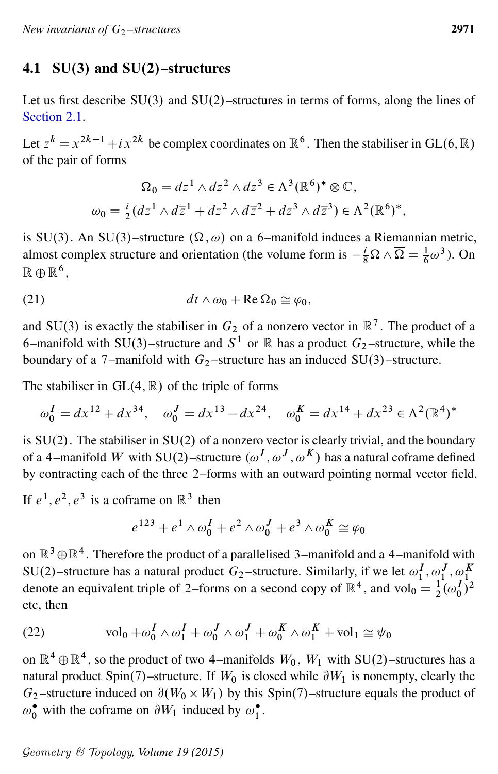### 4.1  $SU(3)$  and  $SU(2)$ -structures

Let us first describe  $SU(3)$  and  $SU(2)$ –structures in terms of forms, along the lines of [Section 2.1.](#page-11-0)

Let  $z^k = x^{2k-1} + i x^{2k}$  be complex coordinates on  $\mathbb{R}^6$ . Then the stabiliser in GL(6,  $\mathbb{R}$ ) of the pair of forms

$$
\Omega_0 = dz^1 \wedge dz^2 \wedge dz^3 \in \Lambda^3(\mathbb{R}^6)^* \otimes \mathbb{C},
$$
  

$$
\omega_0 = \frac{i}{2}(dz^1 \wedge d\overline{z}^1 + dz^2 \wedge d\overline{z}^2 + dz^3 \wedge d\overline{z}^3) \in \Lambda^2(\mathbb{R}^6)^*,
$$

is SU(3). An SU(3)–structure  $(\Omega, \omega)$  on a 6–manifold induces a Riemannian metric, almost complex structure and orientation (the volume form is  $-\frac{i}{8}\Omega \wedge \overline{\Omega} = \frac{1}{6}\omega^3$ ). On  $\mathbb{R} \oplus \mathbb{R}^6$ ,

(21) 
$$
dt \wedge \omega_0 + \text{Re}\,\Omega_0 \cong \varphi_0,
$$

and SU(3) is exactly the stabiliser in  $G_2$  of a nonzero vector in  $\mathbb{R}^7$ . The product of a 6-manifold with SU(3)-structure and  $S^1$  or  $\mathbb R$  has a product  $G_2$ -structure, while the boundary of a 7–manifold with  $G_2$ –structure has an induced SU(3)–structure.

The stabiliser in  $GL(4, \mathbb{R})$  of the triple of forms

$$
\omega_0^I = dx^{12} + dx^{34}
$$
,  $\omega_0^J = dx^{13} - dx^{24}$ ,  $\omega_0^K = dx^{14} + dx^{23} \in \Lambda^2(\mathbb{R}^4)^*$ 

is  $SU(2)$ . The stabiliser in  $SU(2)$  of a nonzero vector is clearly trivial, and the boundary of a 4–manifold W with SU(2)–structure  $(\omega^I, \omega^J, \omega^K)$  has a natural coframe defined by contracting each of the three 2–forms with an outward pointing normal vector field.

If  $e^1$ ,  $e^2$ ,  $e^3$  is a coframe on  $\mathbb{R}^3$  then

$$
e^{123} + e^1 \wedge \omega_0^I + e^2 \wedge \omega_0^J + e^3 \wedge \omega_0^K \cong \varphi_0
$$

on  $\mathbb{R}^3 \oplus \mathbb{R}^4$ . Therefore the product of a parallelised 3–manifold and a 4–manifold with SU(2)-structure has a natural product  $G_2$ -structure. Similarly, if we let  $\omega_1^I$ ,  $\omega_1^J$ ,  $\omega_1^K$  denote an equivalent triple of 2-forms on a second copy of  $\mathbb{R}^4$ , and vol<sub>0</sub> =  $\frac{1}{2}(\omega_0^I)^2$ etc, then

<span id="page-22-0"></span>(22) 
$$
\text{vol}_0 + \omega_0^I \wedge \omega_1^I + \omega_0^J \wedge \omega_1^J + \omega_0^K \wedge \omega_1^K + \text{vol}_1 \cong \psi_0
$$

on  $\mathbb{R}^4 \oplus \mathbb{R}^4$ , so the product of two 4–manifolds  $W_0$ ,  $W_1$  with SU(2)–structures has a natural product Spin(7)–structure. If  $W_0$  is closed while  $\partial W_1$  is nonempty, clearly the  $G_2$ -structure induced on  $\partial(W_0 \times W_1)$  by this Spin(7)-structure equals the product of  $\omega_0^{\bullet}$  with the coframe on  $\partial W_1$  induced by  $\omega_1^{\bullet}$ .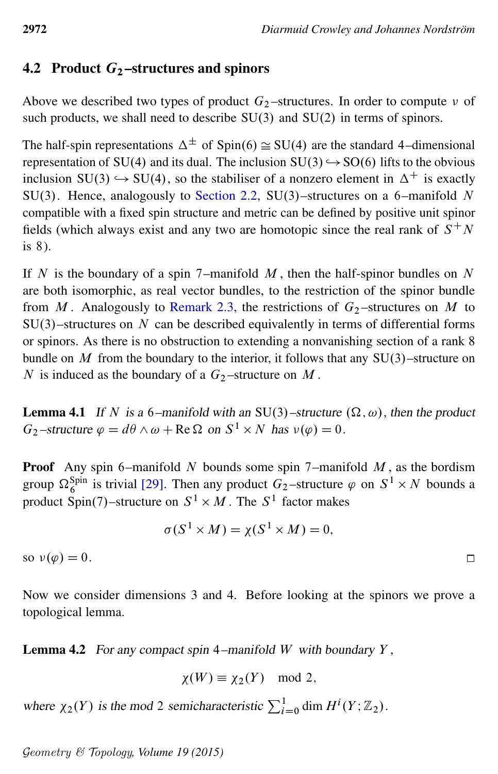## 4.2 Product  $G_2$ -structures and spinors

Above we described two types of product  $G_2$ -structures. In order to compute  $\nu$  of such products, we shall need to describe  $SU(3)$  and  $SU(2)$  in terms of spinors.

The half-spin representations  $\Delta^{\pm}$  of Spin(6)  $\cong$  SU(4) are the standard 4–dimensional representation of SU(4) and its dual. The inclusion  $SU(3) \hookrightarrow SO(6)$  lifts to the obvious inclusion  $SU(3) \hookrightarrow SU(4)$ , so the stabiliser of a nonzero element in  $\Delta^+$  is exactly SU(3). Hence, analogously to [Section 2.2,](#page-12-0) SU(3)-structures on a 6-manifold N compatible with a fixed spin structure and metric can be defined by positive unit spinor fields (which always exist and any two are homotopic since the real rank of  $S^+N$ is 8).

If N is the boundary of a spin 7–manifold  $M$ , then the half-spinor bundles on N are both isomorphic, as real vector bundles, to the restriction of the spinor bundle from M. Analogously to [Remark 2.3,](#page-13-0) the restrictions of  $G<sub>2</sub>$ -structures on M to  $SU(3)$ –structures on N can be described equivalently in terms of differential forms or spinors. As there is no obstruction to extending a nonvanishing section of a rank 8 bundle on  $M$  from the boundary to the interior, it follows that any  $SU(3)$ –structure on N is induced as the boundary of a  $G_2$ -structure on M.

**Lemma 4.1** If N is a 6-manifold with an SU(3)-structure  $(\Omega, \omega)$ , then the product  $G_2$ -structure  $\varphi = d\theta \wedge \omega + \text{Re } \Omega$  on  $S^1 \times N$  has  $v(\varphi) = 0$ .

**Proof** Any spin 6–manifold N bounds some spin 7–manifold  $M$ , as the bordism group  $\Omega_6^{\text{Spin}}$  is trivial [\[29\]](#page-42-12). Then any product  $G_2$ -structure  $\varphi$  on  $S^1 \times N$  bounds a product Spin(7)–structure on  $S^1 \times M$ . The  $S^1$  factor makes

$$
\sigma(S^1 \times M) = \chi(S^1 \times M) = 0,
$$

so  $v(\varphi) = 0$ .

Now we consider dimensions 3 and 4. Before looking at the spinors we prove a topological lemma.

<span id="page-23-0"></span>**Lemma 4.2** For any compact spin 4–manifold W with boundary  $Y$ ,

$$
\chi(W) \equiv \chi_2(Y) \mod 2,
$$

where  $\chi_2(Y)$  is the mod 2 semicharacteristic  $\sum_{i=0}^1 \dim H^i(Y; \mathbb{Z}_2)$ .

Geometry & Topology*, Volume 19 (2015)*

 $\Box$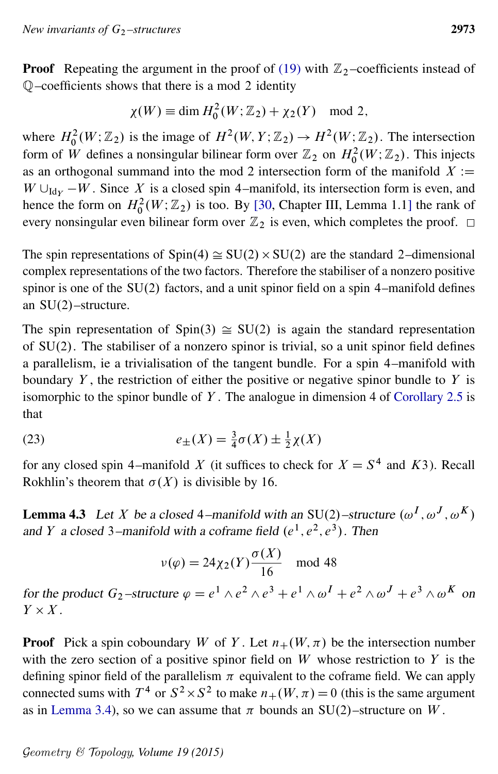**Proof** Repeating the argument in the proof of [\(19\)](#page-17-5) with  $\mathbb{Z}_2$ -coefficients instead of Q–coefficients shows that there is a mod 2 identity

$$
\chi(W) \equiv \dim H_0^2(W; \mathbb{Z}_2) + \chi_2(Y) \mod 2,
$$

where  $H_0^2(W; \mathbb{Z}_2)$  is the image of  $H^2(W, Y; \mathbb{Z}_2) \to H^2(W; \mathbb{Z}_2)$ . The intersection form of W defines a nonsingular bilinear form over  $\mathbb{Z}_2$  on  $H_0^2(W; \mathbb{Z}_2)$ . This injects as an orthogonal summand into the mod 2 intersection form of the manifold  $X :=$  $W \cup_{\text{Id}_Y} -W$ . Since X is a closed spin 4–manifold, its intersection form is even, and hence the form on  $H_0^2(W; \mathbb{Z}_2)$  is too. By [\[30,](#page-42-14) Chapter III, Lemma 1.1] the rank of every nonsingular even bilinear form over  $\mathbb{Z}_2$  is even, which completes the proof.  $\Box$ 

The spin representations of  $Spin(4) \cong SU(2) \times SU(2)$  are the standard 2-dimensional complex representations of the two factors. Therefore the stabiliser of a nonzero positive spinor is one of the  $SU(2)$  factors, and a unit spinor field on a spin 4–manifold defines an  $SU(2)$ -structure.

The spin representation of Spin(3)  $\cong$  SU(2) is again the standard representation of  $SU(2)$ . The stabiliser of a nonzero spinor is trivial, so a unit spinor field defines a parallelism, ie a trivialisation of the tangent bundle. For a spin 4–manifold with boundary  $Y$ , the restriction of either the positive or negative spinor bundle to  $Y$  is isomorphic to the spinor bundle of Y. The analogue in dimension 4 of [Corollary 2.5](#page-15-0) is that

<span id="page-24-0"></span>(23) 
$$
e_{\pm}(X) = \frac{3}{4}\sigma(X) \pm \frac{1}{2}\chi(X)
$$

for any closed spin 4–manifold X (it suffices to check for  $X = S<sup>4</sup>$  and K3). Recall Rokhlin's theorem that  $\sigma(X)$  is divisible by 16.

<span id="page-24-1"></span>**Lemma 4.3** Let X be a closed 4–manifold with an SU(2)–structure  $(\omega^I, \omega^J, \omega^K)$ and Y a closed 3–manifold with a coframe field  $(e^1, e^2, e^3)$ . Then

$$
\nu(\varphi) = 24\chi_2(Y)\frac{\sigma(X)}{16} \mod 48
$$

for the product  $G_2$ -structure  $\varphi = e^1 \wedge e^2 \wedge e^3 + e^1 \wedge \omega^I + e^2 \wedge \omega^J + e^3 \wedge \omega^K$  on  $Y \times X$ .

**Proof** Pick a spin coboundary W of Y. Let  $n_{+}(W, \pi)$  be the intersection number with the zero section of a positive spinor field on  $W$  whose restriction to  $Y$  is the defining spinor field of the parallelism  $\pi$  equivalent to the coframe field. We can apply connected sums with  $T^4$  or  $S^2 \times S^2$  to make  $n_+(W, \pi) = 0$  (this is the same argument as in [Lemma 3.4\)](#page-19-0), so we can assume that  $\pi$  bounds an SU(2)–structure on W.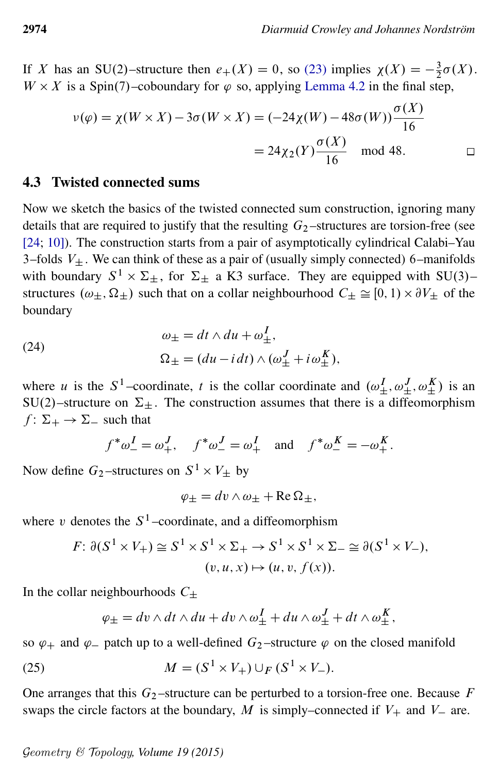If X has an SU(2)-structure then  $e_+(X) = 0$ , so [\(23\)](#page-24-0) implies  $\chi(X) = -\frac{3}{2}$  $rac{3}{2}\sigma(X).$  $W \times X$  is a Spin(7)–coboundary for  $\varphi$  so, applying [Lemma 4.2](#page-23-0) in the final step,

$$
\nu(\varphi) = \chi(W \times X) - 3\sigma(W \times X) = (-24\chi(W) - 48\sigma(W)) \frac{\sigma(X)}{16}
$$

$$
= 24\chi_2(Y) \frac{\sigma(X)}{16} \mod 48. \square
$$

#### <span id="page-25-0"></span>4.3 Twisted connected sums

Now we sketch the basics of the twisted connected sum construction, ignoring many details that are required to justify that the resulting  $G_2$ -structures are torsion-free (see [\[24;](#page-42-4) [10\]](#page-41-2)). The construction starts from a pair of asymptotically cylindrical Calabi–Yau 3–folds  $V_{\pm}$ . We can think of these as a pair of (usually simply connected) 6–manifolds with boundary  $S^1 \times \Sigma_{\pm}$ , for  $\Sigma_{\pm}$  a K3 surface. They are equipped with SU(3)– structures  $(\omega_{\pm}, \Omega_{\pm})$  such that on a collar neighbourhood  $C_{\pm} \cong [0, 1) \times \partial V_{\pm}$  of the boundary

(24) 
$$
\omega_{\pm} = dt \wedge du + \omega_{\pm}^{I},
$$

$$
\Omega_{\pm} = (du - i dt) \wedge (\omega_{\pm}^{J} + i \omega_{\pm}^{K}),
$$

where u is the S<sup>1</sup>-coordinate, t is the collar coordinate and  $(\omega_+^I, \omega_+^J, \omega_+^K)$  is an  $SU(2)$ -structure on  $\Sigma_{\pm}$ . The construction assumes that there is a diffeomorphism  $f: \Sigma_+ \rightarrow \Sigma_-$  such that

$$
f^*\omega_-^I=\omega_+^J, \quad f^*\omega_-^J=\omega_+^I \quad \text{and} \quad f^*\omega_-^K=-\omega_+^K.
$$

Now define  $G_2$ -structures on  $S^1 \times V_{\pm}$  by

$$
\varphi_{\pm} = dv \wedge \omega_{\pm} + \text{Re}\,\Omega_{\pm},
$$

where v denotes the  $S^1$ -coordinate, and a diffeomorphism

$$
F: \partial(S^1 \times V_+) \cong S^1 \times S^1 \times \Sigma_+ \to S^1 \times S^1 \times \Sigma_- \cong \partial(S^1 \times V_-),
$$
  

$$
(v, u, x) \mapsto (u, v, f(x)).
$$

In the collar neighbourhoods  $C_{\pm}$ 

$$
\varphi_{\pm} = dv \wedge dt \wedge du + dv \wedge \omega_{\pm}^{I} + du \wedge \omega_{\pm}^{J} + dt \wedge \omega_{\pm}^{K},
$$

so  $\varphi_+$  and  $\varphi_-$  patch up to a well-defined  $G_2$ -structure  $\varphi$  on the closed manifold

(25) 
$$
M = (S^1 \times V_+) \cup_F (S^1 \times V_-).
$$

One arranges that this  $G_2$ -structure can be perturbed to a torsion-free one. Because F swaps the circle factors at the boundary, M is simply–connected if  $V_+$  and  $V_-$  are.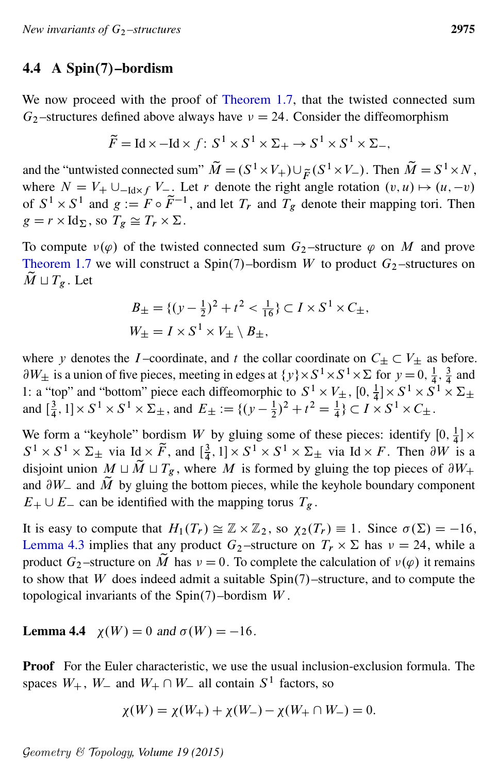#### 4.4 A Spin $(7)$ –bordism

We now proceed with the proof of [Theorem 1.7,](#page-4-0) that the twisted connected sum  $G_2$ -structures defined above always have  $\nu = 24$ . Consider the diffeomorphism

$$
\widetilde{F} = \text{Id} \times -\text{Id} \times f \colon S^1 \times S^1 \times \Sigma_+ \to S^1 \times S^1 \times \Sigma_-,
$$

and the "untwisted connected sum"  $\widetilde{M} = (S^1 \times V_+) \cup_{\widetilde{F}} (S^1 \times V_-)$ . Then  $\widetilde{M} = S^1 \times N$ , where  $N = V_+ \cup_{-\text{Id} \times f} V_-\rightleftharpoons V_+$ . Let r denote the right angle rotation  $(v, u) \mapsto (u, -v)$ of  $S^1 \times S^1$  and  $g := F \circ \tilde{F}^{-1}$ , and let  $T_r$  and  $T_g$  denote their mapping tori. Then  $g = r \times \text{Id}_{\Sigma}$ , so  $T_g \cong T_r \times \Sigma$ .

To compute  $v(\varphi)$  of the twisted connected sum  $G_2$ -structure  $\varphi$  on M and prove [Theorem 1.7](#page-4-0) we will construct a Spin(7)–bordism W to product  $G_2$ –structures on  $\tilde{M} \sqcup T_{\varrho}$ . Let

$$
B_{\pm} = \{ (y - \frac{1}{2})^2 + t^2 < \frac{1}{16} \} \subset I \times S^1 \times C_{\pm},
$$
\n
$$
W_{\pm} = I \times S^1 \times V_{\pm} \setminus B_{\pm},
$$

where y denotes the I-coordinate, and t the collar coordinate on  $C_{\pm} \subset V_{\pm}$  as before.  $\partial W_{\pm}$  is a union of five pieces, meeting in edges at  $\{y\}\times S^1\times S^1\times S^1\times \{0\}$  for  $y=0, \frac{1}{4}$  $\frac{1}{4}$ ,  $\frac{3}{4}$  $rac{3}{4}$  and 1: a "top" and "bottom" piece each diffeomorphic to  $S^1 \times V_{\pm}$ , [0,  $\frac{1}{4}$ ]  $\frac{1}{4}$ ] ×  $S^1$  ×  $S^1$  ×  $\Sigma_{\pm}$ and  $\left[\frac{3}{4}\right]$  $\frac{3}{4}$ , 1 ×  $S^1 \times S^1 \times \Sigma_{\pm}$ , and  $E_{\pm} := \{ (y - \frac{1}{2})$  $(\frac{1}{2})^2 + t^2 = \frac{1}{4} \} \subset I \times S^1 \times C_{\pm}.$ 

We form a "keyhole" bordism W by gluing some of these pieces: identify  $[0, \frac{1}{4}]$  $\frac{1}{4}$   $\times$  $S^1 \times S^1 \times \Sigma_{\pm}$  via Id  $\times \tilde{F}$ , and  $\left[\frac{3}{4}, 1\right] \times S^1 \times S^1 \times \Sigma_{\pm}$  via Id  $\times F$ . Then  $\partial W$  is a  $\frac{3}{4}$ , 1 ×  $S^1 \times S^1 \times \Sigma_{\pm}$  via Id × F. Then  $\partial W$  is a disjoint union  $M \sqcup \tilde{M} \sqcup T_g$ , where M is formed by gluing the top pieces of  $\partial W_+$ and  $\partial W_-$  and  $\tilde{M}$  by gluing the bottom pieces, while the keyhole boundary component  $E_+ \cup E_-$  can be identified with the mapping torus  $T_g$ .

It is easy to compute that  $H_1(T_r) \cong \mathbb{Z} \times \mathbb{Z}_2$ , so  $\chi_2(T_r) \equiv 1$ . Since  $\sigma(\Sigma) = -16$ , [Lemma 4.3](#page-24-1) implies that any product  $G_2$ -structure on  $T_r \times \Sigma$  has  $\nu = 24$ , while a product  $G_2$ -structure on  $\tilde{M}$  has  $\nu = 0$ . To complete the calculation of  $\nu(\varphi)$  it remains to show that  $W$  does indeed admit a suitable  $Spin(7)$ –structure, and to compute the topological invariants of the  $Spin(7)$ -bordism W.

**Lemma 4.4**  $\chi(W) = 0$  and  $\sigma(W) = -16$ .

**Proof** For the Euler characteristic, we use the usual inclusion-exclusion formula. The spaces  $W_+$ ,  $W_-$  and  $W_+ \cap W_-$  all contain  $S^1$  factors, so

$$
\chi(W) = \chi(W_+) + \chi(W_-) - \chi(W_+ \cap W_-) = 0.
$$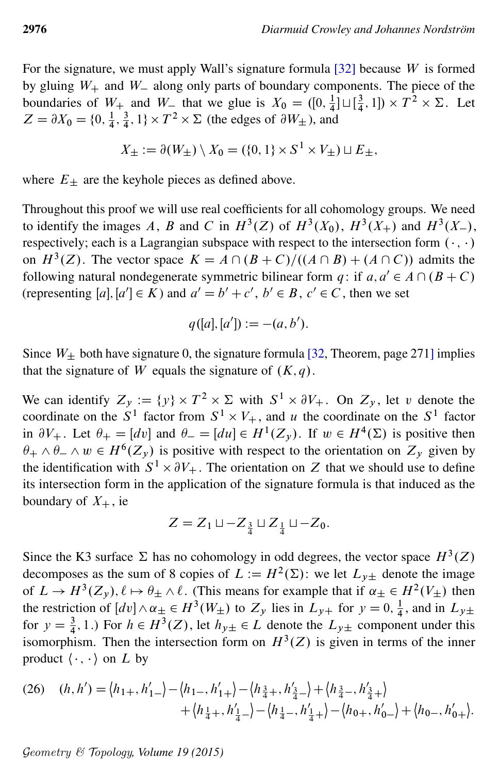For the signature, we must apply Wall's signature formula  $[32]$  because W is formed by gluing  $W_+$  and  $W_-$  along only parts of boundary components. The piece of the boundaries of  $W_+$  and  $W_-$  that we glue is  $X_0 = ([0, \frac{1}{4})$  $\frac{1}{4}$ ]  $\sqcup$   $\left[\frac{3}{4}\right]$  $(\frac{3}{4}, 1]) \times T^2 \times \Sigma$ . Let  $Z = \partial X_0 = \{0, \frac{1}{4}\}$  $\frac{1}{4}$ ,  $\frac{3}{4}$  $\frac{3}{4}$ , 1} ×  $T^2$  ×  $\Sigma$  (the edges of  $\partial W_{\pm}$ ), and

$$
X_{\pm} := \partial(W_{\pm}) \setminus X_0 = (\{0, 1\} \times S^1 \times V_{\pm}) \sqcup E_{\pm},
$$

where  $E_{\pm}$  are the keyhole pieces as defined above.

Throughout this proof we will use real coefficients for all cohomology groups. We need to identify the images A, B and C in  $H^3(Z)$  of  $H^3(X_0)$ ,  $H^3(X_+)$  and  $H^3(X_-)$ , respectively; each is a Lagrangian subspace with respect to the intersection form  $(\cdot, \cdot)$ on  $H^3(Z)$ . The vector space  $K = A \cap (B + C) / ((A \cap B) + (A \cap C))$  admits the following natural nondegenerate symmetric bilinear form  $q$ : if  $a, a' \in A \cap (B + C)$ (representing  $[a], [a'] \in K$ ) and  $a' = b' + c'$ ,  $b' \in B$ ,  $c' \in C$ , then we set

$$
q([a],[a']) := -(a,b').
$$

Since  $W_+$  both have signature 0, the signature formula [\[32,](#page-42-15) Theorem, page 271] implies that the signature of W equals the signature of  $(K, q)$ .

We can identify  $Z_y := \{y\} \times T^2 \times \Sigma$  with  $S^1 \times \partial V_+$ . On  $Z_y$ , let v denote the coordinate on the  $S^1$  factor from  $S^1 \times V_+$ , and u the coordinate on the  $S^1$  factor in  $\partial V_+$ . Let  $\theta_+ = [dv]$  and  $\theta_- = [du] \in H^1(Z_y)$ . If  $w \in H^4(\Sigma)$  is positive then  $\theta_+ \wedge \theta_- \wedge w \in H^6(Z_y)$  is positive with respect to the orientation on  $Z_y$  given by the identification with  $S^1 \times \partial V_+$ . The orientation on Z that we should use to define its intersection form in the application of the signature formula is that induced as the boundary of  $X_+$ , ie

<span id="page-27-0"></span>
$$
Z = Z_1 \sqcup -Z_{\frac{3}{4}} \sqcup Z_{\frac{1}{4}} \sqcup -Z_0.
$$

Since the K3 surface  $\Sigma$  has no cohomology in odd degrees, the vector space  $H^3(Z)$ decomposes as the sum of 8 copies of  $L := H^2(\Sigma)$ : we let  $L_{y\pm}$  denote the image of  $L \to H^3(Z_y)$ ,  $\ell \mapsto \theta_{\pm} \wedge \ell$ . (This means for example that if  $\alpha_{\pm} \in H^2(V_{\pm})$  then the restriction of  $\left[dv\right] \wedge \alpha_{\pm} \in H^3(W_{\pm})$  to  $Z_y$  lies in  $L_{y+}$  for  $y = 0, \frac{1}{4}$  $\frac{1}{4}$ , and in  $L_{y\pm}$ for  $y = \frac{3}{4}$ , 1.) For  $h \in H^3(Z)$ , let  $h_{y\pm} \in L$  denote the  $L_{y\pm}$  component under this isomorphism. Then the intersection form on  $H^3(Z)$  is given in terms of the inner product  $\langle \cdot, \cdot \rangle$  on L by

(26) 
$$
(h, h') = \langle h_{1+}, h'_{1-}\rangle - \langle h_{1-}, h'_{1+}\rangle - \langle h_{\frac{3}{4}+}, h'_{\frac{3}{4}-}\rangle + \langle h_{\frac{3}{4}-}, h'_{\frac{3}{4}+}\rangle + \langle h_{\frac{1}{4}+}, h'_{\frac{1}{4}-}\rangle - \langle h_{\frac{1}{4}-}, h'_{\frac{1}{4}+}\rangle - \langle h_{0+}, h'_{0-}\rangle + \langle h_{0-}, h'_{0+}\rangle.
$$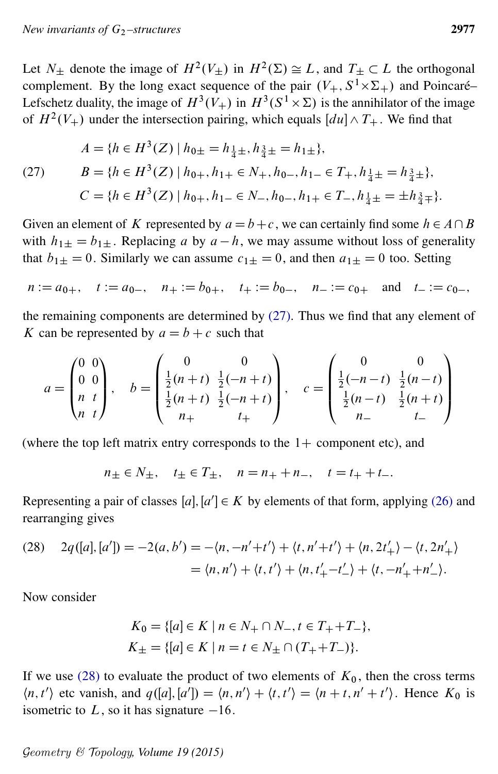Let  $N_{\pm}$  denote the image of  $H^2(V_{\pm})$  in  $H^2(\Sigma) \cong L$ , and  $T_{\pm} \subset L$  the orthogonal complement. By the long exact sequence of the pair  $(V_+, S^1 \times \Sigma_+)$  and Poincaré– Lefschetz duality, the image of  $H^3(V_+)$  in  $H^3(S^1 \times \Sigma)$  is the annihilator of the image of  $H^2(V_+)$  under the intersection pairing, which equals  $[du] \wedge T_+$ . We find that

<span id="page-28-0"></span>(27) 
$$
A = \{h \in H^3(Z) \mid h_{0\pm} = h_{\frac{1}{4}\pm}, h_{\frac{3}{4}\pm} = h_{1\pm}\},
$$

$$
B = \{h \in H^3(Z) \mid h_{0+}, h_{1+} \in N_+, h_{0-}, h_{1-} \in T_+, h_{\frac{1}{4}\pm} = h_{\frac{3}{4}\pm}\},
$$

$$
C = \{h \in H^3(Z) \mid h_{0+}, h_{1-} \in N_-, h_{0-}, h_{1+} \in T_-, h_{\frac{1}{4}\pm} = \pm h_{\frac{3}{4}\mp}\}.
$$

Given an element of K represented by  $a = b + c$ , we can certainly find some  $h \in A \cap B$ with  $h_{1\pm} = b_{1\pm}$ . Replacing a by  $a - h$ , we may assume without loss of generality that  $b_{1+} = 0$ . Similarly we can assume  $c_{1+} = 0$ , and then  $a_{1+} = 0$  too. Setting

$$
n := a_{0+}
$$
,  $t := a_{0-}$ ,  $n_+ := b_{0+}$ ,  $t_+ := b_{0-}$ ,  $n_- := c_{0+}$  and  $t_- := c_{0-}$ ,

the remaining components are determined by  $(27)$ . Thus we find that any element of K can be represented by  $a = b + c$  such that

$$
a = \begin{pmatrix} 0 & 0 \\ 0 & 0 \\ n & t \\ n & t \end{pmatrix}, \quad b = \begin{pmatrix} 0 & 0 \\ \frac{1}{2}(n+t) & \frac{1}{2}(-n+t) \\ \frac{1}{2}(n+t) & \frac{1}{2}(-n+t) \\ n_{+} & t_{+} \end{pmatrix}, \quad c = \begin{pmatrix} 0 & 0 \\ \frac{1}{2}(-n-t) & \frac{1}{2}(n-t) \\ \frac{1}{2}(n-t) & \frac{1}{2}(n+t) \\ n_{-} & t_{-} \end{pmatrix}
$$

(where the top left matrix entry corresponds to the  $1+$  component etc), and

<span id="page-28-1"></span>
$$
n_{\pm} \in N_{\pm}
$$
,  $t_{\pm} \in T_{\pm}$ ,  $n = n_{+} + n_{-}$ ,  $t = t_{+} + t_{-}$ .

Representing a pair of classes  $[a], [a'] \in K$  by elements of that form, applying [\(26\)](#page-27-0) and rearranging gives

(28) 
$$
2q([a],[a']) = -2(a,b') = -\langle n, -n'+t' \rangle + \langle t, n'+t' \rangle + \langle n, 2t'_{+} \rangle - \langle t, 2n'_{+} \rangle
$$

$$
= \langle n, n' \rangle + \langle t, t' \rangle + \langle n, t'_{+} - t'_{-} \rangle + \langle t, -n'_{+} + n'_{-} \rangle.
$$

Now consider

$$
K_0 = \{ [a] \in K \mid n \in N_+ \cap N_-, t \in T_+ + T_- \},
$$
  

$$
K_{\pm} = \{ [a] \in K \mid n = t \in N_{\pm} \cap (T_+ + T_-) \}.
$$

If we use [\(28\)](#page-28-1) to evaluate the product of two elements of  $K_0$ , then the cross terms  $\langle n, t' \rangle$  etc vanish, and  $q([a], [a']) = \langle n, n' \rangle + \langle t, t' \rangle = \langle n + t, n' + t' \rangle$ . Hence  $K_0$  is isometric to L, so it has signature  $-16$ .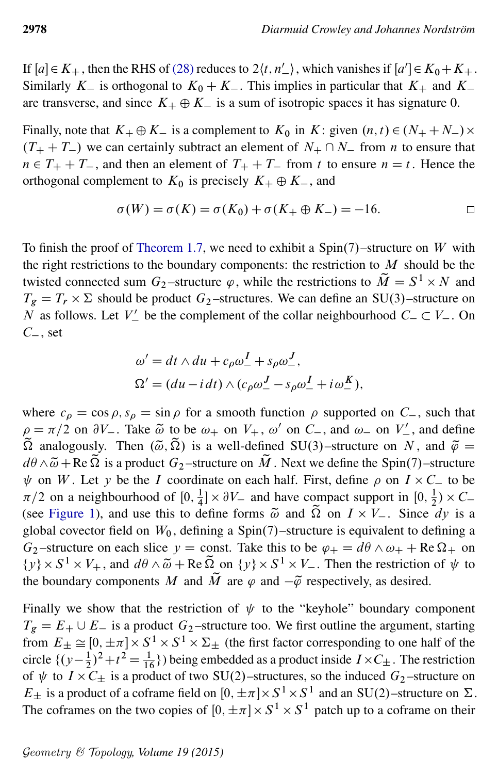If  $[a] \in K_+$ , then the RHS of [\(28\)](#page-28-1) reduces to  $2\langle t, n' \rangle$ , which vanishes if  $[a'] \in K_0 + K_+$ . Similarly  $K_{-}$  is orthogonal to  $K_{0} + K_{-}$ . This implies in particular that  $K_{+}$  and  $K_{-}$ are transverse, and since  $K_+ \oplus K_-$  is a sum of isotropic spaces it has signature 0.

Finally, note that  $K_+ \oplus K_-$  is a complement to  $K_0$  in  $K$ : given  $(n, t) \in (N_+ + N_-) \times$  $(T_{+} + T_{-})$  we can certainly subtract an element of  $N_{+} \cap N_{-}$  from n to ensure that  $n \in T_+ + T_-$ , and then an element of  $T_+ + T_-$  from t to ensure  $n = t$ . Hence the orthogonal complement to  $K_0$  is precisely  $K_+ \oplus K_-$ , and

$$
\sigma(W) = \sigma(K) = \sigma(K_0) + \sigma(K_+ \oplus K_-) = -16. \qquad \qquad \Box
$$

To finish the proof of [Theorem 1.7,](#page-4-0) we need to exhibit a  $Spin(7)$ –structure on W with the right restrictions to the boundary components: the restriction to  $M$  should be the twisted connected sum  $G_2$ -structure  $\varphi$ , while the restrictions to  $\widetilde{M} = S^1 \times N$  and  $T_g = T_r \times \Sigma$  should be product  $G_2$ -structures. We can define an SU(3)-structure on N as follows. Let  $V'_{-}$  be the complement of the collar neighbourhood  $C_{-} \subset V_{-}$ . On  $C_$ , set

$$
\omega' = dt \wedge du + c_{\rho}\omega_-^I + s_{\rho}\omega_-^J,
$$
  

$$
\Omega' = (du - i dt) \wedge (c_{\rho}\omega_-^J - s_{\rho}\omega_-^I + i \omega_-^K),
$$

where  $c_{\rho} = \cos \rho$ ,  $s_{\rho} = \sin \rho$  for a smooth function  $\rho$  supported on  $C_{-}$ , such that  $\rho = \pi/2$  on  $\partial V_-$ . Take  $\tilde{\omega}$  to be  $\omega_+$  on  $V_+$ ,  $\omega'$  on  $C_-$ , and  $\omega_-$  on  $V'_-$ , and define  $\tilde{\Omega}$  analogously. Then  $(\tilde{\omega}, \tilde{\Omega})$  is a well-defined SU(3)–structure on N, and  $\tilde{\varphi}$  =  $d\theta \wedge \tilde{\omega} + \text{Re }\tilde{\Omega}$  is a product  $G_2$ -structure on  $\tilde{M}$ . Next we define the Spin(7)–structure  $\psi$  on W. Let y be the I coordinate on each half. First, define  $\rho$  on  $I \times C_{-}$  to be  $\pi/2$  on a neighbourhood of [0,  $\frac{1}{4}$  $\frac{1}{4}$   $\times$   $\partial V$  and have compact support in [0,  $\frac{1}{2}$ ]  $(\frac{1}{2}) \times C_{-}$ (see [Figure 1\)](#page-30-0), and use this to define forms  $\tilde{\omega}$  and  $\Omega$  on  $I \times V_-$ . Since dy is a global covector field on  $W_0$ , defining a Spin $(7)$ –structure is equivalent to defining a  $G_2$ -structure on each slice  $y =$  const. Take this to be  $\varphi_+ = d\theta \wedge \omega_+ + \text{Re}\,\Omega_+$  on  $\{y\} \times S^1 \times V_+$ , and  $d\theta \wedge \tilde{\omega} + \text{Re}\,\Omega_{\infty}$  on  $\{y\} \times S^1 \times V_-$ . Then the restriction of  $\psi$  to the boundary components M and  $\tilde{M}$  are  $\varphi$  and  $-\tilde{\varphi}$  respectively, as desired.

Finally we show that the restriction of  $\psi$  to the "keyhole" boundary component  $T_g = E_+ \cup E_-$  is a product  $G_2$ -structure too. We first outline the argument, starting from  $E_{\pm} \cong [0, \pm \pi] \times S^1 \times S^1 \times \Sigma_{\pm}$  (the first factor corresponding to one half of the circle  $\{(y-\frac{1}{2})\}$  $(\frac{1}{2})^2 + t^2 = \frac{1}{16}$  being embedded as a product inside  $I \times C_{\pm}$ . The restriction of  $\psi$  to  $I \times C_{\pm}$  is a product of two SU(2)–structures, so the induced  $G_2$ –structure on  $E_{\pm}$  is a product of a coframe field on  $[0, \pm \pi] \times S^1 \times S^1$  and an SU(2)-structure on  $\Sigma$ . The coframes on the two copies of  $[0, \pm \pi] \times S^1 \times S^1$  patch up to a coframe on their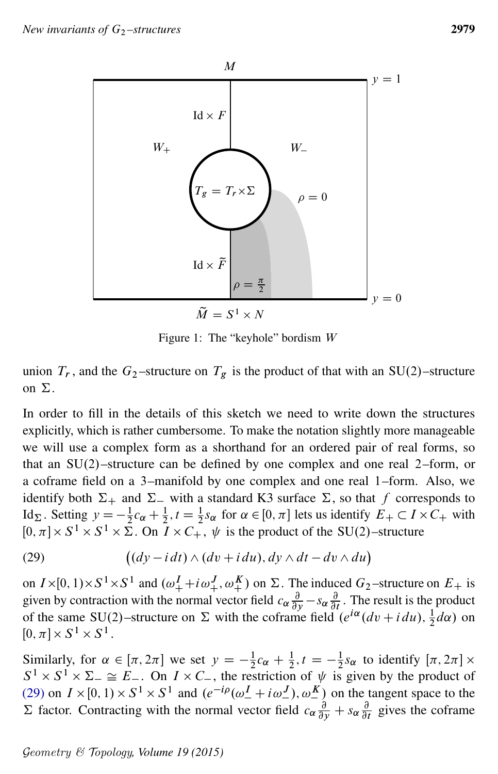<span id="page-30-0"></span>

<span id="page-30-1"></span>Figure 1: The "keyhole" bordism W

union  $T_r$ , and the  $G_2$ -structure on  $T_g$  is the product of that with an SU(2)-structure on  $\Sigma$ .

In order to fill in the details of this sketch we need to write down the structures explicitly, which is rather cumbersome. To make the notation slightly more manageable we will use a complex form as a shorthand for an ordered pair of real forms, so that an  $SU(2)$ –structure can be defined by one complex and one real 2–form, or a coframe field on a 3–manifold by one complex and one real 1–form. Also, we identify both  $\Sigma_+$  and  $\Sigma_-$  with a standard K3 surface  $\Sigma$ , so that f corresponds to Id<sub> $\Sigma$ </sub>. Setting  $y = -\frac{1}{2}$  $\frac{1}{2}c_{\alpha} + \frac{1}{2}$ ,  $t = \frac{1}{2}s_{\alpha}$  for  $\alpha \in [0, \pi]$  lets us identify  $E_+ \subset I \times C_+$  with  $[0, \pi] \times S^1 \times S^1 \times \overline{\Sigma}$ . On  $\overline{I} \times C_+$ ,  $\psi$  is the product of the SU(2)-structure

(29) 
$$
((dy - i dt) \wedge (dv + idu), dy \wedge dt - dv \wedge du)
$$

on  $I \times [0, 1) \times S^1 \times S^1$  and  $(\omega_+^I + i\omega_+^J, \omega_+^K)$  on  $\Sigma$ . The induced  $G_2$ -structure on  $E_+$  is given by contraction with the normal vector field  $c_{\alpha} \frac{\partial}{\partial x}$  $rac{\partial}{\partial y} - s_{\alpha} \frac{\partial}{\partial y}$  $\frac{\partial}{\partial t}$ . The result is the product of the same SU(2)–structure on  $\Sigma$  with the coframe field  $(e^{i\alpha}(dv + i du), \frac{1}{2}d\alpha)$  on  $[0, \pi] \times S^1 \times S^1$ .

Similarly, for  $\alpha \in [\pi, 2\pi]$  we set  $y = -\frac{1}{2}$  $\frac{1}{2}c_{\alpha} + \frac{1}{2}, t = -\frac{1}{2}$  $\frac{1}{2} s_{\alpha}$  to identify  $[\pi, 2\pi] \times$  $S^1 \times S^1 \times \Sigma^- \cong E^-$ . On  $I \times C^-$ , the restriction of  $\psi$  is given by the product of [\(29\)](#page-30-1) on  $I \times [0, 1) \times S^1 \times S^1$  and  $(e^{-i\rho}(\omega_-^I + i\omega_-^J), \omega_-^K)$  on the tangent space to the  $\Sigma$  factor. Contracting with the normal vector field  $c_{\alpha} \frac{\partial}{\partial y} + s_{\alpha} \frac{\partial}{\partial y}$  $\frac{\partial}{\partial t}$  gives the coframe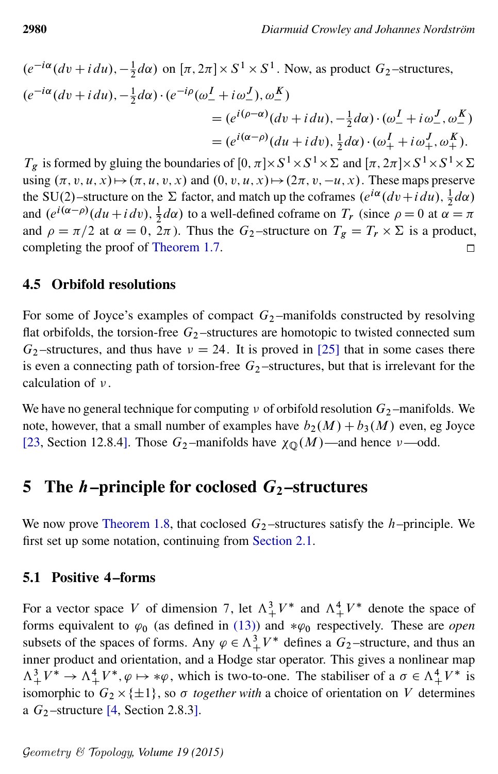$$
(e^{-i\alpha}(dv + idu), -\frac{1}{2}d\alpha) \text{ on } [\pi, 2\pi] \times S^1 \times S^1. \text{ Now, as product } G_2-\text{structures},
$$
  
\n
$$
(e^{-i\alpha}(dv + idu), -\frac{1}{2}d\alpha) \cdot (e^{-i\rho}(\omega_-^I + i\omega_-^J), \omega_-^K)
$$
  
\n
$$
= (e^{i(\rho-\alpha)}(dv + idu), -\frac{1}{2}d\alpha) \cdot (\omega_-^I + i\omega_-^J, \omega_-^K)
$$
  
\n
$$
= (e^{i(\alpha-\rho)}(du + idv), \frac{1}{2}d\alpha) \cdot (\omega_+^I + i\omega_+^J, \omega_+^K).
$$

 $T_g$  is formed by gluing the boundaries of  $[0, \pi] \times S^1 \times S^1 \times \Sigma$  and  $[\pi, 2\pi] \times S^1 \times S^1 \times \Sigma$ using  $(\pi, v, u, x) \mapsto (\pi, u, v, x)$  and  $(0, v, u, x) \mapsto (2\pi, v, -u, x)$ . These maps preserve the SU(2)-structure on the  $\Sigma$  factor, and match up the coframes  $(e^{i\alpha}(dv + i du), \frac{1}{2}d\alpha)$ and  $(e^{i(\alpha - \rho)}(du + i dv), \frac{1}{2}d\alpha)$  to a well-defined coframe on  $T_r$  (since  $\rho = 0$  at  $\alpha = \pi$ ) and  $\rho = \pi/2$  at  $\alpha = 0$ ,  $2\pi$ ). Thus the  $G_2$ -structure on  $T_g = T_r \times \Sigma$  is a product, completing the proof of [Theorem 1.7.](#page-4-0)  $\Box$ 

#### 4.5 Orbifold resolutions

For some of Joyce's examples of compact  $G_2$ -manifolds constructed by resolving flat orbifolds, the torsion-free  $G_2$ -structures are homotopic to twisted connected sum  $G_2$ -structures, and thus have  $\nu = 24$ . It is proved in [\[25\]](#page-42-16) that in some cases there is even a connecting path of torsion-free  $G_2$ -structures, but that is irrelevant for the calculation of  $\nu$ .

We have no general technique for computing  $\nu$  of orbifold resolution  $G_2$ -manifolds. We note, however, that a small number of examples have  $b_2(M) + b_3(M)$  even, eg Joyce [\[23,](#page-42-5) Section 12.8.4]. Those  $G_2$ -manifolds have  $\chi_{\mathbb{Q}}(M)$ -and hence  $\nu$ -odd.

## <span id="page-31-0"></span>5 The *h*–principle for coclosed  $G_2$ –structures

We now prove [Theorem 1.8,](#page-5-0) that coclosed  $G_2$ -structures satisfy the h–principle. We first set up some notation, continuing from [Section 2.1.](#page-11-0)

#### 5.1 Positive 4–forms

For a vector space V of dimension 7, let  $\Lambda^3_+ V^*$  and  $\Lambda^4_+ V^*$  denote the space of forms equivalent to  $\varphi_0$  (as defined in [\(13\)\)](#page-12-1) and  $*\varphi_0$  respectively. These are *open* subsets of the spaces of forms. Any  $\varphi \in \Lambda^3_+ V^*$  defines a  $G_2$ -structure, and thus an inner product and orientation, and a Hodge star operator. This gives a nonlinear map  $\Lambda^3_+ V^* \to \Lambda^4_+ V^*, \varphi \mapsto * \varphi$ , which is two-to-one. The stabiliser of a  $\sigma \in \Lambda^4_+ V^*$  is isomorphic to  $G_2 \times \{\pm 1\}$ , so  $\sigma$  together with a choice of orientation on V determines a  $G_2$ -structure [\[4,](#page-41-15) Section 2.8.3].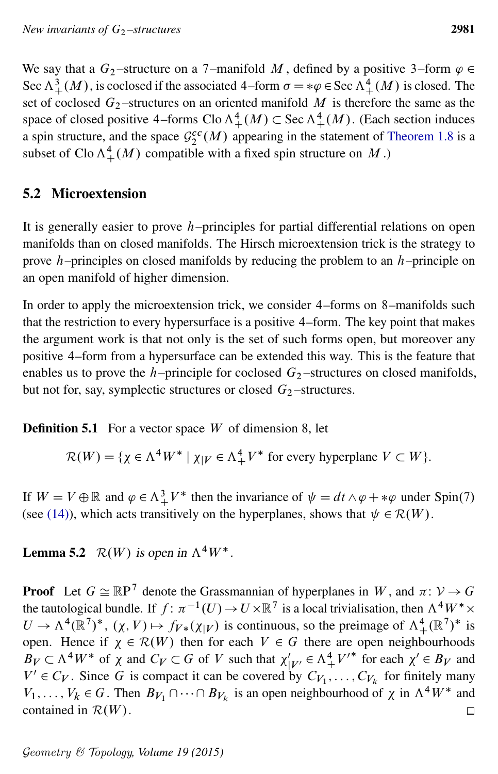We say that a  $G_2$ -structure on a 7-manifold M, defined by a positive 3-form  $\varphi \in$ Sec  $\Lambda^3_+(M)$ , is coclosed if the associated 4–form  $\sigma = \psi \in \text{Sec } \Lambda^4_+(M)$  is closed. The set of coclosed  $G_2$ -structures on an oriented manifold M is therefore the same as the space of closed positive 4–forms  $\text{Clo } \Lambda^4_+(M) \subset \text{Sec } \Lambda^4_+(M)$ . (Each section induces a spin structure, and the space  $\mathcal{G}_2^{cc}(M)$  appearing in the statement of [Theorem 1.8](#page-5-0) is a subset of Clo  $\Lambda^4_+(M)$  compatible with a fixed spin structure on M.)

## 5.2 Microextension

It is generally easier to prove  $h$ –principles for partial differential relations on open manifolds than on closed manifolds. The Hirsch microextension trick is the strategy to prove  $h$ –principles on closed manifolds by reducing the problem to an  $h$ –principle on an open manifold of higher dimension.

In order to apply the microextension trick, we consider 4–forms on 8–manifolds such that the restriction to every hypersurface is a positive 4–form. The key point that makes the argument work is that not only is the set of such forms open, but moreover any positive 4–form from a hypersurface can be extended this way. This is the feature that enables us to prove the  $h$ –principle for coclosed  $G_2$ –structures on closed manifolds, but not for, say, symplectic structures or closed  $G<sub>2</sub>$  –structures.

**Definition 5.1** For a vector space  $W$  of dimension 8, let

$$
\mathcal{R}(W) = \{ \chi \in \Lambda^4 W^* \mid \chi_{|V} \in \Lambda^4_+ V^* \text{ for every hyperplane } V \subset W \}.
$$

If  $W = V \oplus \mathbb{R}$  and  $\varphi \in \Lambda^3_+ V^*$  then the invariance of  $\psi = dt \wedge \varphi + \ast \varphi$  under Spin(7) (see [\(14\)\)](#page-12-2), which acts transitively on the hyperplanes, shows that  $\psi \in \mathcal{R}(W)$ .

**Lemma 5.2**  $\mathcal{R}(W)$  is open in  $\Lambda^4 W^*$ .

**Proof** Let  $G \cong \mathbb{R}P^7$  denote the Grassmannian of hyperplanes in W, and  $\pi: \mathcal{V} \to G$ the tautological bundle. If  $f: \pi^{-1}(U) \to U \times \mathbb{R}^7$  is a local trivialisation, then  $\Lambda^4 W^* \times$  $U \to \Lambda^4(\mathbb{R}^7)^*$ ,  $(\chi, V) \mapsto f_{V*}(\chi|_V)$  is continuous, so the preimage of  $\Lambda^4_+(\mathbb{R}^7)^*$  is open. Hence if  $\chi \in \mathcal{R}(W)$  then for each  $V \in G$  there are open neighbourhoods  $B_V \subset \Lambda^4 W^*$  of  $\chi$  and  $C_V \subset G$  of V such that  $\chi'_{|V'} \in \Lambda^4 V'^*$  for each  $\chi' \in B_V$  and  $V' \in C_V$ . Since G is compact it can be covered by  $C_{V_1}, \ldots, C_{V_k}$  for finitely many  $V_1, \ldots, V_k \in G$ . Then  $B_{V_1} \cap \cdots \cap B_{V_k}$  is an open neighbourhood of  $\chi$  in  $\Lambda^4 W^*$  and contained in  $\mathcal{R}(W)$ .  $\Box$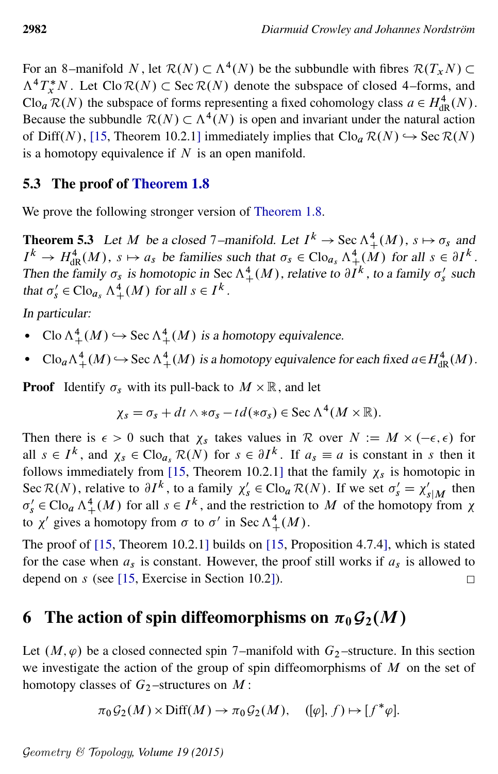For an 8–manifold N, let  $\mathcal{R}(N) \subset \Lambda^4(N)$  be the subbundle with fibres  $\mathcal{R}(T_xN) \subset$  $\Lambda^4 T^*_{\mathfrak{X}} N$ . Let Clo  $\mathcal{R}(N) \subset \text{Sec } \mathcal{R}(N)$  denote the subspace of closed 4–forms, and  $\text{Clo}_a \mathcal{R}(N)$  the subspace of forms representing a fixed cohomology class  $a \in H^4_{\text{dR}}(N)$ . Because the subbundle  $\mathcal{R}(N) \subset \Lambda^4(N)$  is open and invariant under the natural action of Diff(N), [\[15,](#page-41-4) Theorem 10.2.1] immediately implies that  $C\text{log } R(N) \hookrightarrow \text{Sec } R(N)$ is a homotopy equivalence if  $N$  is an open manifold.

#### 5.3 The proof of [Theorem 1.8](#page-5-0)

We prove the following stronger version of [Theorem 1.8.](#page-5-0)

**Theorem 5.3** Let M be a closed 7-manifold. Let  $I^k \to \text{Sec } \Lambda^4_+(M)$ ,  $s \mapsto \sigma_s$  and  $I^k \to H_{\text{dR}}^4(M)$ ,  $s \mapsto a_s$  be families such that  $\sigma_s \in \text{Cl}$  $\sigma_s \wedge \frac{4}{s} (M)$  for all  $s \in \partial I^k$ . Then the family  $\sigma_s$  is homotopic in Sec  $\Lambda^4_+(M)$ , relative to  $\partial I^k$ , to a family  $\sigma'_s$  such that  $\sigma'_{s} \in \text{Clo}_{a_s} \wedge^4_+(M)$  for all  $s \in I^k$ .

In particular:

- Clo  $\Lambda^4_+(M) \hookrightarrow$  Sec  $\Lambda^4_+(M)$  is a homotopy equivalence.
- Clo<sub>a</sub> $\Lambda^4_+(M) \hookrightarrow$  Sec  $\Lambda^4_+(M)$  is a homotopy equivalence for each fixed  $a \in H^4_{dR}(M)$ .

**Proof** Identify  $\sigma_s$  with its pull-back to  $M \times \mathbb{R}$ , and let

$$
\chi_s = \sigma_s + dt \wedge * \sigma_s - td(*\sigma_s) \in \text{Sec } \Lambda^4(M \times \mathbb{R}).
$$

Then there is  $\epsilon > 0$  such that  $\chi_s$  takes values in R over  $N := M \times (-\epsilon, \epsilon)$  for all  $s \in I^k$ , and  $\chi_s \in \text{Clo}_{a_s} \mathcal{R}(N)$  for  $s \in \partial I^k$ . If  $a_s \equiv a$  is constant in s then it follows immediately from [\[15,](#page-41-4) Theorem 10.2.1] that the family  $\chi_s$  is homotopic in Sec  $\mathcal{R}(N)$ , relative to  $\partial I^k$ , to a family  $\chi'_{s} \in \text{Clo}_a \mathcal{R}(N)$ . If we set  $\sigma'_{s} = \chi'_{s|M}$  then  $\sigma'_{s} \in \text{Cl}$ o<sub>a</sub>  $\Lambda^{4}_{+}(M)$  for all  $s \in I^{k}$ , and the restriction to M of the homotopy from  $\chi$ to  $\chi'$  gives a homotopy from  $\sigma$  to  $\sigma'$  in Sec  $\Lambda^4_+(M)$ .

The proof of [\[15,](#page-41-4) Theorem 10.2.1] builds on [\[15,](#page-41-4) Proposition 4.7.4], which is stated for the case when  $a_s$  is constant. However, the proof still works if  $a_s$  is allowed to depend on s (see [\[15,](#page-41-4) Exercise in Section 10.2]).  $\Box$ 

# <span id="page-33-0"></span>6 The action of spin diffeomorphisms on  $\pi_0\mathcal{G}_2(M)$

Let  $(M, \varphi)$  be a closed connected spin 7–manifold with  $G_2$ –structure. In this section we investigate the action of the group of spin diffeomorphisms of  $M$  on the set of homotopy classes of  $G_2$ -structures on  $M$ :

$$
\pi_0 G_2(M) \times \text{Diff}(M) \to \pi_0 G_2(M), \quad ([\varphi], f) \mapsto [f^*\varphi].
$$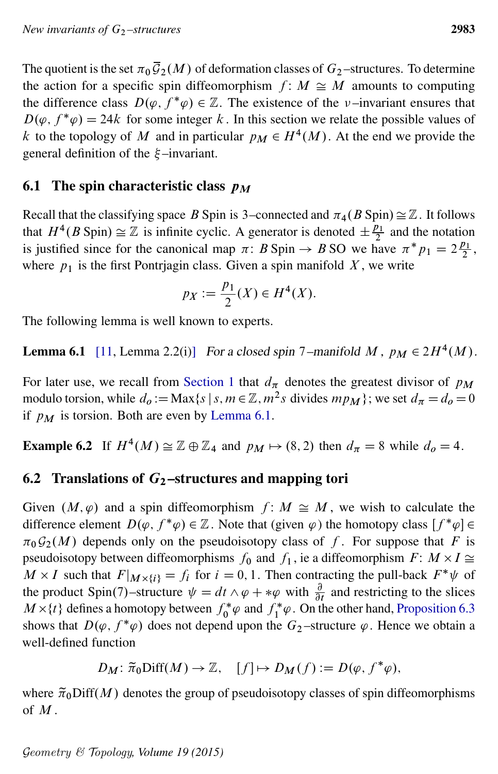The quotient is the set  $\pi_0 \bar{\mathcal{G}}_2(M)$  of deformation classes of  $G_2$ -structures. To determine the action for a specific spin diffeomorphism  $f: M \cong M$  amounts to computing the difference class  $D(\varphi, f^*\varphi) \in \mathbb{Z}$ . The existence of the v-invariant ensures that  $D(\varphi, f^*\varphi) = 24k$  for some integer k. In this section we relate the possible values of k to the topology of M and in particular  $p_M \in H^4(M)$ . At the end we provide the general definition of the  $\xi$ -invariant.

## <span id="page-34-0"></span>6.1 The spin characteristic class  $p_M$

Recall that the classifying space B Spin is 3–connected and  $\pi_4(B \text{ Spin}) \cong \mathbb{Z}$ . It follows that  $H^4(B \text{ Spin}) \cong \mathbb{Z}$  is infinite cyclic. A generator is denoted  $\pm \frac{p_1}{2}$  $\frac{p_1}{2}$  and the notation is justified since for the canonical map  $\pi$ : B Spin  $\rightarrow$  B SO we have  $\pi^* p_1 = 2 \frac{p_1}{2}$  $\frac{y_1}{2}$ , where  $p_1$  is the first Pontrjagin class. Given a spin manifold X, we write

$$
p_X := \frac{p_1}{2}(X) \in H^4(X).
$$

<span id="page-34-1"></span>The following lemma is well known to experts.

**Lemma 6.1** [\[11,](#page-41-6) Lemma 2.2(i)] For a closed spin 7–manifold M,  $p_M \in 2H^4(M)$ .

For later use, we recall from [Section 1](#page-0-0) that  $d_{\pi}$  denotes the greatest divisor of  $p_M$ modulo torsion, while  $d_0 := \text{Max}\{s \mid s, m \in \mathbb{Z}, m^2 s \text{ divides } mp_M \};$  we set  $d_\pi = d_0 = 0$ if  $p_M$  is torsion. Both are even by [Lemma 6.1.](#page-34-1)

**Example 6.2** If  $H^4(M) \cong \mathbb{Z} \oplus \mathbb{Z}_4$  and  $p_M \mapsto (8, 2)$  then  $d_{\pi} = 8$  while  $d_0 = 4$ .

## 6.2 Translations of  $G_2$ -structures and mapping tori

Given  $(M, \varphi)$  and a spin diffeomorphism  $f : M \cong M$ , we wish to calculate the difference element  $D(\varphi, f^*\varphi) \in \mathbb{Z}$ . Note that (given  $\varphi$ ) the homotopy class  $[f^*\varphi] \in$  $\pi_0\mathcal{G}_2(M)$  depends only on the pseudoisotopy class of f. For suppose that F is pseudoisotopy between diffeomorphisms  $f_0$  and  $f_1$ , ie a diffeomorphism  $F: M \times I \cong$  $M \times I$  such that  $F|_{M \times \{i\}} = f_i$  for  $i = 0, 1$ . Then contracting the pull-back  $F^* \psi$  of the product Spin(7)–structure  $\psi = dt \wedge \varphi + * \varphi$  with  $\frac{\partial}{\partial t}$  and restricting to the slices  $M \times \{t\}$  defines a homotopy between  $f_0^* \varphi$  and  $f_1^* \varphi$ . On the other hand, [Proposition 6.3](#page-35-0) shows that  $D(\varphi, f^*\varphi)$  does not depend upon the  $G_2$ -structure  $\varphi$ . Hence we obtain a well-defined function

$$
D_M: \tilde{\pi}_0 \text{Diff}(M) \to \mathbb{Z}, \quad [f] \mapsto D_M(f) := D(\varphi, f^*\varphi),
$$

where  $\tilde{\pi}_0$ Diff $(M)$  denotes the group of pseudoisotopy classes of spin diffeomorphisms of M .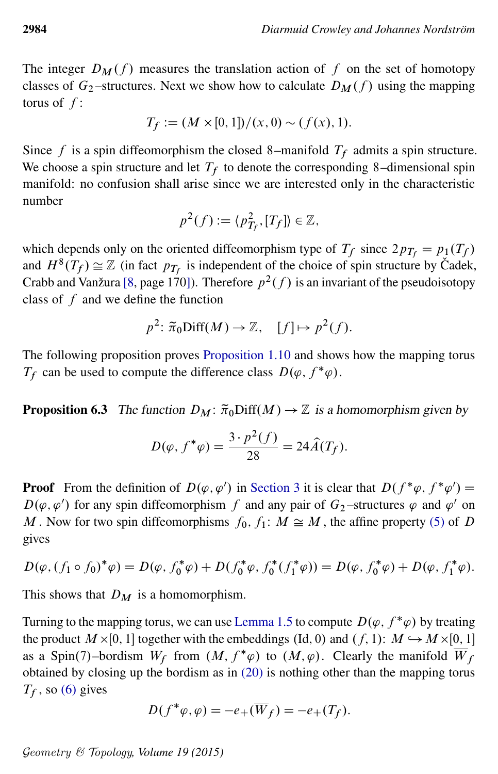The integer  $D_M(f)$  measures the translation action of f on the set of homotopy classes of  $G_2$ -structures. Next we show how to calculate  $D_M(f)$  using the mapping torus of  $f$ :

$$
T_f := (M \times [0,1])/(x,0) \sim (f(x),1).
$$

Since f is a spin diffeomorphism the closed 8–manifold  $T_f$  admits a spin structure. We choose a spin structure and let  $T_f$  to denote the corresponding 8–dimensional spin manifold: no confusion shall arise since we are interested only in the characteristic number

$$
p^2(f) := \langle p_{T_f}^2, [T_f] \rangle \in \mathbb{Z},
$$

which depends only on the oriented diffeomorphism type of  $T_f$  since  $2p_{T_f} = p_1(T_f)$ and  $H^{8}(T_f) \cong \mathbb{Z}$  (in fact  $p_{T_f}$  is independent of the choice of spin structure by Cadek, Crabb and Vanžura [\[8,](#page-41-16) page 170]). Therefore  $p^2(f)$  is an invariant of the pseudoisotopy class of  $f$  and we define the function

$$
p^2
$$
:  $\tilde{\pi}_0 \text{Diff}(M) \to \mathbb{Z}$ ,  $[f] \mapsto p^2(f)$ .

The following proposition proves [Proposition 1.10](#page-6-2) and shows how the mapping torus  $T_f$  can be used to compute the difference class  $D(\varphi, f^*\varphi)$ .

<span id="page-35-0"></span>**Proposition 6.3** The function  $D_M: \tilde{\pi}_0\text{Diff}(M) \to \mathbb{Z}$  is a homomorphism given by

$$
D(\varphi, f^*\varphi) = \frac{3 \cdot p^2(f)}{28} = 24\hat{A}(T_f).
$$

**Proof** From the definition of  $D(\varphi, \varphi')$  in [Section 3](#page-15-1) it is clear that  $D(f^*\varphi, f^*\varphi') =$  $D(\varphi, \varphi')$  for any spin diffeomorphism f and any pair of  $G_2$ -structures  $\varphi$  and  $\varphi'$  on M. Now for two spin diffeomorphisms  $f_0, f_1: M \cong M$ , the affine property [\(5\)](#page-3-3) of D gives

$$
D(\varphi, (f_1 \circ f_0)^*\varphi) = D(\varphi, f_0^*\varphi) + D(f_0^*\varphi, f_0^*(f_1^*\varphi)) = D(\varphi, f_0^*\varphi) + D(\varphi, f_1^*\varphi).
$$

This shows that  $D_M$  is a homomorphism.

Turning to the mapping torus, we can use [Lemma 1.5](#page-3-2) to compute  $D(\varphi, f^*\varphi)$  by treating the product  $M \times [0, 1]$  together with the embeddings (Id, 0) and  $(f, 1)$ :  $M \hookrightarrow M \times [0, 1]$ as a Spin(7)–bordism  $W_f$  from  $(M, f^*\varphi)$  to  $(M, \varphi)$ . Clearly the manifold  $\overline{W}_f$ . obtained by closing up the bordism as in [\(20\)](#page-18-1) is nothing other than the mapping torus  $T_f$ , so [\(6\)](#page-3-4) gives

$$
D(f^*\varphi, \varphi) = -e_+(\overline{W}_f) = -e_+(T_f).
$$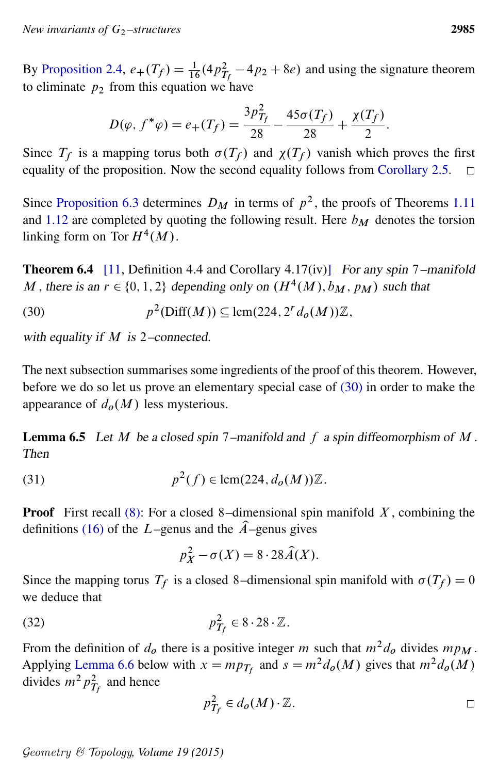By [Proposition 2.4,](#page-15-2)  $e_+(T_f) = \frac{1}{16}(4p_{T_f}^2 - 4p_2 + 8e)$  and using the signature theorem to eliminate  $p_2$  from this equation we have

<span id="page-36-0"></span>
$$
D(\varphi, f^*\varphi) = e_+(T_f) = \frac{3p_{T_f}^2}{28} - \frac{45\sigma(T_f)}{28} + \frac{\chi(T_f)}{2}.
$$

Since  $T_f$  is a mapping torus both  $\sigma(T_f)$  and  $\chi(T_f)$  vanish which proves the first equality of the proposition. Now the second equality follows from [Corollary 2.5.](#page-15-0)  $\Box$ 

Since [Proposition 6.3](#page-35-0) determines  $D_M$  in terms of  $p^2$ , the proofs of Theorems [1.11](#page-6-0) and [1.12](#page-7-2) are completed by quoting the following result. Here  $b_M$  denotes the torsion linking form on Tor  $H^4(M)$ .

<span id="page-36-2"></span>**Theorem 6.4** [\[11,](#page-41-6) Definition 4.4 and Corollary 4.17(iv)] For any spin 7–manifold M, there is an  $r \in \{0, 1, 2\}$  depending only on  $(H^4(M), b_M, p_M)$  such that

(30) 
$$
p^2(\text{Diff}(M)) \subseteq \text{lcm}(224, 2^r d_o(M))\mathbb{Z},
$$

with equality if  $M$  is 2–connected.

The next subsection summarises some ingredients of the proof of this theorem. However, before we do so let us prove an elementary special case of [\(30\)](#page-36-0) in order to make the appearance of  $d_o(M)$  less mysterious.

**Lemma 6.5** Let M be a closed spin 7–manifold and f a spin diffeomorphism of M. Then

(31) 
$$
p^2(f) \in \text{lcm}(224, d_o(M))\mathbb{Z}.
$$

**Proof** First recall [\(8\):](#page-7-3) For a closed 8-dimensional spin manifold  $X$ , combining the definitions [\(16\)](#page-15-3) of the L–genus and the  $\hat{A}$ –genus gives

<span id="page-36-3"></span>
$$
p_X^2 - \sigma(X) = 8 \cdot 28 \hat{A}(X).
$$

Since the mapping torus  $T_f$  is a closed 8–dimensional spin manifold with  $\sigma(T_f) = 0$ we deduce that

$$
p_{T_f}^2 \in 8.28 \cdot \mathbb{Z}.
$$

<span id="page-36-1"></span>From the definition of  $d_0$  there is a positive integer m such that  $m^2d_0$  divides  $mp_M$ . Applying [Lemma 6.6](#page-36-1) below with  $x = mp_{T_f}$  and  $s = m^2 d_o(M)$  gives that  $m^2 d_o(M)$ divides  $m^2 p_{T_f}^2$  and hence

$$
p_{T_f}^2 \in d_o(M) \cdot \mathbb{Z}.
$$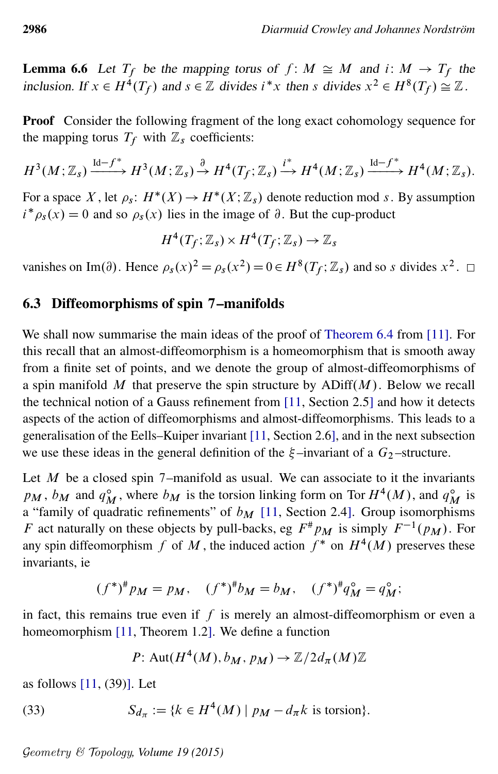**Lemma 6.6** Let  $T_f$  be the mapping torus of  $f: M \cong M$  and  $i: M \to T_f$  the inclusion. If  $x \in H^4(T_f)$  and  $s \in \mathbb{Z}$  divides  $i^*x$  then s divides  $x^2 \in H^8(T_f) \cong \mathbb{Z}$ .

Proof Consider the following fragment of the long exact cohomology sequence for the mapping torus  $T_f$  with  $\mathbb{Z}_s$  coefficients:

$$
H^3(M;\mathbb{Z}_s) \xrightarrow{\mathrm{Id}-f^*} H^3(M;\mathbb{Z}_s) \xrightarrow{\partial} H^4(T_f;\mathbb{Z}_s) \xrightarrow{i^*} H^4(M;\mathbb{Z}_s) \xrightarrow{\mathrm{Id}-f^*} H^4(M;\mathbb{Z}_s).
$$

For a space X, let  $\rho_s$ :  $H^*(X) \to H^*(X; \mathbb{Z}_s)$  denote reduction mod s. By assumption  $i^* \rho_s(x) = 0$  and so  $\rho_s(x)$  lies in the image of  $\partial$ . But the cup-product

$$
H^4(T_f; \mathbb{Z}_s) \times H^4(T_f; \mathbb{Z}_s) \to \mathbb{Z}_s
$$

vanishes on Im( $\partial$ ). Hence  $\rho_s(x)^2 = \rho_s(x^2) = 0 \in H^8(T_f; \mathbb{Z}_s)$  and so s divides  $x^2$ .

#### 6.3 Diffeomorphisms of spin 7–manifolds

We shall now summarise the main ideas of the proof of [Theorem 6.4](#page-36-2) from [\[11\]](#page-41-6). For this recall that an almost-diffeomorphism is a homeomorphism that is smooth away from a finite set of points, and we denote the group of almost-diffeomorphisms of a spin manifold M that preserve the spin structure by  $ADiff(M)$ . Below we recall the technical notion of a Gauss refinement from [\[11,](#page-41-6) Section 2.5] and how it detects aspects of the action of diffeomorphisms and almost-diffeomorphisms. This leads to a generalisation of the Eells–Kuiper invariant [\[11,](#page-41-6) Section 2.6], and in the next subsection we use these ideas in the general definition of the  $\xi$ -invariant of a  $G_2$ -structure.

Let  $M$  be a closed spin 7–manifold as usual. We can associate to it the invariants  $p_M$ ,  $b_M$  and  $q_M^{\circ}$ , where  $b_M$  is the torsion linking form on Tor  $H^4(M)$ , and  $q_M^{\circ}$  is a "family of quadratic refinements" of  $b_M$  [\[11,](#page-41-6) Section 2.4]. Group isomorphisms F act naturally on these objects by pull-backs, eg  $F^{\#}p_M$  is simply  $F^{-1}(p_M)$ . For any spin diffeomorphism f of M, the induced action  $f^*$  on  $H^4(M)$  preserves these invariants, ie

$$
(f^*)^{\#}p_M = p_M
$$
,  $(f^*)^{\#}b_M = b_M$ ,  $(f^*)^{\#}q_M^{\circ} = q_M^{\circ}$ ;

in fact, this remains true even if  $f$  is merely an almost-diffeomorphism or even a homeomorphism [\[11,](#page-41-6) Theorem 1.2]. We define a function

<span id="page-37-0"></span>P: Aut
$$
(H^4(M), b_M, p_M) \rightarrow \mathbb{Z}/2d_{\pi}(M)\mathbb{Z}
$$

as follows [\[11,](#page-41-6) (39)]. Let

(33) 
$$
S_{d_{\pi}} := \{k \in H^4(M) \mid p_M - d_{\pi}k \text{ is torsion}\}.
$$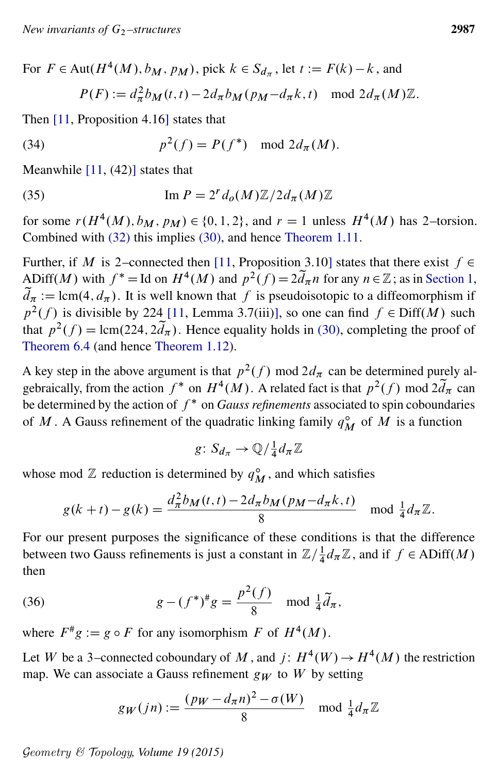For 
$$
F \in \text{Aut}(H^4(M), b_M, p_M)
$$
, pick  $k \in S_{d_{\pi}}$ , let  $t := F(k) - k$ , and  
\n
$$
P(F) := d_{\pi}^2 b_M(t, t) - 2d_{\pi} b_M(p_M - d_{\pi} k, t) \mod 2d_{\pi}(M)\mathbb{Z}.
$$

Then [\[11,](#page-41-6) Proposition 4.16] states that

(34) 
$$
p^2(f) = P(f^*) \mod 2d_{\pi}(M).
$$

Meanwhile  $[11, (42)]$  $[11, (42)]$  states that

(35) 
$$
\operatorname{Im} P = 2^r d_o(M) \mathbb{Z} / 2 d_\pi(M) \mathbb{Z}
$$

for some  $r(H^4(M), b_M, p_M) \in \{0, 1, 2\}$ , and  $r = 1$  unless  $H^4(M)$  has 2-torsion. Combined with [\(32\)](#page-36-3) this implies [\(30\),](#page-36-0) and hence [Theorem 1.11.](#page-6-0)

Further, if M is 2–connected then [\[11,](#page-41-6) Proposition 3.10] states that there exist  $f \in$ ADiff(M) with  $f^* =$  Id on  $H^4(M)$  and  $p^2(f) = 2\tilde{d}_{\pi}n$  for any  $n \in \mathbb{Z}$ ; as in [Section 1,](#page-0-0)  $d_{\pi} := \text{lcm}(4, d_{\pi})$ . It is well known that f is pseudoisotopic to a diffeomorphism if  $p^2(f)$  is divisible by 224 [\[11,](#page-41-6) Lemma 3.7(iii)], so one can find  $f \in \text{Diff}(M)$  such that  $p^2(f) = \text{lcm}(224, 2\tilde{d}_{\pi})$ . Hence equality holds in [\(30\),](#page-36-0) completing the proof of [Theorem 6.4](#page-36-2) (and hence [Theorem 1.12\)](#page-7-2).

A key step in the above argument is that  $p^2(f)$  mod  $2d_\pi$  can be determined purely algebraically, from the action  $f^*$  on  $H^4(M)$ . A related fact is that  $p^2(f)$  mod  $2\tilde{d}_\pi$  can be determined by the action of  $f^*$  on *Gauss refinements* associated to spin coboundaries of M. A Gauss refinement of the quadratic linking family  $q_M^{\circ}$  of M is a function

$$
g\colon S_{d_{\pi}}\to \mathbb{Q}/\tfrac{1}{4}d_{\pi}\mathbb{Z}
$$

whose mod  $\mathbb Z$  reduction is determined by  $q_M^{\circ}$ , and which satisfies

$$
g(k+t) - g(k) = \frac{d_{\pi}^{2} b_{M}(t,t) - 2d_{\pi} b_{M}(p_{M} - d_{\pi}k, t)}{8} \mod \frac{1}{4} d_{\pi} \mathbb{Z}.
$$

For our present purposes the significance of these conditions is that the difference between two Gauss refinements is just a constant in  $\mathbb{Z}/\frac{1}{4}$  $\frac{1}{4}d_{\pi}\mathbb{Z}$ , and if  $f \in ADiff(M)$ then

<span id="page-38-0"></span>(36) 
$$
g - (f^*)^{\#}g = \frac{p^2(f)}{8} \mod \frac{1}{4}\tilde{d}_{\pi},
$$

where  $F^*g := g \circ F$  for any isomorphism F of  $H^4(M)$ .

Let W be a 3–connected coboundary of M, and  $j: H^4(W) \to H^4(M)$  the restriction map. We can associate a Gauss refinement  $g_W$  to W by setting

$$
g_W(jn) := \frac{(p_W - d_\pi n)^2 - \sigma(W)}{8} \mod \frac{1}{4} d_\pi \mathbb{Z}
$$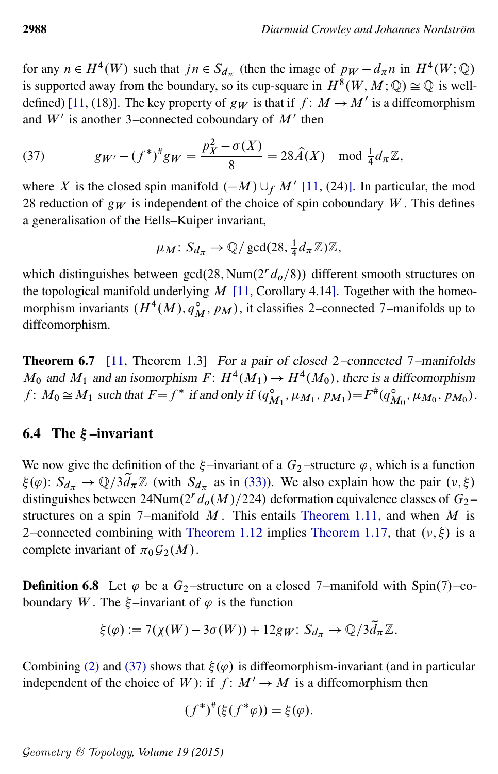for any  $n \in H^4(W)$  such that  $jn \in S_{d_\pi}$  (then the image of  $p_W - d_\pi n$  in  $H^4(W; \mathbb{Q})$ is supported away from the boundary, so its cup-square in  $H^8(W, M; \mathbb{Q}) \cong \mathbb{Q}$  is well-defined) [\[11,](#page-41-6) (18)]. The key property of  $g_W$  is that if  $f: M \to M'$  is a diffeomorphism and  $W'$  is another 3–connected coboundary of  $M'$  then

(37) 
$$
g_{W'} - (f^*)^{\#} g_W = \frac{p_X^2 - \sigma(X)}{8} = 28 \widehat{A}(X) \mod \frac{1}{4} d_{\pi} \mathbb{Z},
$$

where X is the closed spin manifold  $(-M) \cup_f M'$  [\[11,](#page-41-6) (24)]. In particular, the mod 28 reduction of  $g_W$  is independent of the choice of spin coboundary W. This defines a generalisation of the Eells–Kuiper invariant,

<span id="page-39-2"></span>
$$
\mu_M\colon S_{d_{\pi}}\to \mathbb{Q}/\gcd(28,\tfrac{1}{4}d_{\pi}\mathbb{Z})\mathbb{Z},
$$

which distinguishes between  $gcd(28, Num(2<sup>r</sup> d<sub>o</sub>/8))$  different smooth structures on the topological manifold underlying  $M$  [\[11,](#page-41-6) Corollary 4.14]. Together with the homeomorphism invariants  $(H^4(M), q_M^{\circ}, p_M)$ , it classifies 2–connected 7–manifolds up to diffeomorphism.

<span id="page-39-3"></span>Theorem 6.7 [\[11,](#page-41-6) Theorem 1.3] For a pair of closed 2-connected 7-manifolds  $M_0$  and  $M_1$  and an isomorphism  $F: H^4(M_1) \to H^4(M_0)$ , there is a diffeomorphism  $f: M_0 \cong M_1$  such that  $F = f^*$  if and only if  $(q^{\circ}_{M_1}, \mu_{M_1}, p_{M_1}) = F^*(q^{\circ}_{M_0}, \mu_{M_0}, p_{M_0})$ .

#### <span id="page-39-0"></span>6.4 The  $\xi$ -invariant

We now give the definition of the  $\xi$ -invariant of a  $G_2$ -structure  $\varphi$ , which is a function  $\xi(\varphi)$ :  $S_{d_{\pi}} \to \mathbb{Q}/3d_{\pi}\mathbb{Z}$  (with  $S_{d_{\pi}}$  as in [\(33\)\)](#page-37-0). We also explain how the pair  $(\nu, \xi)$ distinguishes between 24Num(2<sup>*r*</sup>  $d_o(M)/224$ ) deformation equivalence classes of  $G_2$ structures on a spin 7–manifold  $M$ . This entails [Theorem 1.11,](#page-6-0) and when  $M$  is 2–connected combining with [Theorem 1.12](#page-7-2) implies [Theorem 1.17,](#page-9-0) that  $(v, \xi)$  is a complete invariant of  $\pi_0 \overline{\mathcal{G}}_2(M)$ .

<span id="page-39-1"></span>**Definition 6.8** Let  $\varphi$  be a  $G_2$ -structure on a closed 7-manifold with Spin(7)-coboundary W. The  $\xi$ -invariant of  $\varphi$  is the function

$$
\xi(\varphi) := 7(\chi(W) - 3\sigma(W)) + 12g_W: S_{d_{\pi}} \to \mathbb{Q}/3\tilde{d}_{\pi}\mathbb{Z}.
$$

Combining [\(2\)](#page-1-1) and [\(37\)](#page-39-2) shows that  $\xi(\varphi)$  is diffeomorphism-invariant (and in particular independent of the choice of W): if  $f: M' \to M$  is a diffeomorphism then

$$
(f^*)^{\#}(\xi(f^*\varphi)) = \xi(\varphi).
$$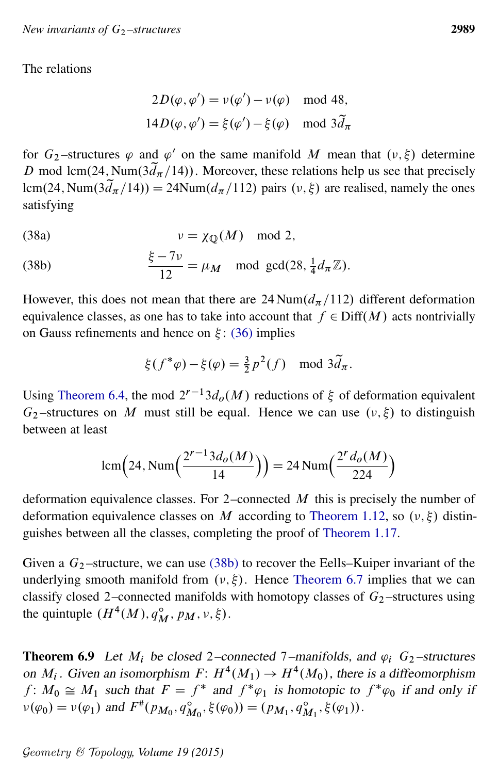The relations

$$
2D(\varphi, \varphi') = v(\varphi') - v(\varphi) \mod 48,
$$
  

$$
14D(\varphi, \varphi') = \xi(\varphi') - \xi(\varphi) \mod 3\tilde{d}_{\pi}
$$

for  $G_2$ -structures  $\varphi$  and  $\varphi'$  on the same manifold M mean that  $(\nu, \xi)$  determine D mod lcm(24, Num( $3d_{\pi}/14$ )). Moreover, these relations help us see that precisely lcm(24, Num( $3d_{\pi}/14$ )) = 24Num( $d_{\pi}/112$ ) pairs ( $\nu$ ,  $\xi$ ) are realised, namely the ones satisfying

(38a) 
$$
v = \chi_{\mathbb{Q}}(M) \mod 2,
$$

<span id="page-40-1"></span>(38b) 
$$
\frac{\xi - 7\nu}{12} = \mu_M \mod \gcd(28, \frac{1}{4}d_\pi \mathbb{Z}).
$$

However, this does not mean that there are 24 Num( $d_{\pi}/112$ ) different deformation equivalence classes, as one has to take into account that  $f \in \text{Diff}(M)$  acts nontrivially on Gauss refinements and hence on  $\xi$ : [\(36\)](#page-38-0) implies

$$
\xi(f^*\varphi) - \xi(\varphi) = \frac{3}{2}p^2(f) \mod 3\tilde{d}_\pi.
$$

Using [Theorem 6.4,](#page-36-2) the mod  $2^{r-1}3d_0(M)$  reductions of  $\xi$  of deformation equivalent  $G_2$ -structures on M must still be equal. Hence we can use  $(v, \xi)$  to distinguish between at least

$$
lcm(24, Num\left(\frac{2^{r-1}3d_o(M)}{14}\right)) = 24 Num\left(\frac{2^r d_o(M)}{224}\right)
$$

deformation equivalence classes. For 2–connected  $M$  this is precisely the number of deformation equivalence classes on M according to [Theorem 1.12,](#page-7-2) so  $(v, \xi)$  distinguishes between all the classes, completing the proof of [Theorem 1.17.](#page-9-0)

Given a  $G_2$ -structure, we can use [\(38b\)](#page-40-1) to recover the Eells–Kuiper invariant of the underlying smooth manifold from  $(v, \xi)$ . Hence [Theorem 6.7](#page-39-3) implies that we can classify closed 2–connected manifolds with homotopy classes of  $G_2$ –structures using the quintuple  $(H^4(M), q_M^{\circ}, p_M, \nu, \xi)$ .

<span id="page-40-0"></span>**Theorem 6.9** Let  $M_i$  be closed 2–connected 7–manifolds, and  $\varphi_i$  G<sub>2</sub>-structures on  $M_i$ . Given an isomorphism  $F: H^4(M_1) \to H^4(M_0)$ , there is a diffeomorphism  $f: M_0 \cong M_1$  such that  $F = f^*$  and  $f^*\varphi_1$  is homotopic to  $f^*\varphi_0$  if and only if  $\nu(\varphi_0) = \nu(\varphi_1)$  and  $F^*(p_{M_0}, q_{M_0}^{\circ}, \xi(\varphi_0)) = (p_{M_1}, q_{M_1}^{\circ}, \xi(\varphi_1)).$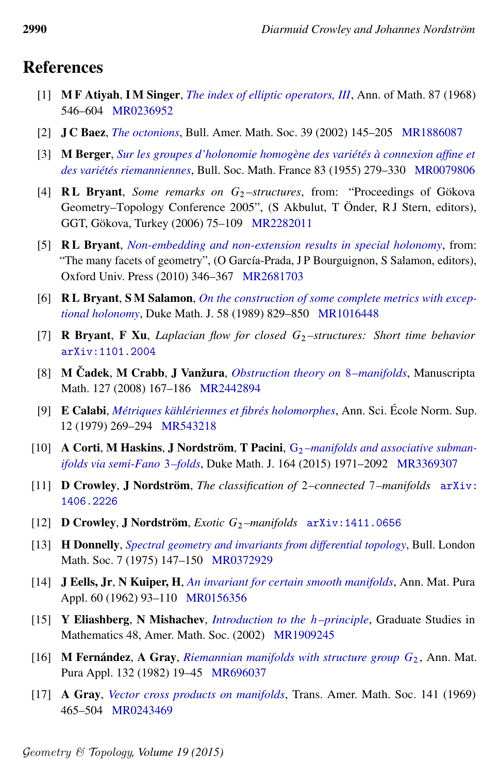# References

- <span id="page-41-13"></span>[1] M F Atiyah, I M Singer, *[The index of elliptic operators, III](http://dx.doi.org/10.2307/1970717)*, Ann. of Math. 87 (1968) 546–604 [MR0236952](http://www.ams.org/mathscinet-getitem?mr=0236952)
- <span id="page-41-12"></span>[2] J C Baez, *[The octonions](http://dx.doi.org/10.1090/S0273-0979-01-00934-X)*, Bull. Amer. Math. Soc. 39 (2002) 145–205 [MR1886087](http://www.ams.org/mathscinet-getitem?mr=1886087)
- <span id="page-41-1"></span>[3] M Berger, *[Sur les groupes d'holonomie homogène des variétés à connexion affine et](http://www.numdam.org/item?id=BSMF_1955__83__279_0) [des variétés riemanniennes](http://www.numdam.org/item?id=BSMF_1955__83__279_0)*, Bull. Soc. Math. France 83 (1955) 279–330 [MR0079806](http://www.ams.org/mathscinet-getitem?mr=0079806)
- <span id="page-41-15"></span>[4] **RL Bryant**, *Some remarks on*  $G_2$ -structures, from: "Proceedings of Gökova Geometry–Topology Conference 2005", (S Akbulut, T Önder, RJ Stern, editors), GGT, Gökova, Turkey (2006) 75–109 [MR2282011](http://www.ams.org/mathscinet-getitem?mr=2282011)
- <span id="page-41-5"></span>[5] R L Bryant, *[Non-embedding and non-extension results in special holonomy](http://dx.doi.org/10.1093/acprof:oso/9780199534920.003.0017)*, from: "The many facets of geometry", (O García-Prada, J P Bourguignon, S Salamon, editors), Oxford Univ. Press (2010) 346–367 [MR2681703](http://www.ams.org/mathscinet-getitem?mr=2681703)
- <span id="page-41-7"></span>[6] R L Bryant, S M Salamon, *[On the construction of some complete metrics with excep](http://dx.doi.org/10.1215/S0012-7094-89-05839-0)[tional holonomy](http://dx.doi.org/10.1215/S0012-7094-89-05839-0)*, Duke Math. J. 58 (1989) 829–850 [MR1016448](http://www.ams.org/mathscinet-getitem?mr=1016448)
- <span id="page-41-10"></span>[7] R Bryant, F Xu, *Laplacian flow for closed* G<sup>2</sup> *–structures: Short time behavior* [arXiv:1101.2004](http://arxiv.org/abs/1101.2004)
- <span id="page-41-16"></span>[8] M Čadek, M Crabb, J Vanžura, *[Obstruction theory on](http://dx.doi.org/10.1007/s00229-008-0203-x)* 8-manifolds, Manuscripta Math. 127 (2008) 167–186 [MR2442894](http://www.ams.org/mathscinet-getitem?mr=2442894)
- <span id="page-41-14"></span>[9] E Calabi, *[Métriques kählériennes et fibrés holomorphes](http://www.numdam.org/item?id=ASENS_1979_4_12_2_269_0)*, Ann. Sci. École Norm. Sup. 12 (1979) 269–294 [MR543218](http://www.ams.org/mathscinet-getitem?mr=543218)
- <span id="page-41-2"></span>[10] A Corti, M Haskins, J Nordström, T Pacini, G<sub>2</sub>-manifolds and associative subman*[ifolds via semi-Fano](http://dx.doi.org/10.1215/00127094-3120743)* 3*–folds*, Duke Math. J. 164 (2015) 1971–2092 [MR3369307](http://www.ams.org/mathscinet-getitem?mr=3369307)
- <span id="page-41-6"></span>[11] D Crowley, J Nordström, *The classification of* 2*–connected* 7*–manifolds* [arXiv:](http://arxiv.org/abs/1406.2226) [1406.2226](http://arxiv.org/abs/1406.2226)
- <span id="page-41-8"></span>[12] **D Crowley, J Nordström,** *Exotic*  $G_2$ -manifolds  $arXiv:1411.0656$
- <span id="page-41-9"></span>[13] H Donnelly, *[Spectral geometry and invariants from differential topology](http://dx.doi.org/10.1112/blms/7.2.147)*, Bull. London Math. Soc. 7 (1975) 147–150 [MR0372929](http://www.ams.org/mathscinet-getitem?mr=0372929)
- <span id="page-41-0"></span>[14] J Eells, Jr, N Kuiper, H, *[An invariant for certain smooth manifolds](http://dx.doi.org/10.1007/BF02412768)*, Ann. Mat. Pura Appl. 60 (1962) 93–110 [MR0156356](http://www.ams.org/mathscinet-getitem?mr=0156356)
- <span id="page-41-4"></span>[15] Y Eliashberg, N Mishachev, *[Introduction to the](http://dx.doi.org/10.1090/gsm/048)* h*–principle*, Graduate Studies in Mathematics 48, Amer. Math. Soc. (2002) [MR1909245](http://www.ams.org/mathscinet-getitem?mr=1909245)
- <span id="page-41-3"></span>[16] **M Fernández, A Gray,** *[Riemannian manifolds with structure group](http://dx.doi.org/10.1007/BF01760975)*  $G_2$ , Ann. Mat. Pura Appl. 132 (1982) 19–45 [MR696037](http://www.ams.org/mathscinet-getitem?mr=696037)
- <span id="page-41-11"></span>[17] A Gray, *[Vector cross products on manifolds](http://dx.doi.org/10.2307/1995115)*, Trans. Amer. Math. Soc. 141 (1969) 465–504 [MR0243469](http://www.ams.org/mathscinet-getitem?mr=0243469)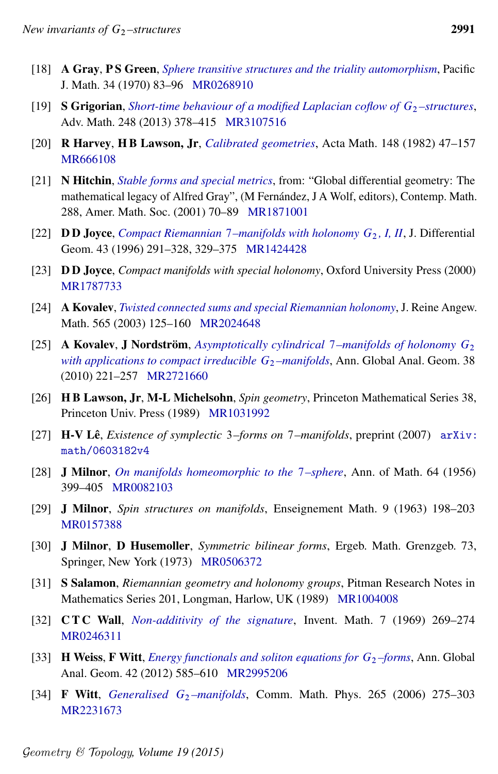- <span id="page-42-11"></span>[18] A Gray, P S Green, *[Sphere transitive structures and the triality automorphism](http://dx.doi.org/10.2140/pjm.1970.34.83)*, Pacific J. Math. 34 (1970) 83–96 [MR0268910](http://www.ams.org/mathscinet-getitem?mr=0268910)
- <span id="page-42-8"></span>[19] **S Grigorian**, *[Short-time behaviour of a modified Laplacian coflow of](http://dx.doi.org/10.1016/j.aim.2013.08.013)*  $G_2$ -structures, Adv. Math. 248 (2013) 378–415 [MR3107516](http://www.ams.org/mathscinet-getitem?mr=3107516)
- <span id="page-42-13"></span>[20] R Harvey, H B Lawson, Jr, *[Calibrated geometries](http://dx.doi.org/10.1007/BF02392726)*, Acta Math. 148 (1982) 47–157 [MR666108](http://www.ams.org/mathscinet-getitem?mr=666108)
- <span id="page-42-7"></span>[21] N Hitchin, *[Stable forms and special metrics](http://dx.doi.org/10.1090/conm/288/04818)*, from: "Global differential geometry: The mathematical legacy of Alfred Gray", (M Fernández, J A Wolf, editors), Contemp. Math. 288, Amer. Math. Soc. (2001) 70–89 [MR1871001](http://www.ams.org/mathscinet-getitem?mr=1871001)
- <span id="page-42-3"></span>[22] **DD Joyce**, *Compact Riemannian* 7[–manifolds with holonomy](http://projecteuclid.org/euclid.jdg/1214458109)  $G_2$ , I, II, J. Differential Geom. 43 (1996) 291–328, 329–375 [MR1424428](http://www.ams.org/mathscinet-getitem?mr=1424428)
- <span id="page-42-5"></span>[23] D D Joyce, *Compact manifolds with special holonomy*, Oxford University Press (2000) [MR1787733](http://www.ams.org/mathscinet-getitem?mr=1787733)
- <span id="page-42-4"></span>[24] A Kovalev, *[Twisted connected sums and special Riemannian holonomy](http://dx.doi.org/10.1515/crll.2003.097)*, J. Reine Angew. Math. 565 (2003) 125–160 [MR2024648](http://www.ams.org/mathscinet-getitem?mr=2024648)
- <span id="page-42-16"></span>[25] A Kovalev, J Nordström, *[Asymptotically cylindrical](http://dx.doi.org/10.1007/s10455-010-9210-8)* 7*–manifolds of holonomy* G<sup>2</sup> *[with applications to compact irreducible](http://dx.doi.org/10.1007/s10455-010-9210-8)*  $G_2$ *-manifolds*, Ann. Global Anal. Geom. 38 (2010) 221–257 [MR2721660](http://www.ams.org/mathscinet-getitem?mr=2721660)
- <span id="page-42-10"></span>[26] H B Lawson, Jr, M-L Michelsohn, *Spin geometry*, Princeton Mathematical Series 38, Princeton Univ. Press (1989) [MR1031992](http://www.ams.org/mathscinet-getitem?mr=1031992)
- <span id="page-42-6"></span>[27] H-V Lê, *Existence of symplectic* 3*–forms on* 7*–manifolds*, preprint (2007) [arXiv:](http://arxiv.org/abs/math/0603182v4) [math/0603182v4](http://arxiv.org/abs/math/0603182v4)
- <span id="page-42-1"></span>[28] J Milnor, *[On manifolds homeomorphic to the](http://dx.doi.org/10.2307/1969983)* 7*–sphere*, Ann. of Math. 64 (1956) 399–405 [MR0082103](http://www.ams.org/mathscinet-getitem?mr=0082103)
- <span id="page-42-12"></span>[29] J Milnor, *Spin structures on manifolds*, Enseignement Math. 9 (1963) 198–203 [MR0157388](http://www.ams.org/mathscinet-getitem?mr=0157388)
- <span id="page-42-14"></span>[30] J Milnor, D Husemoller, *Symmetric bilinear forms*, Ergeb. Math. Grenzgeb. 73, Springer, New York (1973) [MR0506372](http://www.ams.org/mathscinet-getitem?mr=0506372)
- <span id="page-42-2"></span>[31] S Salamon, *Riemannian geometry and holonomy groups*, Pitman Research Notes in Mathematics Series 201, Longman, Harlow, UK (1989) [MR1004008](http://www.ams.org/mathscinet-getitem?mr=1004008)
- <span id="page-42-15"></span>[32] C T C Wall, *[Non-additivity of the signature](http://dx.doi.org/10.1007/BF01404310)*, Invent. Math. 7 (1969) 269–274 [MR0246311](http://www.ams.org/mathscinet-getitem?mr=0246311)
- <span id="page-42-9"></span>[33] H Weiss, F Witt, *[Energy functionals and soliton equations for](http://dx.doi.org/10.1007/s10455-012-9328-y)*  $G_2$ –*forms*, Ann. Global Anal. Geom. 42 (2012) 585–610 [MR2995206](http://www.ams.org/mathscinet-getitem?mr=2995206)
- <span id="page-42-0"></span>[34] **F Witt**, *[Generalised](http://dx.doi.org/10.1007/s00220-006-0011-7)*  $G_2$ *-manifolds*, Comm. Math. Phys. 265 (2006) 275–303 [MR2231673](http://www.ams.org/mathscinet-getitem?mr=2231673)